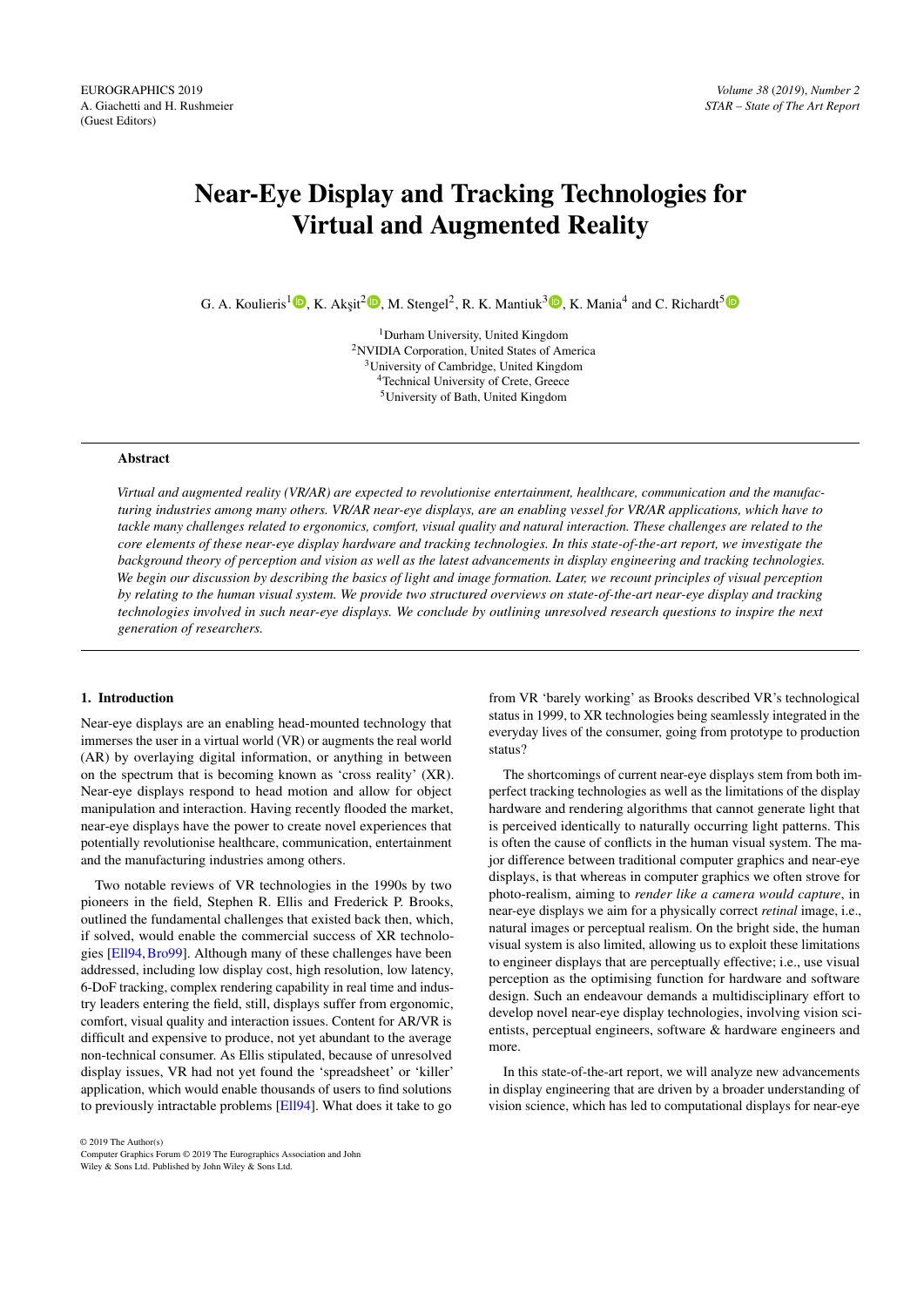# <span id="page-0-0"></span>Near-Eye Display and Tracking Technologies for Virtual and Augmented Reality

G. A. Koulieris<sup>1</sup> $\mathbb{D}$ [,](https://orcid.org/0000-0003-2353-0349) K. Akşit<sup>[2](https://orcid.org/0000-0002-5934-5500)</sup> $\mathbb{D}$ , M. Stengel<sup>2</sup>, R. K. Mantiuk<sup>3</sup> $\mathbb{D}$ , K. Mania<sup>4</sup> and C. Richardt<sup>[5](https://orcid.org/0000-0001-6716-9845)</sup>

Durham University, United Kingdom NVIDIA Corporation, United States of America University of Cambridge, United Kingdom Technical University of Crete, Greece University of Bath, United Kingdom

# Abstract

*Virtual and augmented reality (VR/AR) are expected to revolutionise entertainment, healthcare, communication and the manufacturing industries among many others. VR/AR near-eye displays, are an enabling vessel for VR/AR applications, which have to tackle many challenges related to ergonomics, comfort, visual quality and natural interaction. These challenges are related to the core elements of these near-eye display hardware and tracking technologies. In this state-of-the-art report, we investigate the background theory of perception and vision as well as the latest advancements in display engineering and tracking technologies. We begin our discussion by describing the basics of light and image formation. Later, we recount principles of visual perception by relating to the human visual system. We provide two structured overviews on state-of-the-art near-eye display and tracking technologies involved in such near-eye displays. We conclude by outlining unresolved research questions to inspire the next generation of researchers.*

#### 1. Introduction

Near-eye displays are an enabling head-mounted technology that immerses the user in a virtual world (VR) or augments the real world (AR) by overlaying digital information, or anything in between on the spectrum that is becoming known as 'cross reality' (XR). Near-eye displays respond to head motion and allow for object manipulation and interaction. Having recently flooded the market, near-eye displays have the power to create novel experiences that potentially revolutionise healthcare, communication, entertainment and the manufacturing industries among others.

Two notable reviews of VR technologies in the 1990s by two pioneers in the field, Stephen R. Ellis and Frederick P. Brooks, outlined the fundamental challenges that existed back then, which, if solved, would enable the commercial success of XR technologies [\[Ell94,](#page-18-0)[Bro99\]](#page-17-0). Although many of these challenges have been addressed, including low display cost, high resolution, low latency, 6-DoF tracking, complex rendering capability in real time and industry leaders entering the field, still, displays suffer from ergonomic, comfort, visual quality and interaction issues. Content for AR/VR is difficult and expensive to produce, not yet abundant to the average non-technical consumer. As Ellis stipulated, because of unresolved display issues, VR had not yet found the 'spreadsheet' or 'killer' application, which would enable thousands of users to find solutions to previously intractable problems [\[Ell94\]](#page-18-0). What does it take to go

from VR 'barely working' as Brooks described VR's technological status in 1999, to XR technologies being seamlessly integrated in the everyday lives of the consumer, going from prototype to production status?

The shortcomings of current near-eye displays stem from both imperfect tracking technologies as well as the limitations of the display hardware and rendering algorithms that cannot generate light that is perceived identically to naturally occurring light patterns. This is often the cause of conflicts in the human visual system. The major difference between traditional computer graphics and near-eye displays, is that whereas in computer graphics we often strove for photo-realism, aiming to *render like a camera would capture*, in near-eye displays we aim for a physically correct *retinal* image, i.e., natural images or perceptual realism. On the bright side, the human visual system is also limited, allowing us to exploit these limitations to engineer displays that are perceptually effective; i.e., use visual perception as the optimising function for hardware and software design. Such an endeavour demands a multidisciplinary effort to develop novel near-eye display technologies, involving vision scientists, perceptual engineers, software & hardware engineers and more.

In this state-of-the-art report, we will analyze new advancements in display engineering that are driven by a broader understanding of vision science, which has led to computational displays for near-eye

© 2019 The Author(s)

Computer Graphics Forum © 2019 The Eurographics Association and John Wiley & Sons Ltd. Published by John Wiley & Sons Ltd.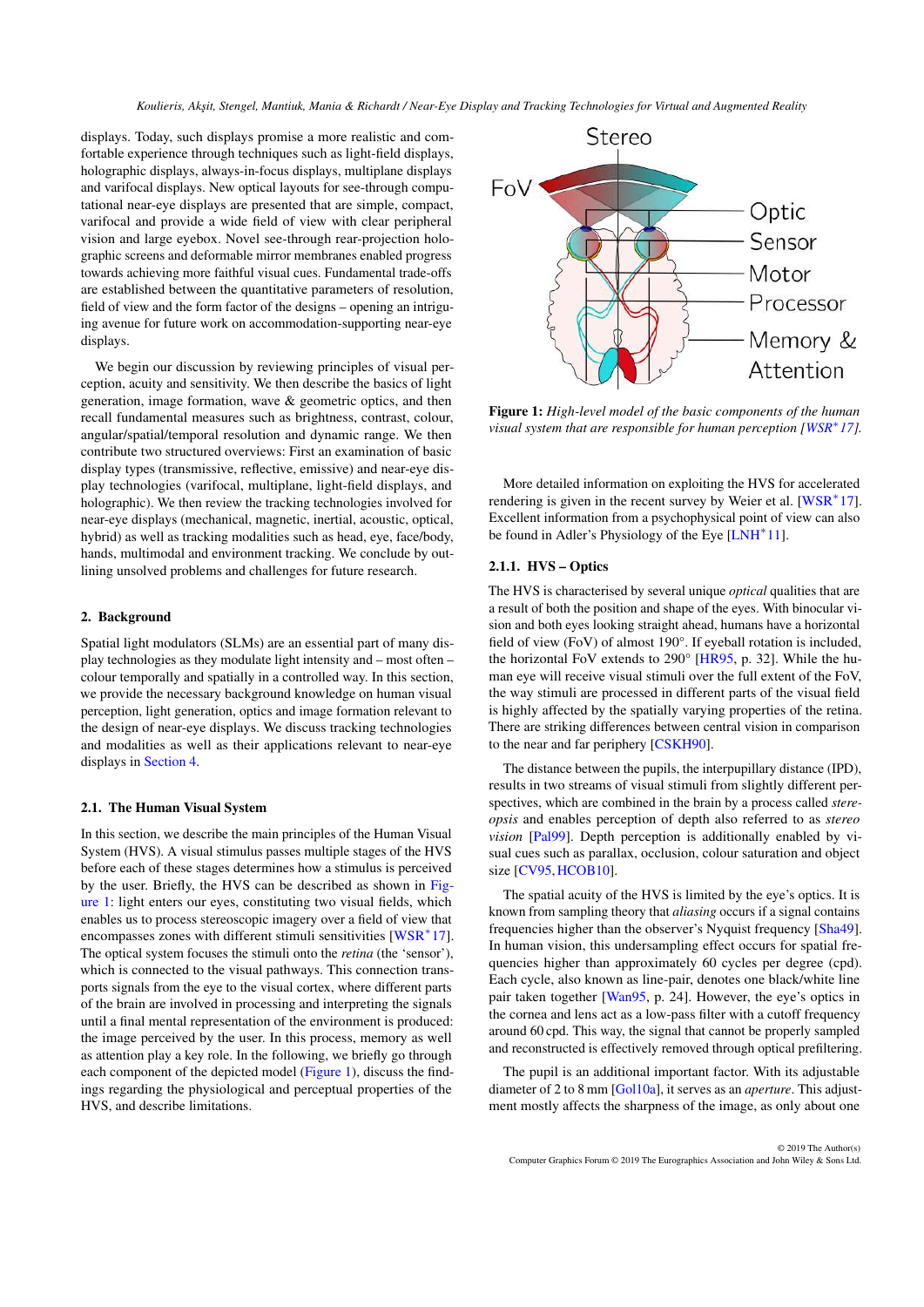<span id="page-1-1"></span>displays. Today, such displays promise a more realistic and comfortable experience through techniques such as light-field displays, holographic displays, always-in-focus displays, multiplane displays and varifocal displays. New optical layouts for see-through computational near-eye displays are presented that are simple, compact, varifocal and provide a wide field of view with clear peripheral vision and large eyebox. Novel see-through rear-projection holographic screens and deformable mirror membranes enabled progress towards achieving more faithful visual cues. Fundamental trade-offs are established between the quantitative parameters of resolution, field of view and the form factor of the designs – opening an intriguing avenue for future work on accommodation-supporting near-eye displays.

We begin our discussion by reviewing principles of visual perception, acuity and sensitivity. We then describe the basics of light generation, image formation, wave & geometric optics, and then recall fundamental measures such as brightness, contrast, colour, angular/spatial/temporal resolution and dynamic range. We then contribute two structured overviews: First an examination of basic display types (transmissive, reflective, emissive) and near-eye display technologies (varifocal, multiplane, light-field displays, and holographic). We then review the tracking technologies involved for near-eye displays (mechanical, magnetic, inertial, acoustic, optical, hybrid) as well as tracking modalities such as head, eye, face/body, hands, multimodal and environment tracking. We conclude by outlining unsolved problems and challenges for future research.

#### 2. Background

Spatial light modulators (SLMs) are an essential part of many display technologies as they modulate light intensity and – most often – colour temporally and spatially in a controlled way. In this section, we provide the necessary background knowledge on human visual perception, light generation, optics and image formation relevant to the design of near-eye displays. We discuss tracking technologies and modalities as well as their applications relevant to near-eye displays in [Section 4.](#page-10-0)

## 2.1. The Human Visual System

In this section, we describe the main principles of the Human Visual System (HVS). A visual stimulus passes multiple stages of the HVS before each of these stages determines how a stimulus is perceived by the user. Briefly, the HVS can be described as shown in [Fig](#page-1-0)[ure 1:](#page-1-0) light enters our eyes, constituting two visual fields, which enables us to process stereoscopic imagery over a field of view that encompasses zones with different stimuli sensitivities [\[WSR](#page-24-0)<sup>∗</sup>17]. The optical system focuses the stimuli onto the *retina* (the 'sensor'), which is connected to the visual pathways. This connection transports signals from the eye to the visual cortex, where different parts of the brain are involved in processing and interpreting the signals until a final mental representation of the environment is produced: the image perceived by the user. In this process, memory as well as attention play a key role. In the following, we briefly go through each component of the depicted model [\(Figure 1\)](#page-1-0), discuss the findings regarding the physiological and perceptual properties of the HVS, and describe limitations.



<span id="page-1-0"></span>Figure 1: *High-level model of the basic components of the human visual system that are responsible for human perception [\[WSR](#page-24-0)<sup>\*</sup>17]*.

More detailed information on exploiting the HVS for accelerated rendering is given in the recent survey by Weier et al. [\[WSR](#page-24-0)<sup>∗</sup>17]. Excellent information from a psychophysical point of view can also be found in Adler's Physiology of the Eye [\[LNH](#page-20-0)<sup>\*</sup>11].

# 2.1.1. HVS – Optics

The HVS is characterised by several unique *optical* qualities that are a result of both the position and shape of the eyes. With binocular vision and both eyes looking straight ahead, humans have a horizontal field of view (FoV) of almost 190°. If eyeball rotation is included, the horizontal FoV extends to 290° [\[HR95,](#page-19-0) p. 32]. While the human eye will receive visual stimuli over the full extent of the FoV, the way stimuli are processed in different parts of the visual field is highly affected by the spatially varying properties of the retina. There are striking differences between central vision in comparison to the near and far periphery [\[CSKH90\]](#page-18-1).

The distance between the pupils, the interpupillary distance (IPD), results in two streams of visual stimuli from slightly different perspectives, which are combined in the brain by a process called *stereopsis* and enables perception of depth also referred to as *stereo vision* [\[Pal99\]](#page-22-0). Depth perception is additionally enabled by visual cues such as parallax, occlusion, colour saturation and object size [\[CV95,](#page-18-2) [HCOB10\]](#page-19-1).

The spatial acuity of the HVS is limited by the eye's optics. It is known from sampling theory that *aliasing* occurs if a signal contains frequencies higher than the observer's Nyquist frequency [\[Sha49\]](#page-23-0). In human vision, this undersampling effect occurs for spatial frequencies higher than approximately 60 cycles per degree (cpd). Each cycle, also known as line-pair, denotes one black/white line pair taken together [\[Wan95,](#page-24-1) p. 24]. However, the eye's optics in the cornea and lens act as a low-pass filter with a cutoff frequency around 60 cpd. This way, the signal that cannot be properly sampled and reconstructed is effectively removed through optical prefiltering.

The pupil is an additional important factor. With its adjustable diameter of 2 to 8 mm [\[Gol10a\]](#page-19-2), it serves as an *aperture*. This adjustment mostly affects the sharpness of the image, as only about one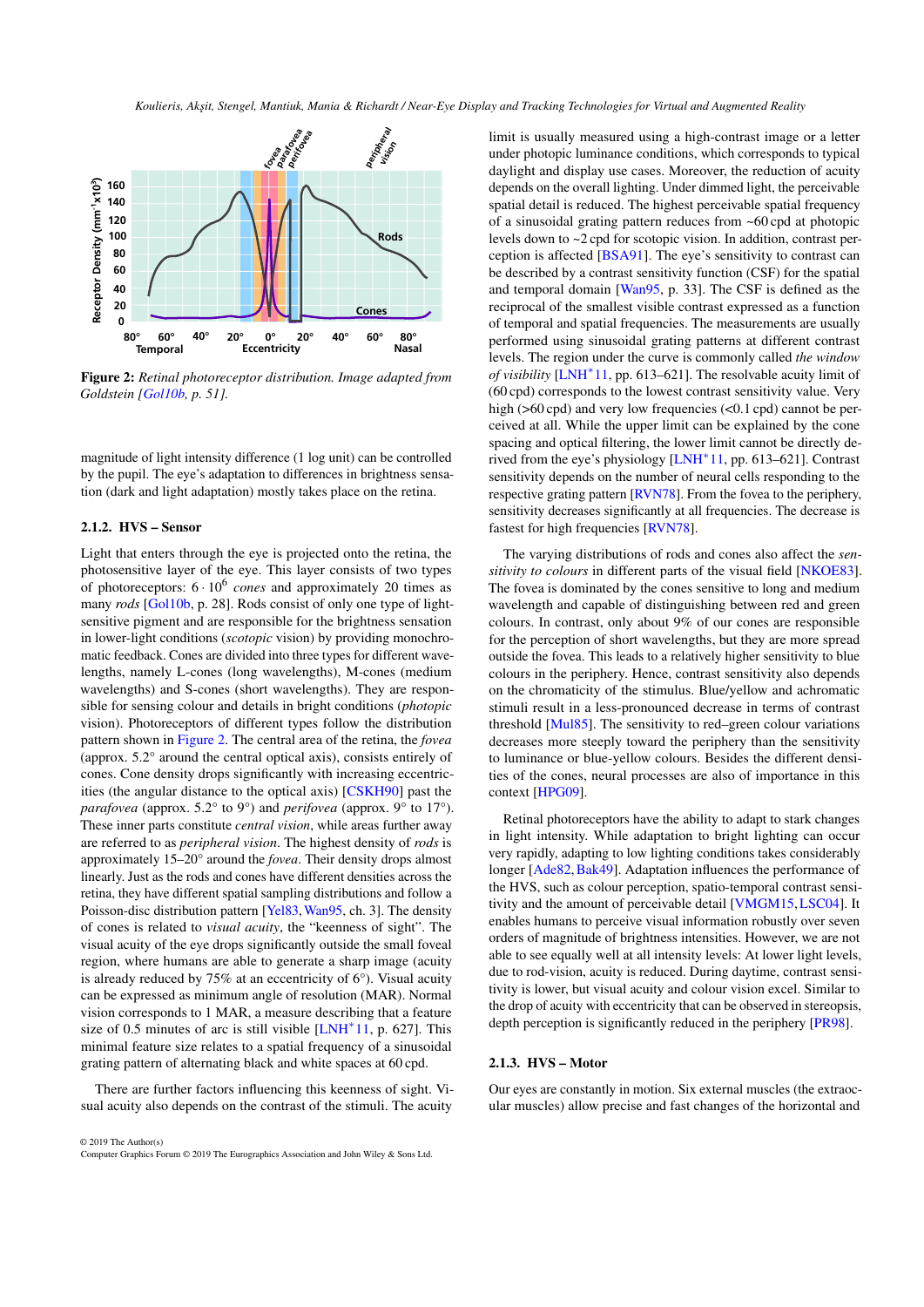<span id="page-2-2"></span>

<span id="page-2-0"></span>Figure 2: *Retinal photoreceptor distribution. Image adapted from Goldstein [\[Gol10b,](#page-19-3) p. 51].*

magnitude of light intensity difference (1 log unit) can be controlled by the pupil. The eye's adaptation to differences in brightness sensation (dark and light adaptation) mostly takes place on the retina.

# 2.1.2. HVS – Sensor

Light that enters through the eye is projected onto the retina, the photosensitive layer of the eye. This layer consists of two types of photoreceptors:  $6 \cdot 10^6$  *cones* and approximately 20 times as many *rods* [\[Gol10b,](#page-19-3) p. 28]. Rods consist of only one type of lightsensitive pigment and are responsible for the brightness sensation in lower-light conditions (*scotopic* vision) by providing monochromatic feedback. Cones are divided into three types for different wavelengths, namely L-cones (long wavelengths), M-cones (medium wavelengths) and S-cones (short wavelengths). They are responsible for sensing colour and details in bright conditions (*photopic* vision). Photoreceptors of different types follow the distribution pattern shown in [Figure 2.](#page-2-0) The central area of the retina, the *fovea* (approx. 5.2° around the central optical axis), consists entirely of cones. Cone density drops significantly with increasing eccentricities (the angular distance to the optical axis) [\[CSKH90\]](#page-18-1) past the *parafovea* (approx. 5.2° to 9°) and *perifovea* (approx. 9° to 17°). These inner parts constitute *central vision*, while areas further away are referred to as *peripheral vision*. The highest density of *rods* is approximately 15–20° around the *fovea*. Their density drops almost linearly. Just as the rods and cones have different densities across the retina, they have different spatial sampling distributions and follow a Poisson-disc distribution pattern [\[Yel83,](#page-24-2)[Wan95,](#page-24-1) ch. 3]. The density of cones is related to *visual acuity*, the "keenness of sight". The visual acuity of the eye drops significantly outside the small foveal region, where humans are able to generate a sharp image (acuity is already reduced by 75% at an eccentricity of  $6^{\circ}$ ). Visual acuity can be expressed as minimum angle of resolution (MAR). Normal vision corresponds to 1 MAR, a measure describing that a feature size of 0.5 minutes of arc is still visible  $[LMH^*11, p. 627]$ . This minimal feature size relates to a spatial frequency of a sinusoidal grating pattern of alternating black and white spaces at 60 cpd.

There are further factors influencing this keenness of sight. Visual acuity also depends on the contrast of the stimuli. The acuity

© 2019 The Author(s) Computer Graphics Forum © 2019 The Eurographics Association and John Wiley & Sons Ltd.

limit is usually measured using a high-contrast image or a letter under photopic luminance conditions, which corresponds to typical daylight and display use cases. Moreover, the reduction of acuity depends on the overall lighting. Under dimmed light, the perceivable spatial detail is reduced. The highest perceivable spatial frequency of a sinusoidal grating pattern reduces from ~60 cpd at photopic levels down to ~2 cpd for scotopic vision. In addition, contrast perception is affected [\[BSA91\]](#page-17-1). The eye's sensitivity to contrast can be described by a contrast sensitivity function (CSF) for the spatial and temporal domain [\[Wan95,](#page-24-1) p. 33]. The CSF is defined as the reciprocal of the smallest visible contrast expressed as a function of temporal and spatial frequencies. The measurements are usually performed using sinusoidal grating patterns at different contrast levels. The region under the curve is commonly called *the window of visibility* [\[LNH](#page-20-0)<sup>\*</sup>11, pp. 613–621]. The resolvable acuity limit of (60 cpd) corresponds to the lowest contrast sensitivity value. Very high (>60 cpd) and very low frequencies (<0.1 cpd) cannot be perceived at all. While the upper limit can be explained by the cone spacing and optical filtering, the lower limit cannot be directly derived from the eye's physiology [\[LNH](#page-20-0)<sup>∗</sup> 11, pp. 613–621]. Contrast sensitivity depends on the number of neural cells responding to the respective grating pattern [\[RVN78\]](#page-22-1). From the fovea to the periphery, sensitivity decreases significantly at all frequencies. The decrease is fastest for high frequencies [\[RVN78\]](#page-22-1).

The varying distributions of rods and cones also affect the *sensitivity to colours* in different parts of the visual field [\[NKOE83\]](#page-21-0). The fovea is dominated by the cones sensitive to long and medium wavelength and capable of distinguishing between red and green colours. In contrast, only about 9% of our cones are responsible for the perception of short wavelengths, but they are more spread outside the fovea. This leads to a relatively higher sensitivity to blue colours in the periphery. Hence, contrast sensitivity also depends on the chromaticity of the stimulus. Blue/yellow and achromatic stimuli result in a less-pronounced decrease in terms of contrast threshold [\[Mul85\]](#page-21-1). The sensitivity to red–green colour variations decreases more steeply toward the periphery than the sensitivity to luminance or blue-yellow colours. Besides the different densities of the cones, neural processes are also of importance in this context [\[HPG09\]](#page-19-4).

Retinal photoreceptors have the ability to adapt to stark changes in light intensity. While adaptation to bright lighting can occur very rapidly, adapting to low lighting conditions takes considerably longer [\[Ade82,](#page-17-2) [Bak49\]](#page-17-3). Adaptation influences the performance of the HVS, such as colour perception, spatio-temporal contrast sensitivity and the amount of perceivable detail [\[VMGM15,](#page-24-3)[LSC04\]](#page-20-1). It enables humans to perceive visual information robustly over seven orders of magnitude of brightness intensities. However, we are not able to see equally well at all intensity levels: At lower light levels, due to rod-vision, acuity is reduced. During daytime, contrast sensitivity is lower, but visual acuity and colour vision excel. Similar to the drop of acuity with eccentricity that can be observed in stereopsis, depth perception is significantly reduced in the periphery [\[PR98\]](#page-22-2).

# <span id="page-2-1"></span>2.1.3. HVS – Motor

Our eyes are constantly in motion. Six external muscles (the extraocular muscles) allow precise and fast changes of the horizontal and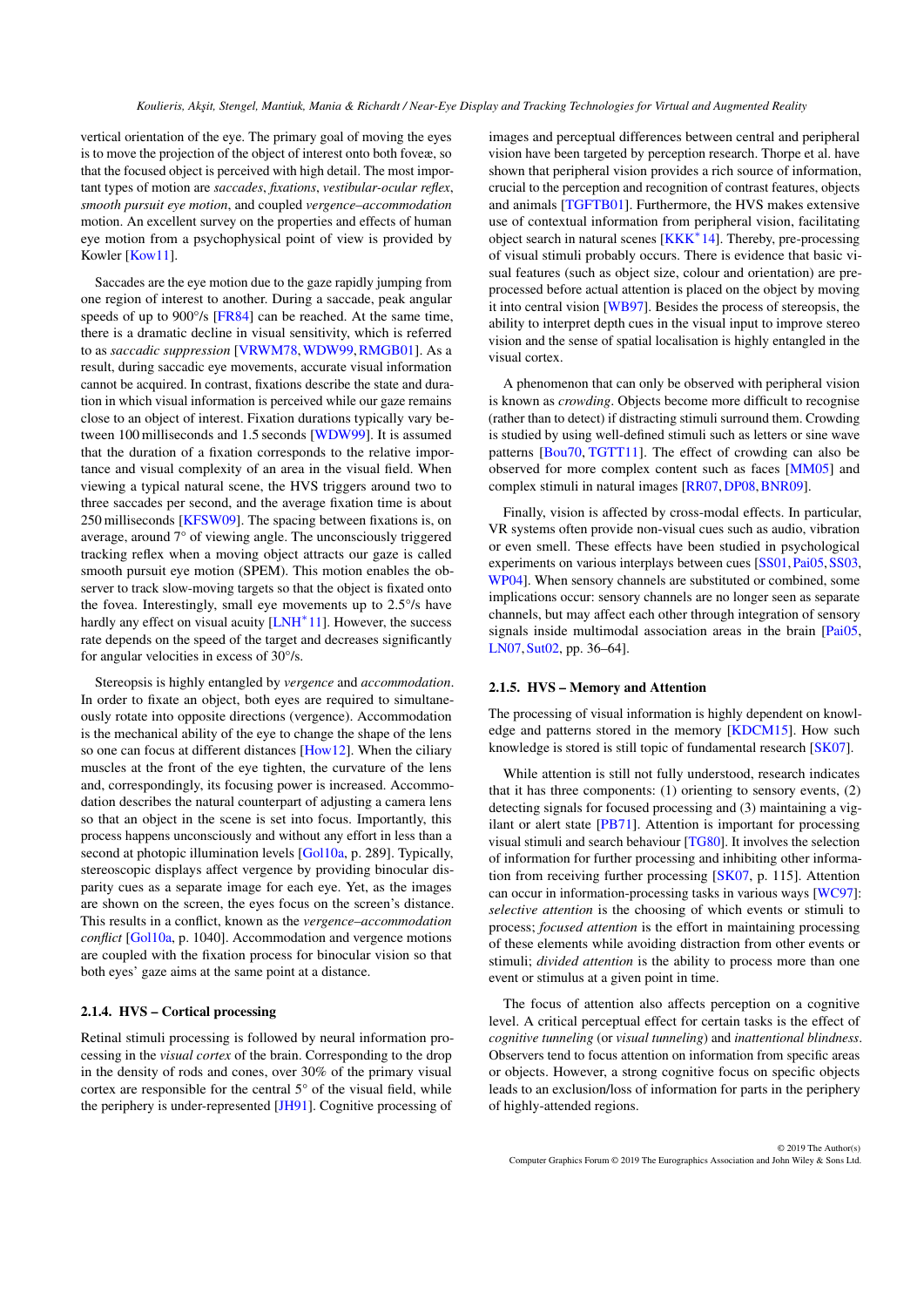<span id="page-3-0"></span>vertical orientation of the eye. The primary goal of moving the eyes is to move the projection of the object of interest onto both foveæ, so that the focused object is perceived with high detail. The most important types of motion are *saccades*, *fixations*, *vestibular-ocular reflex*, *smooth pursuit eye motion*, and coupled *vergence–accommodation* motion. An excellent survey on the properties and effects of human eye motion from a psychophysical point of view is provided by Kowler [\[Kow11\]](#page-20-2).

Saccades are the eye motion due to the gaze rapidly jumping from one region of interest to another. During a saccade, peak angular speeds of up to 900 $\degree$ /s [\[FR84\]](#page-18-3) can be reached. At the same time, there is a dramatic decline in visual sensitivity, which is referred to as *saccadic suppression* [\[VRWM78,](#page-24-4)[WDW99,](#page-24-5)[RMGB01\]](#page-22-3). As a result, during saccadic eye movements, accurate visual information cannot be acquired. In contrast, fixations describe the state and duration in which visual information is perceived while our gaze remains close to an object of interest. Fixation durations typically vary between 100 milliseconds and 1.5 seconds [\[WDW99\]](#page-24-5). It is assumed that the duration of a fixation corresponds to the relative importance and visual complexity of an area in the visual field. When viewing a typical natural scene, the HVS triggers around two to three saccades per second, and the average fixation time is about 250 milliseconds [\[KFSW09\]](#page-20-3). The spacing between fixations is, on average, around 7° of viewing angle. The unconsciously triggered tracking reflex when a moving object attracts our gaze is called smooth pursuit eye motion (SPEM). This motion enables the observer to track slow-moving targets so that the object is fixated onto the fovea. Interestingly, small eye movements up to 2.5°/s have hardly any effect on visual acuity [\[LNH](#page-20-0)<sup>\*</sup>11]. However, the success rate depends on the speed of the target and decreases significantly for angular velocities in excess of 30°/s.

Stereopsis is highly entangled by *vergence* and *accommodation*. In order to fixate an object, both eyes are required to simultaneously rotate into opposite directions (vergence). Accommodation is the mechanical ability of the eye to change the shape of the lens so one can focus at different distances [\[How12\]](#page-19-5). When the ciliary muscles at the front of the eye tighten, the curvature of the lens and, correspondingly, its focusing power is increased. Accommodation describes the natural counterpart of adjusting a camera lens so that an object in the scene is set into focus. Importantly, this process happens unconsciously and without any effort in less than a second at photopic illumination levels [\[Gol10a,](#page-19-2) p. 289]. Typically, stereoscopic displays affect vergence by providing binocular disparity cues as a separate image for each eye. Yet, as the images are shown on the screen, the eyes focus on the screen's distance. This results in a conflict, known as the *vergence–accommodation conflict* [\[Gol10a,](#page-19-2) p. 1040]. Accommodation and vergence motions are coupled with the fixation process for binocular vision so that both eyes' gaze aims at the same point at a distance.

# 2.1.4. HVS – Cortical processing

Retinal stimuli processing is followed by neural information processing in the *visual cortex* of the brain. Corresponding to the drop in the density of rods and cones, over 30% of the primary visual cortex are responsible for the central 5° of the visual field, while the periphery is under-represented [\[JH91\]](#page-19-6). Cognitive processing of

images and perceptual differences between central and peripheral vision have been targeted by perception research. Thorpe et al. have shown that peripheral vision provides a rich source of information, crucial to the perception and recognition of contrast features, objects and animals [\[TGFTB01\]](#page-23-1). Furthermore, the HVS makes extensive use of contextual information from peripheral vision, facilitating object search in natural scenes [\[KKK](#page-20-4)<sup>∗</sup>14]. Thereby, pre-processing of visual stimuli probably occurs. There is evidence that basic visual features (such as object size, colour and orientation) are preprocessed before actual attention is placed on the object by moving it into central vision [\[WB97\]](#page-24-6). Besides the process of stereopsis, the ability to interpret depth cues in the visual input to improve stereo vision and the sense of spatial localisation is highly entangled in the visual cortex.

A phenomenon that can only be observed with peripheral vision is known as *crowding*. Objects become more difficult to recognise (rather than to detect) if distracting stimuli surround them. Crowding is studied by using well-defined stimuli such as letters or sine wave patterns [\[Bou70,](#page-17-4) [TGTT11\]](#page-23-2). The effect of crowding can also be observed for more complex content such as faces [\[MM05\]](#page-21-2) and complex stimuli in natural images [\[RR07,](#page-22-4)[DP08,](#page-18-4)[BNR09\]](#page-17-5).

Finally, vision is affected by cross-modal effects. In particular, VR systems often provide non-visual cues such as audio, vibration or even smell. These effects have been studied in psychological experiments on various interplays between cues [\[SS01,](#page-23-3) [Pai05,](#page-22-5) [SS03,](#page-23-4) [WP04\]](#page-24-7). When sensory channels are substituted or combined, some implications occur: sensory channels are no longer seen as separate channels, but may affect each other through integration of sensory signals inside multimodal association areas in the brain [\[Pai05,](#page-22-5) [LN07,](#page-20-5)[Sut02,](#page-23-5) pp. 36–64].

# 2.1.5. HVS – Memory and Attention

The processing of visual information is highly dependent on knowledge and patterns stored in the memory [\[KDCM15\]](#page-20-6). How such knowledge is stored is still topic of fundamental research [\[SK07\]](#page-23-6).

While attention is still not fully understood, research indicates that it has three components: (1) orienting to sensory events, (2) detecting signals for focused processing and (3) maintaining a vigilant or alert state [\[PB71\]](#page-22-6). Attention is important for processing visual stimuli and search behaviour [\[TG80\]](#page-23-7). It involves the selection of information for further processing and inhibiting other information from receiving further processing [\[SK07,](#page-23-6) p. 115]. Attention can occur in information-processing tasks in various ways [\[WC97\]](#page-24-8): *selective attention* is the choosing of which events or stimuli to process; *focused attention* is the effort in maintaining processing of these elements while avoiding distraction from other events or stimuli; *divided attention* is the ability to process more than one event or stimulus at a given point in time.

The focus of attention also affects perception on a cognitive level. A critical perceptual effect for certain tasks is the effect of *cognitive tunneling* (or *visual tunneling*) and *inattentional blindness*. Observers tend to focus attention on information from specific areas or objects. However, a strong cognitive focus on specific objects leads to an exclusion/loss of information for parts in the periphery of highly-attended regions.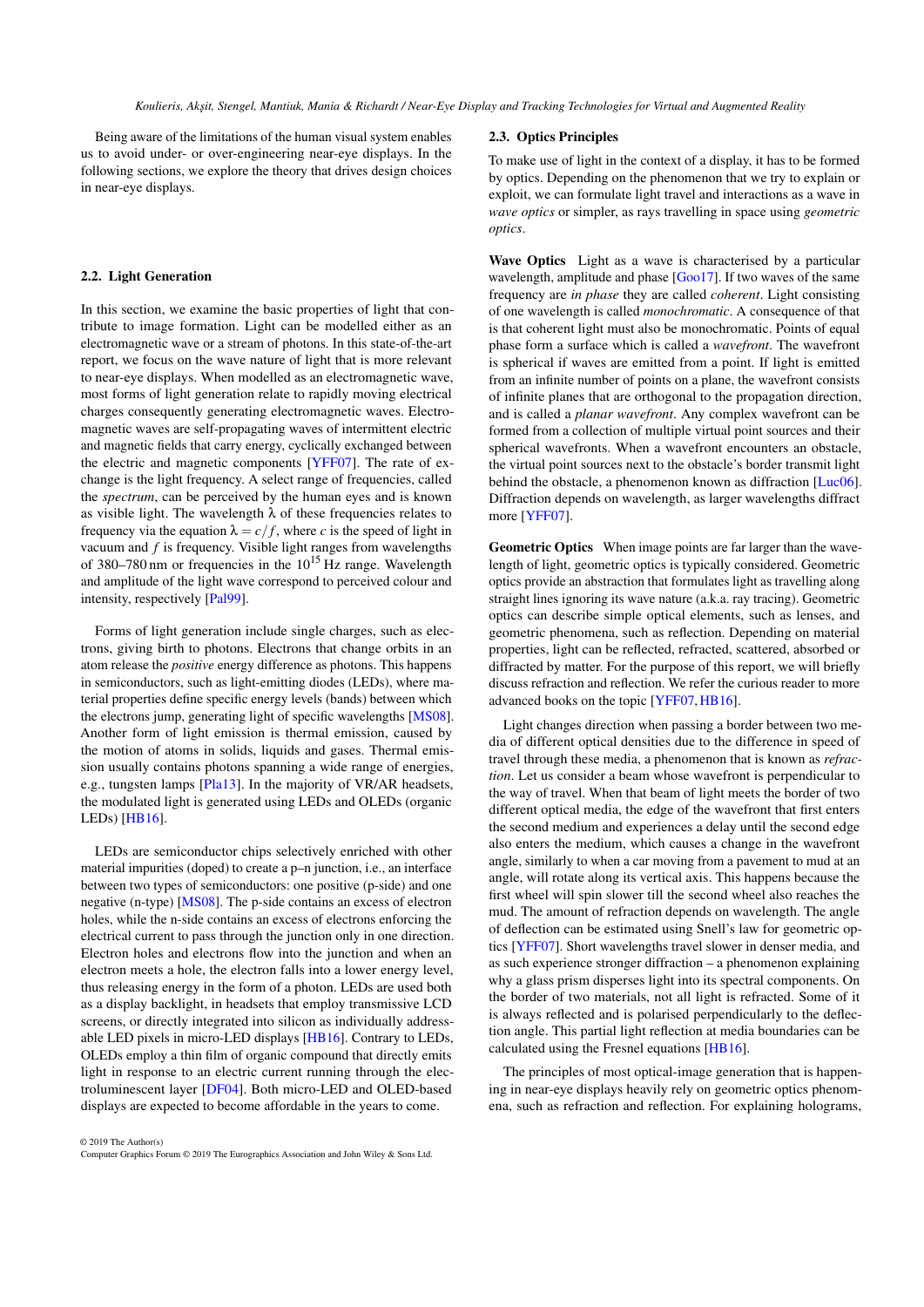<span id="page-4-0"></span>Being aware of the limitations of the human visual system enables us to avoid under- or over-engineering near-eye displays. In the following sections, we explore the theory that drives design choices in near-eye displays.

## 2.2. Light Generation

In this section, we examine the basic properties of light that contribute to image formation. Light can be modelled either as an electromagnetic wave or a stream of photons. In this state-of-the-art report, we focus on the wave nature of light that is more relevant to near-eye displays. When modelled as an electromagnetic wave, most forms of light generation relate to rapidly moving electrical charges consequently generating electromagnetic waves. Electromagnetic waves are self-propagating waves of intermittent electric and magnetic fields that carry energy, cyclically exchanged between the electric and magnetic components [\[YFF07\]](#page-24-9). The rate of exchange is the light frequency. A select range of frequencies, called the *spectrum*, can be perceived by the human eyes and is known as visible light. The wavelength  $\lambda$  of these frequencies relates to frequency via the equation  $\lambda = c/f$ , where *c* is the speed of light in vacuum and *f* is frequency. Visible light ranges from wavelengths of 380–780 nm or frequencies in the  $10^{15}$  Hz range. Wavelength and amplitude of the light wave correspond to perceived colour and intensity, respectively [\[Pal99\]](#page-22-0).

Forms of light generation include single charges, such as electrons, giving birth to photons. Electrons that change orbits in an atom release the *positive* energy difference as photons. This happens in semiconductors, such as light-emitting diodes (LEDs), where material properties define specific energy levels (bands) between which the electrons jump, generating light of specific wavelengths [\[MS08\]](#page-21-3). Another form of light emission is thermal emission, caused by the motion of atoms in solids, liquids and gases. Thermal emission usually contains photons spanning a wide range of energies, e.g., tungsten lamps [\[Pla13\]](#page-22-7). In the majority of VR/AR headsets, the modulated light is generated using LEDs and OLEDs (organic LEDs) [\[HB16\]](#page-19-7).

LEDs are semiconductor chips selectively enriched with other material impurities (doped) to create a p–n junction, i.e., an interface between two types of semiconductors: one positive (p-side) and one negative (n-type) [\[MS08\]](#page-21-3). The p-side contains an excess of electron holes, while the n-side contains an excess of electrons enforcing the electrical current to pass through the junction only in one direction. Electron holes and electrons flow into the junction and when an electron meets a hole, the electron falls into a lower energy level, thus releasing energy in the form of a photon. LEDs are used both as a display backlight, in headsets that employ transmissive LCD screens, or directly integrated into silicon as individually addressable LED pixels in micro-LED displays [\[HB16\]](#page-19-7). Contrary to LEDs, OLEDs employ a thin film of organic compound that directly emits light in response to an electric current running through the electroluminescent layer [\[DF04\]](#page-18-5). Both micro-LED and OLED-based displays are expected to become affordable in the years to come.

## 2.3. Optics Principles

To make use of light in the context of a display, it has to be formed by optics. Depending on the phenomenon that we try to explain or exploit, we can formulate light travel and interactions as a wave in *wave optics* or simpler, as rays travelling in space using *geometric optics*.

Wave Optics Light as a wave is characterised by a particular wavelength, amplitude and phase [\[Goo17\]](#page-19-8). If two waves of the same frequency are *in phase* they are called *coherent*. Light consisting of one wavelength is called *monochromatic*. A consequence of that is that coherent light must also be monochromatic. Points of equal phase form a surface which is called a *wavefront*. The wavefront is spherical if waves are emitted from a point. If light is emitted from an infinite number of points on a plane, the wavefront consists of infinite planes that are orthogonal to the propagation direction, and is called a *planar wavefront*. Any complex wavefront can be formed from a collection of multiple virtual point sources and their spherical wavefronts. When a wavefront encounters an obstacle, the virtual point sources next to the obstacle's border transmit light behind the obstacle, a phenomenon known as diffraction [\[Luc06\]](#page-21-4). Diffraction depends on wavelength, as larger wavelengths diffract more [\[YFF07\]](#page-24-9).

Geometric Optics When image points are far larger than the wavelength of light, geometric optics is typically considered. Geometric optics provide an abstraction that formulates light as travelling along straight lines ignoring its wave nature (a.k.a. ray tracing). Geometric optics can describe simple optical elements, such as lenses, and geometric phenomena, such as reflection. Depending on material properties, light can be reflected, refracted, scattered, absorbed or diffracted by matter. For the purpose of this report, we will briefly discuss refraction and reflection. We refer the curious reader to more advanced books on the topic [\[YFF07,](#page-24-9)[HB16\]](#page-19-7).

Light changes direction when passing a border between two media of different optical densities due to the difference in speed of travel through these media, a phenomenon that is known as *refraction*. Let us consider a beam whose wavefront is perpendicular to the way of travel. When that beam of light meets the border of two different optical media, the edge of the wavefront that first enters the second medium and experiences a delay until the second edge also enters the medium, which causes a change in the wavefront angle, similarly to when a car moving from a pavement to mud at an angle, will rotate along its vertical axis. This happens because the first wheel will spin slower till the second wheel also reaches the mud. The amount of refraction depends on wavelength. The angle of deflection can be estimated using Snell's law for geometric optics [\[YFF07\]](#page-24-9). Short wavelengths travel slower in denser media, and as such experience stronger diffraction – a phenomenon explaining why a glass prism disperses light into its spectral components. On the border of two materials, not all light is refracted. Some of it is always reflected and is polarised perpendicularly to the deflection angle. This partial light reflection at media boundaries can be calculated using the Fresnel equations [\[HB16\]](#page-19-7).

The principles of most optical-image generation that is happening in near-eye displays heavily rely on geometric optics phenomena, such as refraction and reflection. For explaining holograms,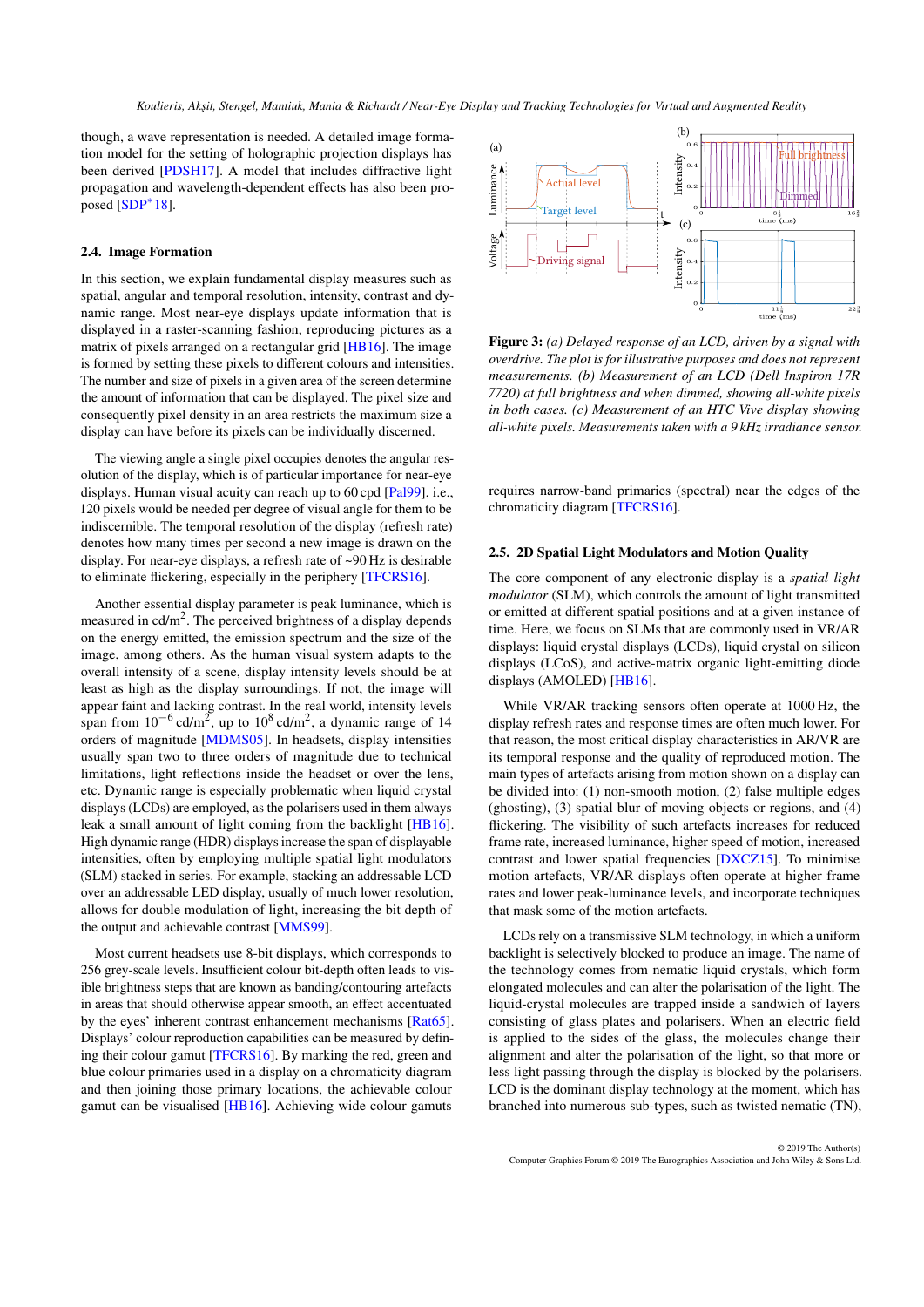<span id="page-5-1"></span>though, a wave representation is needed. A detailed image formation model for the setting of holographic projection displays has been derived [\[PDSH17\]](#page-22-8). A model that includes diffractive light propagation and wavelength-dependent effects has also been pro- $_{\rm posed}$  [\[SDP](#page-22-9) $^*$ 18].

## 2.4. Image Formation

In this section, we explain fundamental display measures such as spatial, angular and temporal resolution, intensity, contrast and dynamic range. Most near-eye displays update information that is displayed in a raster-scanning fashion, reproducing pictures as a matrix of pixels arranged on a rectangular grid [\[HB16\]](#page-19-7). The image is formed by setting these pixels to different colours and intensities. The number and size of pixels in a given area of the screen determine the amount of information that can be displayed. The pixel size and consequently pixel density in an area restricts the maximum size a display can have before its pixels can be individually discerned.

The viewing angle a single pixel occupies denotes the angular resolution of the display, which is of particular importance for near-eye displays. Human visual acuity can reach up to 60 cpd [\[Pal99\]](#page-22-0), i.e., 120 pixels would be needed per degree of visual angle for them to be indiscernible. The temporal resolution of the display (refresh rate) denotes how many times per second a new image is drawn on the display. For near-eye displays, a refresh rate of ~90 Hz is desirable to eliminate flickering, especially in the periphery [\[TFCRS16\]](#page-23-8).

Another essential display parameter is peak luminance, which is measured in  $cd/m^2$ . The perceived brightness of a display depends on the energy emitted, the emission spectrum and the size of the image, among others. As the human visual system adapts to the overall intensity of a scene, display intensity levels should be at least as high as the display surroundings. If not, the image will appear faint and lacking contrast. In the real world, intensity levels span from  $10^{-6}$  cd/m<sup>2</sup>, up to  $10^8$  cd/m<sup>2</sup>, a dynamic range of 14 orders of magnitude [\[MDMS05\]](#page-21-5). In headsets, display intensities usually span two to three orders of magnitude due to technical limitations, light reflections inside the headset or over the lens, etc. Dynamic range is especially problematic when liquid crystal displays (LCDs) are employed, as the polarisers used in them always leak a small amount of light coming from the backlight [\[HB16\]](#page-19-7). High dynamic range (HDR) displays increase the span of displayable intensities, often by employing multiple spatial light modulators (SLM) stacked in series. For example, stacking an addressable LCD over an addressable LED display, usually of much lower resolution, allows for double modulation of light, increasing the bit depth of the output and achievable contrast [\[MMS99\]](#page-21-6).

Most current headsets use 8-bit displays, which corresponds to 256 grey-scale levels. Insufficient colour bit-depth often leads to visible brightness steps that are known as banding/contouring artefacts in areas that should otherwise appear smooth, an effect accentuated by the eyes' inherent contrast enhancement mechanisms [\[Rat65\]](#page-22-10). Displays' colour reproduction capabilities can be measured by defining their colour gamut [\[TFCRS16\]](#page-23-8). By marking the red, green and blue colour primaries used in a display on a chromaticity diagram and then joining those primary locations, the achievable colour gamut can be visualised [\[HB16\]](#page-19-7). Achieving wide colour gamuts



<span id="page-5-0"></span>Figure 3: *(a) Delayed response of an LCD, driven by a signal with overdrive. The plot is for illustrative purposes and does not represent measurements. (b) Measurement of an LCD (Dell Inspiron 17R 7720) at full brightness and when dimmed, showing all-white pixels in both cases. (c) Measurement of an HTC Vive display showing all-white pixels. Measurements taken with a 9 kHz irradiance sensor.*

requires narrow-band primaries (spectral) near the edges of the chromaticity diagram [\[TFCRS16\]](#page-23-8).

## 2.5. 2D Spatial Light Modulators and Motion Quality

The core component of any electronic display is a *spatial light modulator* (SLM), which controls the amount of light transmitted or emitted at different spatial positions and at a given instance of time. Here, we focus on SLMs that are commonly used in VR/AR displays: liquid crystal displays (LCDs), liquid crystal on silicon displays (LCoS), and active-matrix organic light-emitting diode displays (AMOLED) [\[HB16\]](#page-19-7).

While VR/AR tracking sensors often operate at 1000 Hz, the display refresh rates and response times are often much lower. For that reason, the most critical display characteristics in AR/VR are its temporal response and the quality of reproduced motion. The main types of artefacts arising from motion shown on a display can be divided into: (1) non-smooth motion, (2) false multiple edges (ghosting), (3) spatial blur of moving objects or regions, and (4) flickering. The visibility of such artefacts increases for reduced frame rate, increased luminance, higher speed of motion, increased contrast and lower spatial frequencies [\[DXCZ15\]](#page-18-6). To minimise motion artefacts, VR/AR displays often operate at higher frame rates and lower peak-luminance levels, and incorporate techniques that mask some of the motion artefacts.

LCDs rely on a transmissive SLM technology, in which a uniform backlight is selectively blocked to produce an image. The name of the technology comes from nematic liquid crystals, which form elongated molecules and can alter the polarisation of the light. The liquid-crystal molecules are trapped inside a sandwich of layers consisting of glass plates and polarisers. When an electric field is applied to the sides of the glass, the molecules change their alignment and alter the polarisation of the light, so that more or less light passing through the display is blocked by the polarisers. LCD is the dominant display technology at the moment, which has branched into numerous sub-types, such as twisted nematic (TN),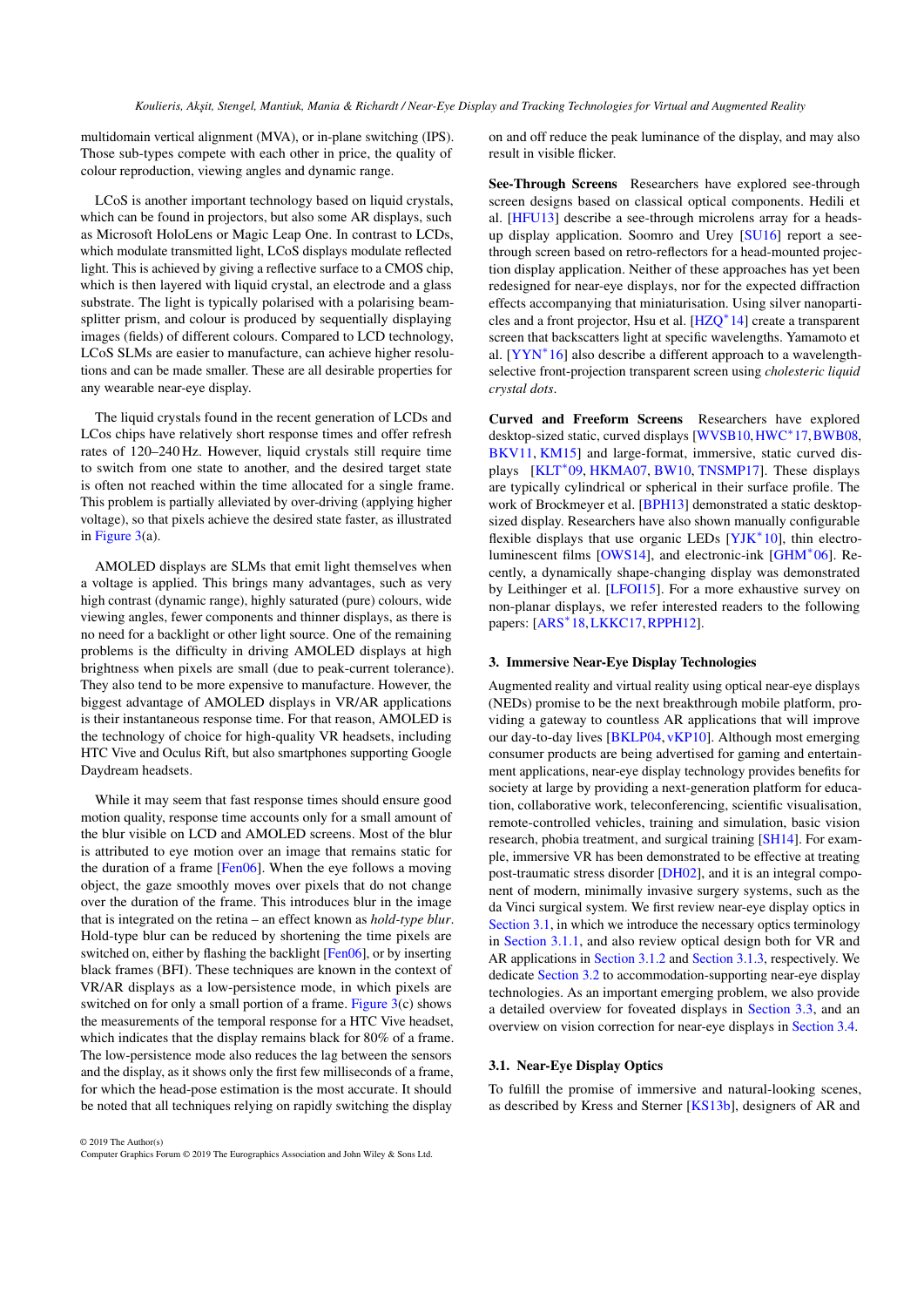<span id="page-6-1"></span>multidomain vertical alignment (MVA), or in-plane switching (IPS). Those sub-types compete with each other in price, the quality of colour reproduction, viewing angles and dynamic range.

LCoS is another important technology based on liquid crystals, which can be found in projectors, but also some AR displays, such as Microsoft HoloLens or Magic Leap One. In contrast to LCDs, which modulate transmitted light, LCoS displays modulate reflected light. This is achieved by giving a reflective surface to a CMOS chip, which is then layered with liquid crystal, an electrode and a glass substrate. The light is typically polarised with a polarising beamsplitter prism, and colour is produced by sequentially displaying images (fields) of different colours. Compared to LCD technology, LCoS SLMs are easier to manufacture, can achieve higher resolutions and can be made smaller. These are all desirable properties for any wearable near-eye display.

The liquid crystals found in the recent generation of LCDs and LCos chips have relatively short response times and offer refresh rates of 120–240 Hz. However, liquid crystals still require time to switch from one state to another, and the desired target state is often not reached within the time allocated for a single frame. This problem is partially alleviated by over-driving (applying higher voltage), so that pixels achieve the desired state faster, as illustrated in [Figure 3\(](#page-5-0)a).

AMOLED displays are SLMs that emit light themselves when a voltage is applied. This brings many advantages, such as very high contrast (dynamic range), highly saturated (pure) colours, wide viewing angles, fewer components and thinner displays, as there is no need for a backlight or other light source. One of the remaining problems is the difficulty in driving AMOLED displays at high brightness when pixels are small (due to peak-current tolerance). They also tend to be more expensive to manufacture. However, the biggest advantage of AMOLED displays in VR/AR applications is their instantaneous response time. For that reason, AMOLED is the technology of choice for high-quality VR headsets, including HTC Vive and Oculus Rift, but also smartphones supporting Google Daydream headsets.

While it may seem that fast response times should ensure good motion quality, response time accounts only for a small amount of the blur visible on LCD and AMOLED screens. Most of the blur is attributed to eye motion over an image that remains static for the duration of a frame [\[Fen06\]](#page-18-7). When the eye follows a moving object, the gaze smoothly moves over pixels that do not change over the duration of the frame. This introduces blur in the image that is integrated on the retina – an effect known as *hold-type blur*. Hold-type blur can be reduced by shortening the time pixels are switched on, either by flashing the backlight [\[Fen06\]](#page-18-7), or by inserting black frames (BFI). These techniques are known in the context of VR/AR displays as a low-persistence mode, in which pixels are switched on for only a small portion of a frame. [Figure 3\(](#page-5-0)c) shows the measurements of the temporal response for a HTC Vive headset, which indicates that the display remains black for 80% of a frame. The low-persistence mode also reduces the lag between the sensors and the display, as it shows only the first few milliseconds of a frame, for which the head-pose estimation is the most accurate. It should be noted that all techniques relying on rapidly switching the display

© 2019 The Author(s) Computer Graphics Forum © 2019 The Eurographics Association and John Wiley & Sons Ltd. on and off reduce the peak luminance of the display, and may also result in visible flicker.

See-Through Screens Researchers have explored see-through screen designs based on classical optical components. Hedili et al. [\[HFU13\]](#page-19-9) describe a see-through microlens array for a headsup display application. Soomro and Urey [\[SU16\]](#page-23-9) report a seethrough screen based on retro-reflectors for a head-mounted projection display application. Neither of these approaches has yet been redesigned for near-eye displays, nor for the expected diffraction effects accompanying that miniaturisation. Using silver nanoparticles and a front projector, Hsu et al. [\[HZQ](#page-19-10)<sup>∗</sup> 14] create a transparent screen that backscatters light at specific wavelengths. Yamamoto et al. [\[YYN](#page-24-10)<sup>\*</sup>16] also describe a different approach to a wavelengthselective front-projection transparent screen using *cholesteric liquid crystal dots*.

Curved and Freeform Screens Researchers have explored desktop-sized static, curved displays [\[WVSB10,](#page-24-11) [HWC](#page-19-11)<sup>\*</sup>17, BWB08, [BKV11,](#page-17-6) [KM15\]](#page-20-7) and large-format, immersive, static curved dis-plays [\[KLT](#page-20-8)<sup>\*</sup>09, [HKMA07,](#page-19-12) [BW10,](#page-17-7) [TNSMP17\]](#page-23-10). These displays are typically cylindrical or spherical in their surface profile. The work of Brockmeyer et al. [\[BPH13\]](#page-17-8) demonstrated a static desktopsized display. Researchers have also shown manually configurable flexible displays that use organic LEDs [\[YJK](#page-24-12)<sup>\*10]</sup>, thin electroluminescent films [\[OWS14\]](#page-22-11), and electronic-ink [\[GHM](#page-19-13)<sup>∗</sup> 06]. Recently, a dynamically shape-changing display was demonstrated by Leithinger et al. [\[LFOI15\]](#page-20-9). For a more exhaustive survey on non-planar displays, we refer interested readers to the following papers: [\[ARS](#page-17-9)<sup>\*</sup>18,[LKKC17,](#page-20-10)[RPPH12\]](#page-22-12).

#### 3. Immersive Near-Eye Display Technologies

Augmented reality and virtual reality using optical near-eye displays (NEDs) promise to be the next breakthrough mobile platform, providing a gateway to countless AR applications that will improve our day-to-day lives [\[BKLP04,](#page-17-10) [vKP10\]](#page-24-13). Although most emerging consumer products are being advertised for gaming and entertainment applications, near-eye display technology provides benefits for society at large by providing a next-generation platform for education, collaborative work, teleconferencing, scientific visualisation, remote-controlled vehicles, training and simulation, basic vision research, phobia treatment, and surgical training [\[SH14\]](#page-23-11). For example, immersive VR has been demonstrated to be effective at treating post-traumatic stress disorder [\[DH02\]](#page-18-9), and it is an integral component of modern, minimally invasive surgery systems, such as the da Vinci surgical system. We first review near-eye display optics in [Section 3.1,](#page-6-0) in which we introduce the necessary optics terminology in [Section 3.1.1,](#page-7-0) and also review optical design both for VR and AR applications in [Section 3.1.2](#page-7-1) and [Section 3.1.3,](#page-7-2) respectively. We dedicate [Section 3.2](#page-8-0) to accommodation-supporting near-eye display technologies. As an important emerging problem, we also provide a detailed overview for foveated displays in [Section 3.3,](#page-8-1) and an overview on vision correction for near-eye displays in [Section 3.4.](#page-9-0)

#### <span id="page-6-0"></span>3.1. Near-Eye Display Optics

To fulfill the promise of immersive and natural-looking scenes, as described by Kress and Sterner [\[KS13b\]](#page-20-11), designers of AR and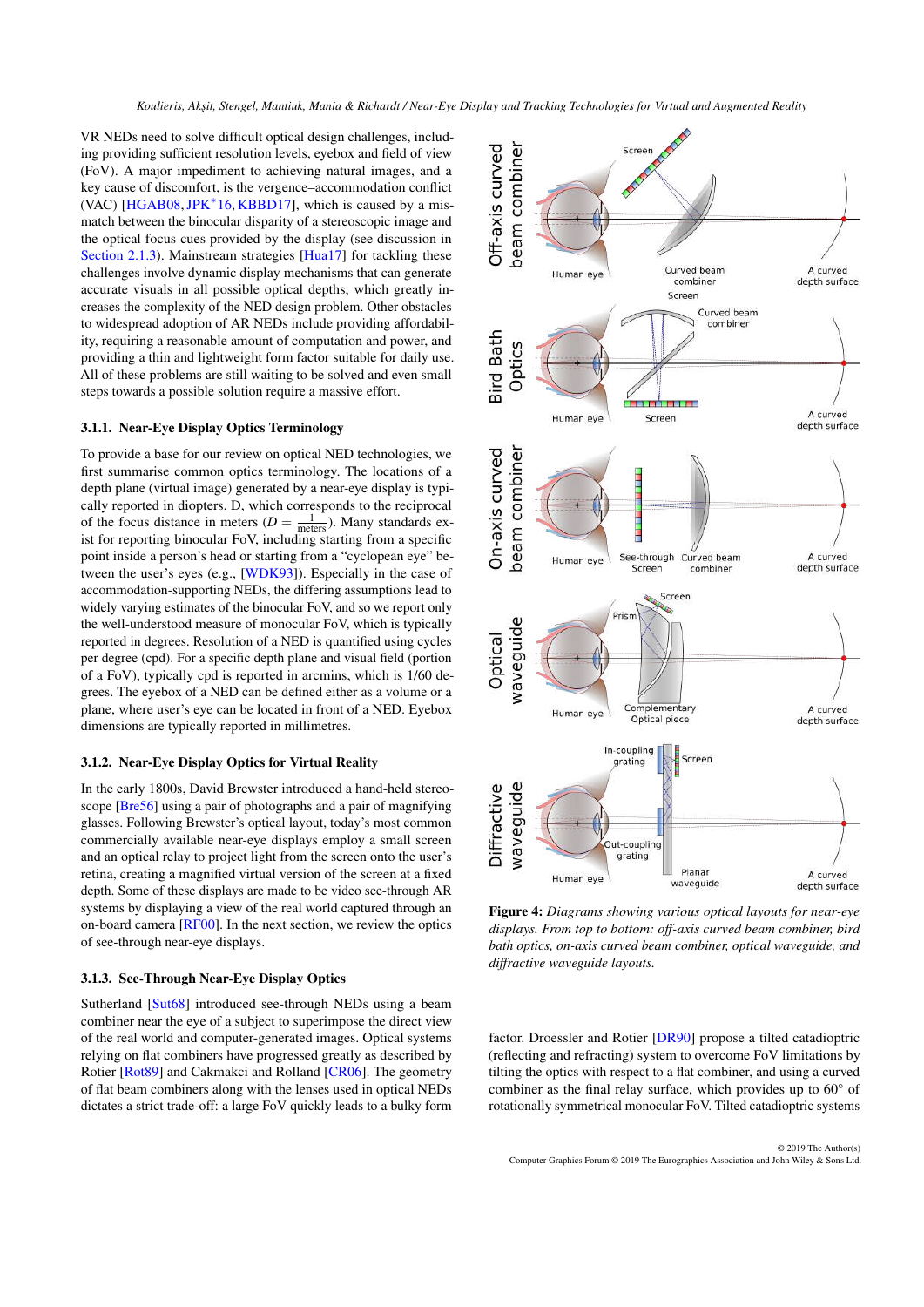<span id="page-7-3"></span>VR NEDs need to solve difficult optical design challenges, including providing sufficient resolution levels, eyebox and field of view (FoV). A major impediment to achieving natural images, and a key cause of discomfort, is the vergence–accommodation conflict (VAC) [\[HGAB08,](#page-19-14) [JPK](#page-19-15)<sup>\*</sup>16, [KBBD17\]](#page-20-12), which is caused by a mismatch between the binocular disparity of a stereoscopic image and the optical focus cues provided by the display (see discussion in [Section 2.1.3\)](#page-2-1). Mainstream strategies [\[Hua17\]](#page-19-16) for tackling these challenges involve dynamic display mechanisms that can generate accurate visuals in all possible optical depths, which greatly increases the complexity of the NED design problem. Other obstacles to widespread adoption of AR NEDs include providing affordability, requiring a reasonable amount of computation and power, and providing a thin and lightweight form factor suitable for daily use. All of these problems are still waiting to be solved and even small steps towards a possible solution require a massive effort.

## <span id="page-7-0"></span>3.1.1. Near-Eye Display Optics Terminology

To provide a base for our review on optical NED technologies, we first summarise common optics terminology. The locations of a depth plane (virtual image) generated by a near-eye display is typically reported in diopters, D, which corresponds to the reciprocal of the focus distance in meters ( $D = \frac{1}{\text{meters}}$ ). Many standards exist for reporting binocular FoV, including starting from a specific point inside a person's head or starting from a "cyclopean eye" between the user's eyes (e.g., [\[WDK93\]](#page-24-14)). Especially in the case of accommodation-supporting NEDs, the differing assumptions lead to widely varying estimates of the binocular FoV, and so we report only the well-understood measure of monocular FoV, which is typically reported in degrees. Resolution of a NED is quantified using cycles per degree (cpd). For a specific depth plane and visual field (portion of a FoV), typically cpd is reported in arcmins, which is 1/60 degrees. The eyebox of a NED can be defined either as a volume or a plane, where user's eye can be located in front of a NED. Eyebox dimensions are typically reported in millimetres.

# <span id="page-7-1"></span>3.1.2. Near-Eye Display Optics for Virtual Reality

In the early 1800s, David Brewster introduced a hand-held stereoscope [\[Bre56\]](#page-17-11) using a pair of photographs and a pair of magnifying glasses. Following Brewster's optical layout, today's most common commercially available near-eye displays employ a small screen and an optical relay to project light from the screen onto the user's retina, creating a magnified virtual version of the screen at a fixed depth. Some of these displays are made to be video see-through AR systems by displaying a view of the real world captured through an on-board camera [\[RF00\]](#page-22-13). In the next section, we review the optics of see-through near-eye displays.

## <span id="page-7-2"></span>3.1.3. See-Through Near-Eye Display Optics

Sutherland [\[Sut68\]](#page-23-12) introduced see-through NEDs using a beam combiner near the eye of a subject to superimpose the direct view of the real world and computer-generated images. Optical systems relying on flat combiners have progressed greatly as described by Rotier [\[Rot89\]](#page-22-14) and Cakmakci and Rolland [\[CR06\]](#page-18-10). The geometry of flat beam combiners along with the lenses used in optical NEDs dictates a strict trade-off: a large FoV quickly leads to a bulky form



Figure 4: *Diagrams showing various optical layouts for near-eye displays. From top to bottom: off-axis curved beam combiner, bird bath optics, on-axis curved beam combiner, optical waveguide, and diffractive waveguide layouts.*

factor. Droessler and Rotier [\[DR90\]](#page-18-11) propose a tilted catadioptric (reflecting and refracting) system to overcome FoV limitations by tilting the optics with respect to a flat combiner, and using a curved combiner as the final relay surface, which provides up to 60° of rotationally symmetrical monocular FoV. Tilted catadioptric systems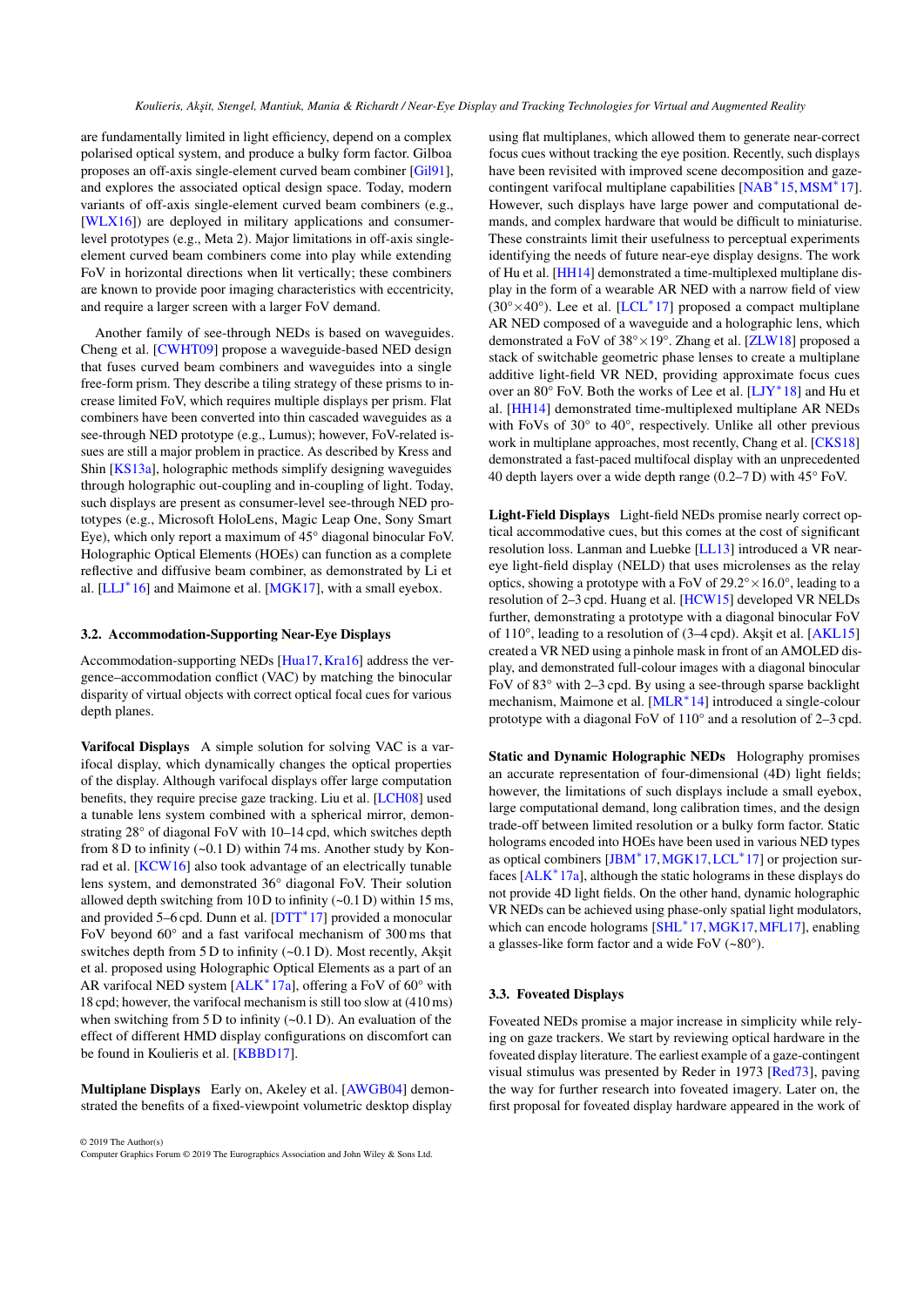<span id="page-8-2"></span>are fundamentally limited in light efficiency, depend on a complex polarised optical system, and produce a bulky form factor. Gilboa proposes an off-axis single-element curved beam combiner [\[Gil91\]](#page-19-17), and explores the associated optical design space. Today, modern variants of off-axis single-element curved beam combiners (e.g., [\[WLX16\]](#page-24-15)) are deployed in military applications and consumerlevel prototypes (e.g., Meta 2). Major limitations in off-axis singleelement curved beam combiners come into play while extending FoV in horizontal directions when lit vertically; these combiners are known to provide poor imaging characteristics with eccentricity, and require a larger screen with a larger FoV demand.

Another family of see-through NEDs is based on waveguides. Cheng et al. [\[CWHT09\]](#page-18-12) propose a waveguide-based NED design that fuses curved beam combiners and waveguides into a single free-form prism. They describe a tiling strategy of these prisms to increase limited FoV, which requires multiple displays per prism. Flat combiners have been converted into thin cascaded waveguides as a see-through NED prototype (e.g., Lumus); however, FoV-related issues are still a major problem in practice. As described by Kress and Shin [\[KS13a\]](#page-20-13), holographic methods simplify designing waveguides through holographic out-coupling and in-coupling of light. Today, such displays are present as consumer-level see-through NED prototypes (e.g., Microsoft HoloLens, Magic Leap One, Sony Smart Eye), which only report a maximum of 45° diagonal binocular FoV. Holographic Optical Elements (HOEs) can function as a complete reflective and diffusive beam combiner, as demonstrated by Li et al.  $[LLJ^*16]$  $[LLJ^*16]$  and Maimone et al.  $[MGK17]$ , with a small eyebox.

# <span id="page-8-0"></span>3.2. Accommodation-Supporting Near-Eye Displays

Accommodation-supporting NEDs [\[Hua17,](#page-19-16) [Kra16\]](#page-20-15) address the vergence–accommodation conflict (VAC) by matching the binocular disparity of virtual objects with correct optical focal cues for various depth planes.

Varifocal Displays A simple solution for solving VAC is a varifocal display, which dynamically changes the optical properties of the display. Although varifocal displays offer large computation benefits, they require precise gaze tracking. Liu et al. [\[LCH08\]](#page-20-16) used a tunable lens system combined with a spherical mirror, demonstrating 28° of diagonal FoV with 10–14 cpd, which switches depth from 8 D to infinity  $(-0.1 \text{ D})$  within 74 ms. Another study by Konrad et al. [\[KCW16\]](#page-20-17) also took advantage of an electrically tunable lens system, and demonstrated 36° diagonal FoV. Their solution allowed depth switching from 10 D to infinity (~0.1 D) within 15 ms, and provided 5–6 cpd. Dunn et al. [\[DTT](#page-18-13)<sup>\*</sup>17] provided a monocular FoV beyond 60° and a fast varifocal mechanism of 300 ms that switches depth from  $5 D$  to infinity  $(-0.1 D)$ . Most recently, Akşit et al. proposed using Holographic Optical Elements as a part of an AR varifocal NED system [\[ALK](#page-17-12)<sup>∗</sup> 17a], offering a FoV of 60° with 18 cpd; however, the varifocal mechanism is still too slow at (410 ms) when switching from 5 D to infinity  $(\sim 0.1 \text{ D})$ . An evaluation of the effect of different HMD display configurations on discomfort can be found in Koulieris et al. [\[KBBD17\]](#page-20-12).

Multiplane Displays Early on, Akeley et al. [\[AWGB04\]](#page-17-13) demonstrated the benefits of a fixed-viewpoint volumetric desktop display

© 2019 The Author(s) Computer Graphics Forum © 2019 The Eurographics Association and John Wiley & Sons Ltd.

using flat multiplanes, which allowed them to generate near-correct focus cues without tracking the eye position. Recently, such displays have been revisited with improved scene decomposition and gaze-contingent varifocal multiplane capabilities [\[NAB](#page-21-8)<sup>\*</sup>15, MSM<sup>\*</sup>17]. However, such displays have large power and computational demands, and complex hardware that would be difficult to miniaturise. These constraints limit their usefulness to perceptual experiments identifying the needs of future near-eye display designs. The work of Hu et al. [\[HH14\]](#page-19-18) demonstrated a time-multiplexed multiplane display in the form of a wearable AR NED with a narrow field of view  $(30^{\circ}\times 40^{\circ})$ . Lee et al. [\[LCL](#page-20-18)<sup>\*</sup>17] proposed a compact multiplane AR NED composed of a waveguide and a holographic lens, which demonstrated a FoV of 38°×19°. Zhang et al. [\[ZLW18\]](#page-24-16) proposed a stack of switchable geometric phase lenses to create a multiplane additive light-field VR NED, providing approximate focus cues over an 80° FoV. Both the works of Lee et al. [\[LJY](#page-20-19)<sup>∗</sup> 18] and Hu et al. [\[HH14\]](#page-19-18) demonstrated time-multiplexed multiplane AR NEDs with FoVs of 30° to 40°, respectively. Unlike all other previous work in multiplane approaches, most recently, Chang et al. [\[CKS18\]](#page-18-14) demonstrated a fast-paced multifocal display with an unprecedented 40 depth layers over a wide depth range (0.2–7 D) with 45° FoV.

Light-Field Displays Light-field NEDs promise nearly correct optical accommodative cues, but this comes at the cost of significant resolution loss. Lanman and Luebke [\[LL13\]](#page-20-20) introduced a VR neareye light-field display (NELD) that uses microlenses as the relay optics, showing a prototype with a FoV of  $29.2^{\circ} \times 16.0^{\circ}$ , leading to a resolution of 2–3 cpd. Huang et al. [\[HCW15\]](#page-19-19) developed VR NELDs further, demonstrating a prototype with a diagonal binocular FoV of 110°, leading to a resolution of (3-4 cpd). Akşit et al. [\[AKL15\]](#page-17-14) created a VR NED using a pinhole mask in front of an AMOLED display, and demonstrated full-colour images with a diagonal binocular FoV of 83° with 2–3 cpd. By using a see-through sparse backlight mechanism, Maimone et al. [\[MLR](#page-21-10)<sup>∗</sup> 14] introduced a single-colour prototype with a diagonal FoV of 110° and a resolution of 2–3 cpd.

Static and Dynamic Holographic NEDs Holography promises an accurate representation of four-dimensional (4D) light fields; however, the limitations of such displays include a small eyebox, large computational demand, long calibration times, and the design trade-off between limited resolution or a bulky form factor. Static holograms encoded into HOEs have been used in various NED types as optical combiners [\[JBM](#page-19-20)<sup>\*</sup>17,[MGK17,](#page-21-7)[LCL](#page-20-18)<sup>\*</sup>17] or projection sur-faces [\[ALK](#page-17-12)<sup>\*</sup>17a], although the static holograms in these displays do not provide 4D light fields. On the other hand, dynamic holographic VR NEDs can be achieved using phase-only spatial light modulators, which can encode holograms [\[SHL](#page-23-13)<sup>\*</sup>17, MGK17, [MFL17\]](#page-21-11), enabling a glasses-like form factor and a wide FoV (~80°).

# <span id="page-8-1"></span>3.3. Foveated Displays

Foveated NEDs promise a major increase in simplicity while relying on gaze trackers. We start by reviewing optical hardware in the foveated display literature. The earliest example of a gaze-contingent visual stimulus was presented by Reder in 1973 [\[Red73\]](#page-22-15), paving the way for further research into foveated imagery. Later on, the first proposal for foveated display hardware appeared in the work of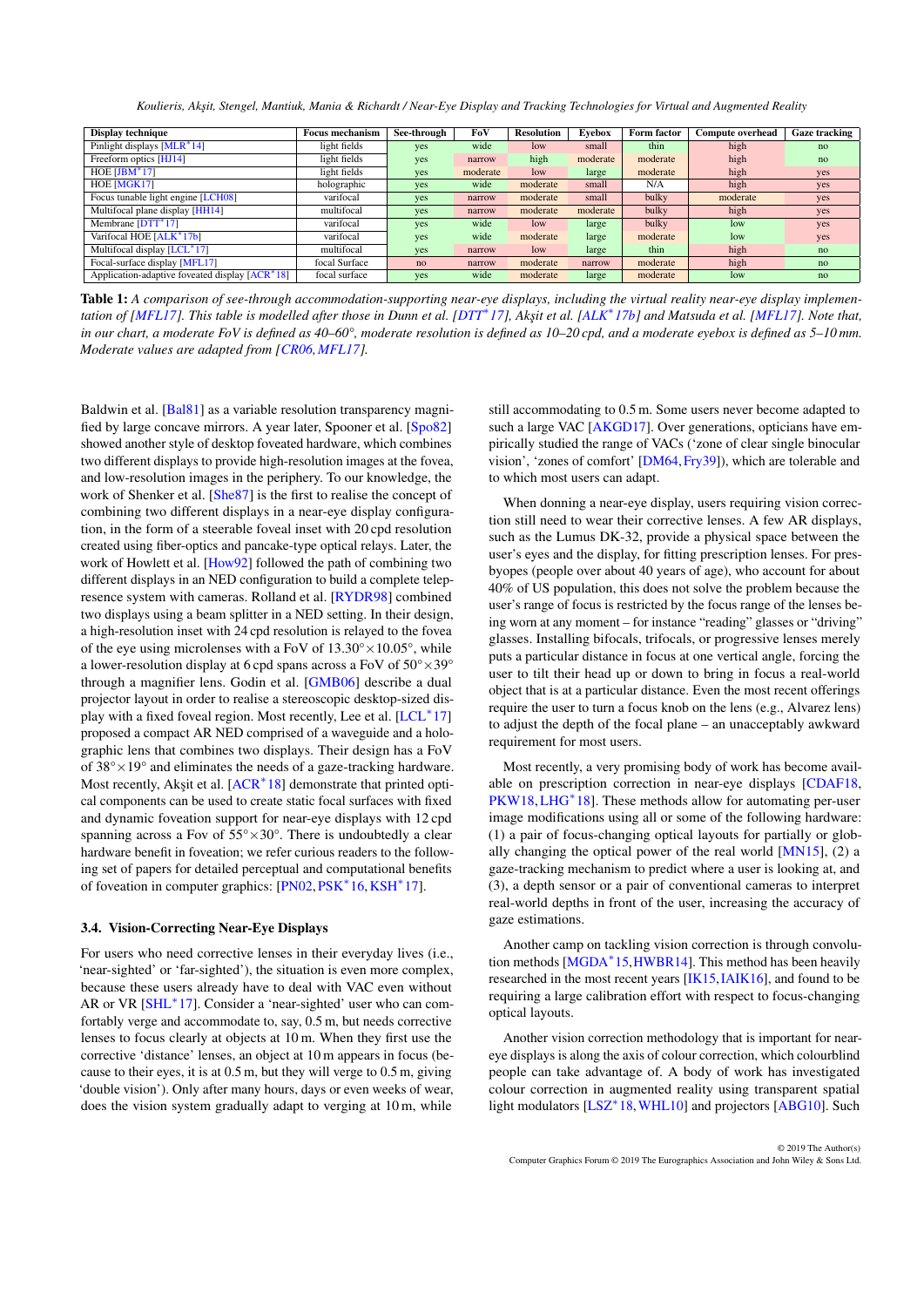*Koulieris, Ak¸sit, Stengel, Mantiuk, Mania & Richardt / Near-Eye Display and Tracking Technologies for Virtual and Augmented Reality*

<span id="page-9-1"></span>

| Display technique                                           | <b>Focus mechanism</b> | See-through | FoV      | <b>Resolution</b> | Eyebox   | Form factor | <b>Compute overhead</b> | <b>Gaze tracking</b> |
|-------------------------------------------------------------|------------------------|-------------|----------|-------------------|----------|-------------|-------------------------|----------------------|
| Pinlight displays [MLR <sup>*</sup> 14]                     | light fields           | yes         | wide     | low               | small    | thin        | high                    | no                   |
| Freeform optics [HJ14]                                      | light fields           | yes         | narrow   | high              | moderate | moderate    | high                    | no                   |
| HOE $[JBM^*17]$                                             | light fields           | yes         | moderate | low               | large    | moderate    | high                    | yes                  |
| HOE [MGK17]                                                 | holographic            | yes         | wide     | moderate          | small    | N/A         | high                    | yes                  |
| Focus tunable light engine [LCH08]                          | varifocal              | yes         | narrow   | moderate          | small    | bulky       | moderate                | yes                  |
| Multifocal plane display [HH14]                             | multifocal             | yes         | narrow   | moderate          | moderate | bulky       | high                    | yes                  |
| Membrane $[DTT^*17]$                                        | varifocal              | yes         | wide     | low               | large    | bulky       | low                     | yes                  |
| Varifocal HOE [ALK <sup>*</sup> 17b]                        | varifocal              | yes         | wide     | moderate          | large    | moderate    | low                     | yes                  |
| Multifocal display [LCL <sup>*</sup> 17]                    | multifocal             | yes         | narrow   | low               | large    | thin        | high                    | no                   |
| Focal-surface display [MFL17]                               | focal Surface          | no          | narrow   | moderate          | narrow   | moderate    | high                    | no                   |
| Application-adaptive foveated display [ACR <sup>*</sup> 18] | focal surface          | yes         | wide     | moderate          | large    | moderate    | low                     | no                   |

Table 1: *A comparison of see-through accommodation-supporting near-eye displays, including the virtual reality near-eye display implementation of [\[MFL17\]](#page-21-11). This table is modelled after those in Dunn et al. [\[DTT](#page-18-13)*<sup>∗</sup> *17], Ak¸sit et al. [\[ALK](#page-17-15)*<sup>∗</sup> *17b] and Matsuda et al. [\[MFL17\]](#page-21-11). Note that, in our chart, a moderate FoV is defined as 40–60°, moderate resolution is defined as 10–20 cpd, and a moderate eyebox is defined as 5–10 mm. Moderate values are adapted from [\[CR06,](#page-18-10)[MFL17\]](#page-21-11).*

Baldwin et al. [\[Bal81\]](#page-17-17) as a variable resolution transparency magnified by large concave mirrors. A year later, Spooner et al. [\[Spo82\]](#page-23-14) showed another style of desktop foveated hardware, which combines two different displays to provide high-resolution images at the fovea, and low-resolution images in the periphery. To our knowledge, the work of Shenker et al. [\[She87\]](#page-23-15) is the first to realise the concept of combining two different displays in a near-eye display configuration, in the form of a steerable foveal inset with 20 cpd resolution created using fiber-optics and pancake-type optical relays. Later, the work of Howlett et al. [\[How92\]](#page-19-22) followed the path of combining two different displays in an NED configuration to build a complete telepresence system with cameras. Rolland et al. [\[RYDR98\]](#page-22-16) combined two displays using a beam splitter in a NED setting. In their design, a high-resolution inset with 24 cpd resolution is relayed to the fovea of the eye using microlenses with a FoV of  $13.30^{\circ} \times 10.05^{\circ}$ , while a lower-resolution display at 6 cpd spans across a FoV of  $50^{\circ} \times 39^{\circ}$ through a magnifier lens. Godin et al. [\[GMB06\]](#page-19-23) describe a dual projector layout in order to realise a stereoscopic desktop-sized dis-play with a fixed foveal region. Most recently, Lee et al. [\[LCL](#page-20-18)<sup>\*</sup>17] proposed a compact AR NED comprised of a waveguide and a holographic lens that combines two displays. Their design has a FoV of  $38^{\circ} \times 19^{\circ}$  and eliminates the needs of a gaze-tracking hardware. Most recently, Akşit et al. [\[ACR](#page-17-16)<sup>\*</sup>18] demonstrate that printed optical components can be used to create static focal surfaces with fixed and dynamic foveation support for near-eye displays with 12 cpd spanning across a Fov of  $55^{\circ} \times 30^{\circ}$ . There is undoubtedly a clear hardware benefit in foveation; we refer curious readers to the following set of papers for detailed perceptual and computational benefits of foveation in computer graphics: [\[PN02,](#page-22-17) [PSK](#page-22-18)<sup>\*</sup>16, KSH<sup>\*</sup>17].

# <span id="page-9-0"></span>3.4. Vision-Correcting Near-Eye Displays

For users who need corrective lenses in their everyday lives (i.e., 'near-sighted' or 'far-sighted'), the situation is even more complex, because these users already have to deal with VAC even without AR or VR [\[SHL](#page-23-13)<sup>\*</sup>17]. Consider a 'near-sighted' user who can comfortably verge and accommodate to, say, 0.5 m, but needs corrective lenses to focus clearly at objects at 10 m. When they first use the corrective 'distance' lenses, an object at 10 m appears in focus (because to their eyes, it is at 0.5 m, but they will verge to 0.5 m, giving 'double vision'). Only after many hours, days or even weeks of wear, does the vision system gradually adapt to verging at 10 m, while

still accommodating to 0.5 m. Some users never become adapted to such a large VAC [\[AKGD17\]](#page-17-18). Over generations, opticians have empirically studied the range of VACs ('zone of clear single binocular vision', 'zones of comfort' [\[DM64,](#page-18-15)[Fry39\]](#page-18-16)), which are tolerable and to which most users can adapt.

When donning a near-eye display, users requiring vision correction still need to wear their corrective lenses. A few AR displays, such as the Lumus DK-32, provide a physical space between the user's eyes and the display, for fitting prescription lenses. For presbyopes (people over about 40 years of age), who account for about 40% of US population, this does not solve the problem because the user's range of focus is restricted by the focus range of the lenses being worn at any moment – for instance "reading" glasses or "driving" glasses. Installing bifocals, trifocals, or progressive lenses merely puts a particular distance in focus at one vertical angle, forcing the user to tilt their head up or down to bring in focus a real-world object that is at a particular distance. Even the most recent offerings require the user to turn a focus knob on the lens (e.g., Alvarez lens) to adjust the depth of the focal plane – an unacceptably awkward requirement for most users.

Most recently, a very promising body of work has become available on prescription correction in near-eye displays [\[CDAF18,](#page-18-17) [PKW18,](#page-22-19) [LHG](#page-20-22)<sup>\*</sup>18]. These methods allow for automating per-user image modifications using all or some of the following hardware: (1) a pair of focus-changing optical layouts for partially or globally changing the optical power of the real world [\[MN15\]](#page-21-12), (2) a gaze-tracking mechanism to predict where a user is looking at, and (3), a depth sensor or a pair of conventional cameras to interpret real-world depths in front of the user, increasing the accuracy of gaze estimations.

Another camp on tackling vision correction is through convolu-tion methods [\[MGDA](#page-21-13)<sup>\*</sup>15, HWBR14]. This method has been heavily researched in the most recent years [\[IK15,](#page-19-25)[IAIK16\]](#page-19-26), and found to be requiring a large calibration effort with respect to focus-changing optical layouts.

Another vision correction methodology that is important for neareye displays is along the axis of colour correction, which colourblind people can take advantage of. A body of work has investigated colour correction in augmented reality using transparent spatial light modulators [\[LSZ](#page-21-14)<sup>\*</sup>18, WHL10] and projectors [\[ABG10\]](#page-17-19). Such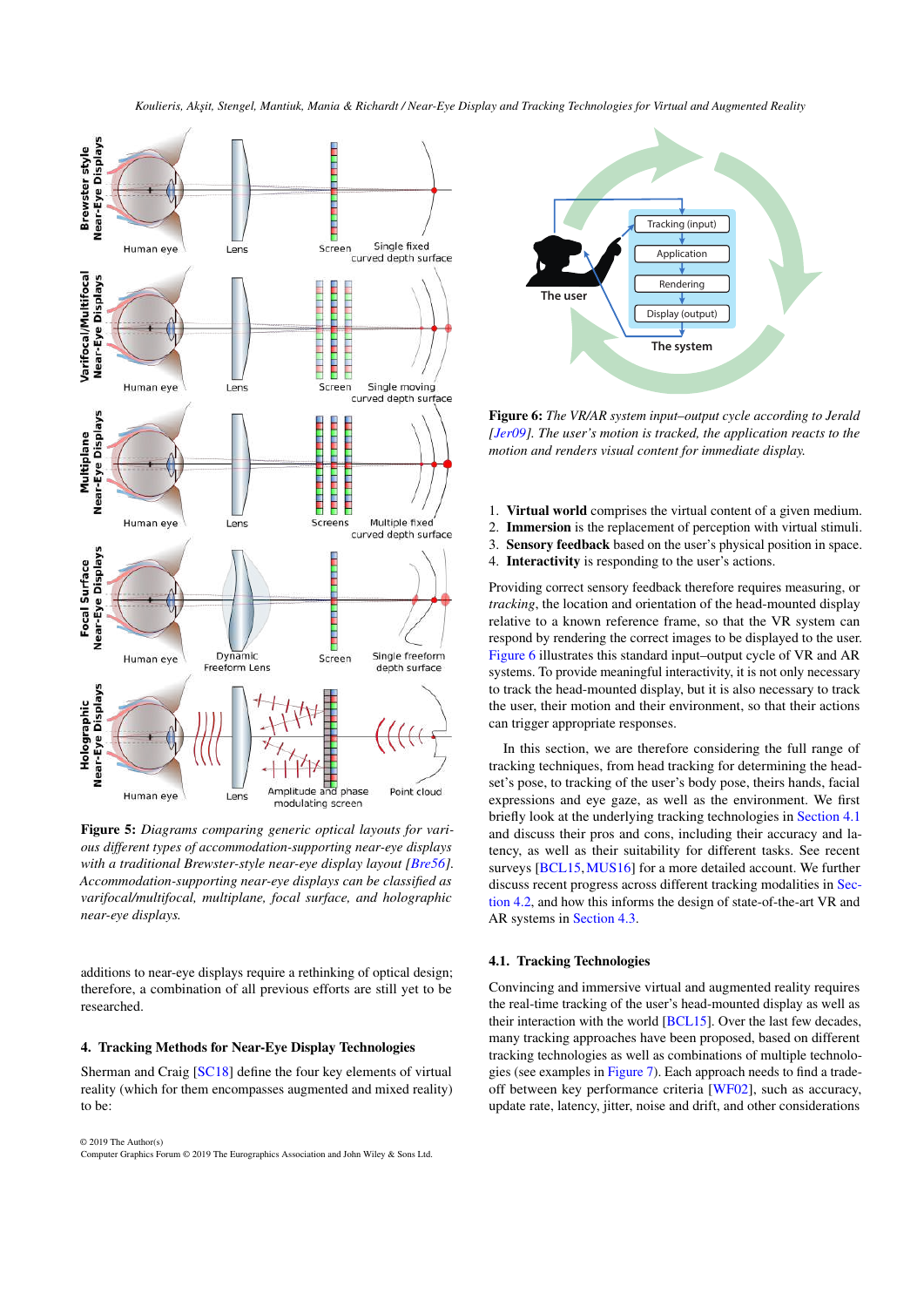<span id="page-10-3"></span>

Figure 5: *Diagrams comparing generic optical layouts for various different types of accommodation-supporting near-eye displays with a traditional Brewster-style near-eye display layout [\[Bre56\]](#page-17-11)*. *Accommodation-supporting near-eye displays can be classified as varifocal/multifocal, multiplane, focal surface, and holographic near-eye displays.*

additions to near-eye displays require a rethinking of optical design; therefore, a combination of all previous efforts are still yet to be researched.

#### <span id="page-10-0"></span>4. Tracking Methods for Near-Eye Display Technologies

Sherman and Craig [\[SC18\]](#page-22-20) define the four key elements of virtual reality (which for them encompasses augmented and mixed reality) to be:

© 2019 The Author(s) Computer Graphics Forum © 2019 The Eurographics Association and John Wiley & Sons Ltd.



<span id="page-10-1"></span>Figure 6: *The VR/AR system input–output cycle according to Jerald [\[Jer09\]](#page-19-27). The user's motion is tracked, the application reacts to the motion and renders visual content for immediate display.*

- 1. Virtual world comprises the virtual content of a given medium.
- 2. Immersion is the replacement of perception with virtual stimuli.
- 3. Sensory feedback based on the user's physical position in space.
- 4. Interactivity is responding to the user's actions.

Providing correct sensory feedback therefore requires measuring, or *tracking*, the location and orientation of the head-mounted display relative to a known reference frame, so that the VR system can respond by rendering the correct images to be displayed to the user. [Figure 6](#page-10-1) illustrates this standard input–output cycle of VR and AR systems. To provide meaningful interactivity, it is not only necessary to track the head-mounted display, but it is also necessary to track the user, their motion and their environment, so that their actions can trigger appropriate responses.

In this section, we are therefore considering the full range of tracking techniques, from head tracking for determining the headset's pose, to tracking of the user's body pose, theirs hands, facial expressions and eye gaze, as well as the environment. We first briefly look at the underlying tracking technologies in [Section 4.1](#page-10-2) and discuss their pros and cons, including their accuracy and latency, as well as their suitability for different tasks. See recent surveys [\[BCL15,](#page-17-20) [MUS16\]](#page-21-15) for a more detailed account. We further discuss recent progress across different tracking modalities in [Sec](#page-12-0)[tion 4.2,](#page-12-0) and how this informs the design of state-of-the-art VR and AR systems in [Section 4.3.](#page-14-0)

## <span id="page-10-2"></span>4.1. Tracking Technologies

Convincing and immersive virtual and augmented reality requires the real-time tracking of the user's head-mounted display as well as their interaction with the world [\[BCL15\]](#page-17-20). Over the last few decades, many tracking approaches have been proposed, based on different tracking technologies as well as combinations of multiple technologies (see examples in [Figure 7\)](#page-11-0). Each approach needs to find a tradeoff between key performance criteria [\[WF02\]](#page-24-18), such as accuracy, update rate, latency, jitter, noise and drift, and other considerations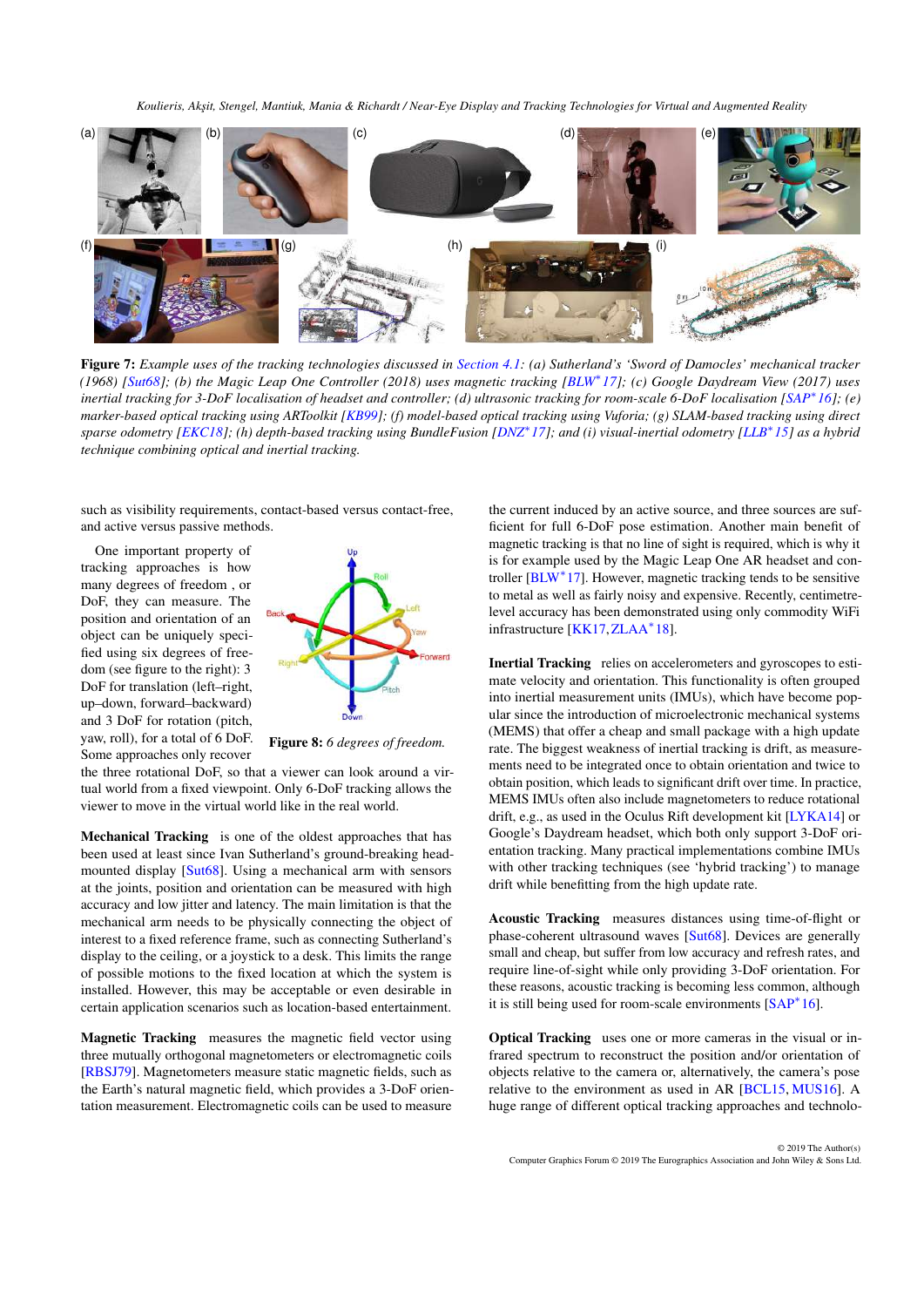<span id="page-11-1"></span>

<span id="page-11-0"></span>Figure 7: *Example uses of the tracking technologies discussed in [Section 4.1:](#page-10-2) (a) Sutherland's 'Sword of Damocles' mechanical tracker (1968) [\[Sut68\]](#page-23-12); (b) the Magic Leap One Controller (2018) uses magnetic tracking [\[BLW](#page-17-21)*<sup>∗</sup> *17]; (c) Google Daydream View (2017) uses inertial tracking for 3-DoF localisation of headset and controller; (d) ultrasonic tracking for room-scale 6-DoF localisation [\[SAP](#page-22-21)*<sup>∗</sup> *16]; (e) marker-based optical tracking using ARToolkit [\[KB99\]](#page-20-23); (f) model-based optical tracking using Vuforia; (g) SLAM-based tracking using direct sparse odometry [\[EKC18\]](#page-18-18); (h) depth-based tracking using BundleFusion [\[DNZ](#page-18-19)*<sup>∗</sup> *17]; and (i) visual-inertial odometry [\[LLB](#page-20-24)*<sup>∗</sup> *15] as a hybrid technique combining optical and inertial tracking.*

such as visibility requirements, contact-based versus contact-free, and active versus passive methods.

One important property of tracking approaches is how many degrees of freedom , or DoF, they can measure. The position and orientation of an object can be uniquely specified using six degrees of freedom (see figure to the right): 3 DoF for translation (left–right, up–down, forward–backward) and 3 DoF for rotation (pitch, yaw, roll), for a total of 6 DoF. Some approaches only recover



Figure 8: *6 degrees of freedom.*

the three rotational DoF, so that a viewer can look around a virtual world from a fixed viewpoint. Only 6-DoF tracking allows the viewer to move in the virtual world like in the real world.

Mechanical Tracking is one of the oldest approaches that has been used at least since Ivan Sutherland's ground-breaking headmounted display [\[Sut68\]](#page-23-12). Using a mechanical arm with sensors at the joints, position and orientation can be measured with high accuracy and low jitter and latency. The main limitation is that the mechanical arm needs to be physically connecting the object of interest to a fixed reference frame, such as connecting Sutherland's display to the ceiling, or a joystick to a desk. This limits the range of possible motions to the fixed location at which the system is installed. However, this may be acceptable or even desirable in certain application scenarios such as location-based entertainment.

Magnetic Tracking measures the magnetic field vector using three mutually orthogonal magnetometers or electromagnetic coils [\[RBSJ79\]](#page-22-22). Magnetometers measure static magnetic fields, such as the Earth's natural magnetic field, which provides a 3-DoF orientation measurement. Electromagnetic coils can be used to measure

the current induced by an active source, and three sources are sufficient for full 6-DoF pose estimation. Another main benefit of magnetic tracking is that no line of sight is required, which is why it is for example used by the Magic Leap One AR headset and controller [\[BLW](#page-17-21)<sup>∗</sup> 17]. However, magnetic tracking tends to be sensitive to metal as well as fairly noisy and expensive. Recently, centimetrelevel accuracy has been demonstrated using only commodity WiFi infrastructure [\[KK17,](#page-20-25)[ZLAA](#page-24-19)<sup>∗</sup> 18].

Inertial Tracking relies on accelerometers and gyroscopes to estimate velocity and orientation. This functionality is often grouped into inertial measurement units (IMUs), which have become popular since the introduction of microelectronic mechanical systems (MEMS) that offer a cheap and small package with a high update rate. The biggest weakness of inertial tracking is drift, as measurements need to be integrated once to obtain orientation and twice to obtain position, which leads to significant drift over time. In practice, MEMS IMUs often also include magnetometers to reduce rotational drift, e.g., as used in the Oculus Rift development kit [\[LYKA14\]](#page-21-16) or Google's Daydream headset, which both only support 3-DoF orientation tracking. Many practical implementations combine IMUs with other tracking techniques (see 'hybrid tracking') to manage drift while benefitting from the high update rate.

Acoustic Tracking measures distances using time-of-flight or phase-coherent ultrasound waves [\[Sut68\]](#page-23-12). Devices are generally small and cheap, but suffer from low accuracy and refresh rates, and require line-of-sight while only providing 3-DoF orientation. For these reasons, acoustic tracking is becoming less common, although it is still being used for room-scale environments [\[SAP](#page-22-21)<sup>∗</sup> 16].

Optical Tracking uses one or more cameras in the visual or infrared spectrum to reconstruct the position and/or orientation of objects relative to the camera or, alternatively, the camera's pose relative to the environment as used in AR [\[BCL15,](#page-17-20) [MUS16\]](#page-21-15). A huge range of different optical tracking approaches and technolo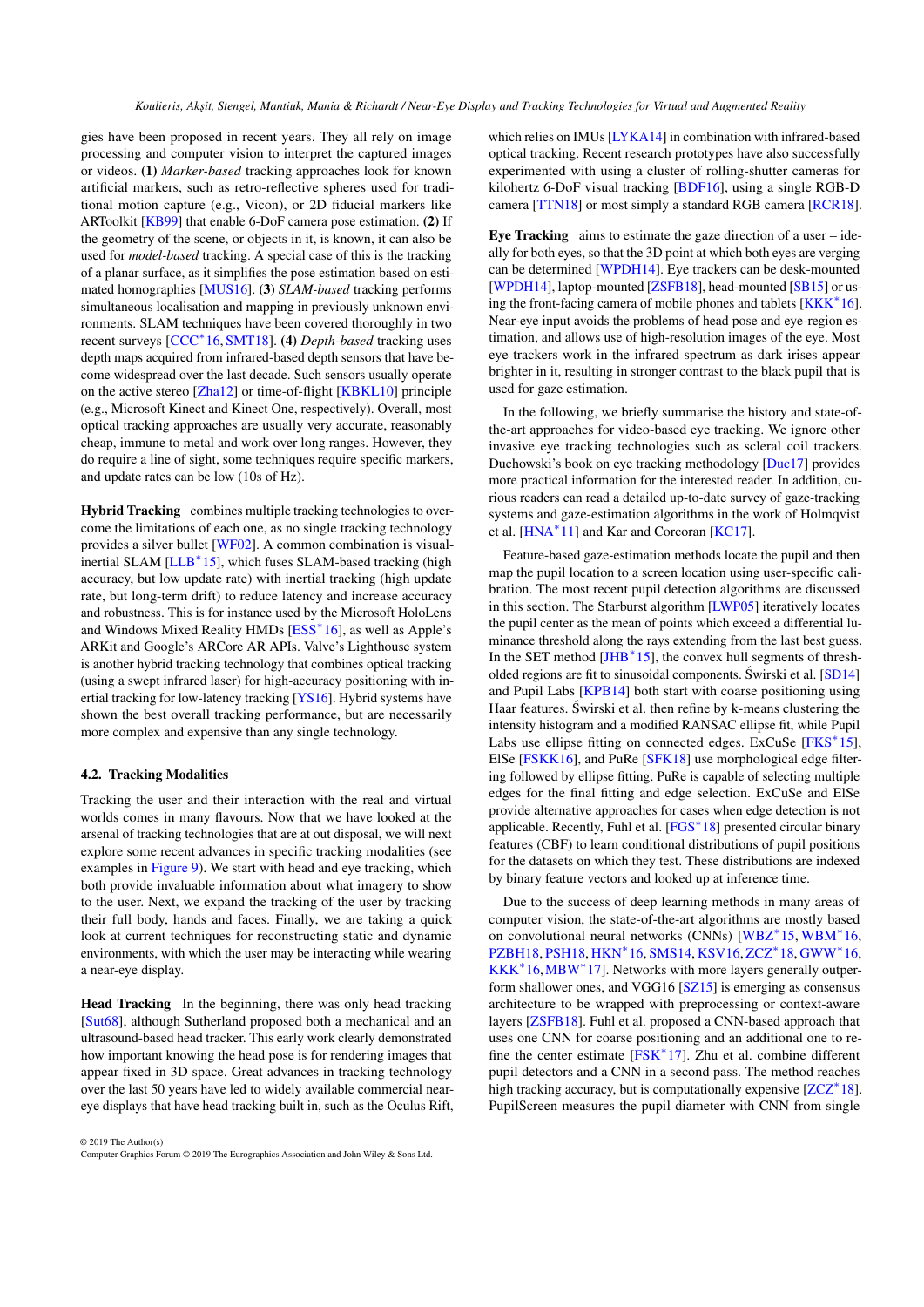<span id="page-12-1"></span>gies have been proposed in recent years. They all rely on image processing and computer vision to interpret the captured images or videos. (1) *Marker-based* tracking approaches look for known artificial markers, such as retro-reflective spheres used for traditional motion capture (e.g., Vicon), or 2D fiducial markers like ARToolkit [\[KB99\]](#page-20-23) that enable 6-DoF camera pose estimation. (2) If the geometry of the scene, or objects in it, is known, it can also be used for *model-based* tracking. A special case of this is the tracking of a planar surface, as it simplifies the pose estimation based on estimated homographies [\[MUS16\]](#page-21-15). (3) *SLAM-based* tracking performs simultaneous localisation and mapping in previously unknown environments. SLAM techniques have been covered thoroughly in two recent surveys [\[CCC](#page-18-20)<sup>∗</sup> 16[,SMT18\]](#page-23-16). (4) *Depth-based* tracking uses depth maps acquired from infrared-based depth sensors that have become widespread over the last decade. Such sensors usually operate on the active stereo [\[Zha12\]](#page-24-20) or time-of-flight [\[KBKL10\]](#page-20-26) principle (e.g., Microsoft Kinect and Kinect One, respectively). Overall, most optical tracking approaches are usually very accurate, reasonably cheap, immune to metal and work over long ranges. However, they do require a line of sight, some techniques require specific markers, and update rates can be low (10s of Hz).

Hybrid Tracking combines multiple tracking technologies to overcome the limitations of each one, as no single tracking technology provides a silver bullet [\[WF02\]](#page-24-18). A common combination is visualinertial SLAM [\[LLB](#page-20-24)<sup>∗</sup> 15], which fuses SLAM-based tracking (high accuracy, but low update rate) with inertial tracking (high update rate, but long-term drift) to reduce latency and increase accuracy and robustness. This is for instance used by the Microsoft HoloLens and Windows Mixed Reality HMDs [\[ESS](#page-18-21)<sup>\*</sup>16], as well as Apple's ARKit and Google's ARCore AR APIs. Valve's Lighthouse system is another hybrid tracking technology that combines optical tracking (using a swept infrared laser) for high-accuracy positioning with inertial tracking for low-latency tracking [\[YS16\]](#page-24-21). Hybrid systems have shown the best overall tracking performance, but are necessarily more complex and expensive than any single technology.

## <span id="page-12-0"></span>4.2. Tracking Modalities

Tracking the user and their interaction with the real and virtual worlds comes in many flavours. Now that we have looked at the arsenal of tracking technologies that are at out disposal, we will next explore some recent advances in specific tracking modalities (see examples in [Figure 9\)](#page-13-0). We start with head and eye tracking, which both provide invaluable information about what imagery to show to the user. Next, we expand the tracking of the user by tracking their full body, hands and faces. Finally, we are taking a quick look at current techniques for reconstructing static and dynamic environments, with which the user may be interacting while wearing a near-eye display.

Head Tracking In the beginning, there was only head tracking [\[Sut68\]](#page-23-12), although Sutherland proposed both a mechanical and an ultrasound-based head tracker. This early work clearly demonstrated how important knowing the head pose is for rendering images that appear fixed in 3D space. Great advances in tracking technology over the last 50 years have led to widely available commercial neareye displays that have head tracking built in, such as the Oculus Rift,

© 2019 The Author(s) Computer Graphics Forum © 2019 The Eurographics Association and John Wiley & Sons Ltd. which relies on IMUs [\[LYKA14\]](#page-21-16) in combination with infrared-based optical tracking. Recent research prototypes have also successfully experimented with using a cluster of rolling-shutter cameras for kilohertz 6-DoF visual tracking [\[BDF16\]](#page-17-22), using a single RGB-D camera [\[TTN18\]](#page-23-17) or most simply a standard RGB camera [\[RCR18\]](#page-22-23).

Eye Tracking aims to estimate the gaze direction of a user – ideally for both eyes, so that the 3D point at which both eyes are verging can be determined [\[WPDH14\]](#page-24-22). Eye trackers can be desk-mounted [\[WPDH14\]](#page-24-22), laptop-mounted [\[ZSFB18\]](#page-25-0), head-mounted [\[SB15\]](#page-22-24) or using the front-facing camera of mobile phones and tablets [\[KKK](#page-20-27)<sup>∗</sup> 16]. Near-eye input avoids the problems of head pose and eye-region estimation, and allows use of high-resolution images of the eye. Most eye trackers work in the infrared spectrum as dark irises appear brighter in it, resulting in stronger contrast to the black pupil that is used for gaze estimation.

In the following, we briefly summarise the history and state-ofthe-art approaches for video-based eye tracking. We ignore other invasive eye tracking technologies such as scleral coil trackers. Duchowski's book on eye tracking methodology [\[Duc17\]](#page-18-22) provides more practical information for the interested reader. In addition, curious readers can read a detailed up-to-date survey of gaze-tracking systems and gaze-estimation algorithms in the work of Holmqvist et al. [\[HNA](#page-19-28)<sup>\*</sup>11] and Kar and Corcoran [\[KC17\]](#page-20-28).

Feature-based gaze-estimation methods locate the pupil and then map the pupil location to a screen location using user-specific calibration. The most recent pupil detection algorithms are discussed in this section. The Starburst algorithm [\[LWP05\]](#page-21-17) iteratively locates the pupil center as the mean of points which exceed a differential luminance threshold along the rays extending from the last best guess. In the SET method [\[JHB](#page-19-29)<sup>∗</sup> 15], the convex hull segments of thresholded regions are fit to sinusoidal components. Świrski et al.  $[SD14]$  $[SD14]$ and Pupil Labs [\[KPB14\]](#page-20-29) both start with coarse positioning using Haar features. Swirski et al. then refine by k-means clustering the ´ intensity histogram and a modified RANSAC ellipse fit, while Pupil Labs use ellipse fitting on connected edges. ExCuSe [\[FKS](#page-18-23)<sup>\*15]</sup>, ElSe [\[FSKK16\]](#page-18-24), and PuRe [\[SFK18\]](#page-22-26) use morphological edge filtering followed by ellipse fitting. PuRe is capable of selecting multiple edges for the final fitting and edge selection. ExCuSe and ElSe provide alternative approaches for cases when edge detection is not applicable. Recently, Fuhl et al. [\[FGS](#page-18-25)<sup>∗</sup> 18] presented circular binary features (CBF) to learn conditional distributions of pupil positions for the datasets on which they test. These distributions are indexed by binary feature vectors and looked up at inference time.

Due to the success of deep learning methods in many areas of computer vision, the state-of-the-art algorithms are mostly based on convolutional neural networks (CNNs) [\[WBZ](#page-24-23)<sup>\*</sup>15, [WBM](#page-24-24)<sup>\*</sup>16, [PZBH18,](#page-22-27) [PSH18,](#page-22-28) [HKN](#page-19-30)\*16, [SMS14,](#page-23-18) [KSV16,](#page-20-30) [ZCZ](#page-24-25)\*18, [GWW](#page-19-31)\*16, [KKK](#page-20-27)<sup>\*</sup>16, MBW<sup>\*</sup>17]. Networks with more layers generally outperform shallower ones, and VGG16 [\[SZ15\]](#page-23-19) is emerging as consensus architecture to be wrapped with preprocessing or context-aware layers [\[ZSFB18\]](#page-25-0). Fuhl et al. proposed a CNN-based approach that uses one CNN for coarse positioning and an additional one to re-fine the center estimate [\[FSK](#page-18-26)<sup>\*</sup>17]. Zhu et al. combine different pupil detectors and a CNN in a second pass. The method reaches high tracking accuracy, but is computationally expensive [\[ZCZ](#page-24-25)<sup>∗</sup> 18]. PupilScreen measures the pupil diameter with CNN from single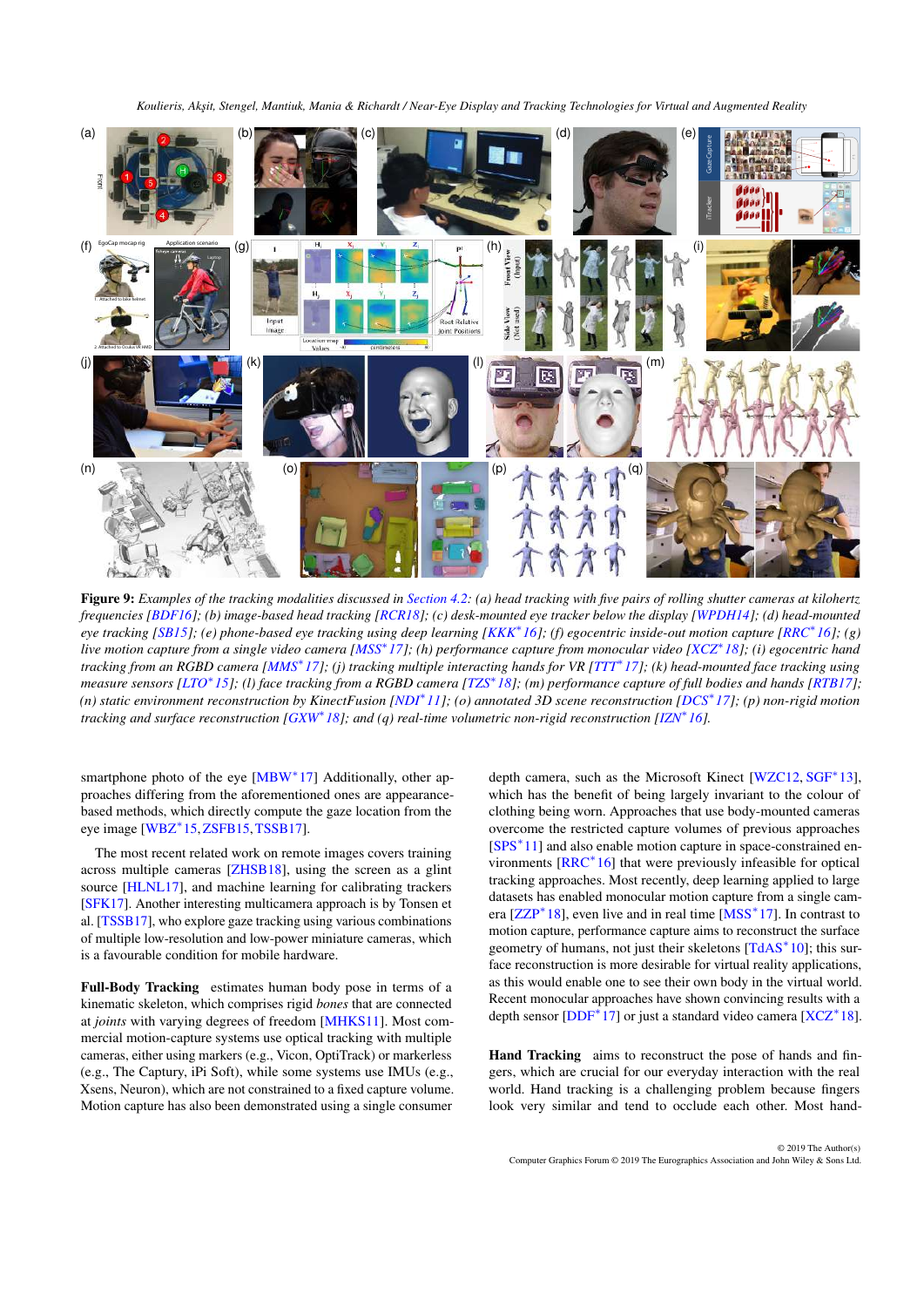<span id="page-13-1"></span>

<span id="page-13-0"></span>Figure 9: *Examples of the tracking modalities discussed in [Section 4.2:](#page-12-0) (a) head tracking with five pairs of rolling shutter cameras at kilohertz frequencies [\[BDF16\]](#page-17-22); (b) image-based head tracking [\[RCR18\]](#page-22-23); (c) desk-mounted eye tracker below the display [\[WPDH14\]](#page-24-22); (d) head-mounted eye tracking [\[SB15\]](#page-22-24); (e) phone-based eye tracking using deep learning [\[KKK](#page-20-27)*<sup>∗</sup> *16]; (f) egocentric inside-out motion capture [\[RRC](#page-22-29)*<sup>∗</sup> *16]; (g) live motion capture from a single video camera [\[MSS](#page-21-19)*<sup>∗</sup> *17]; (h) performance capture from monocular video [\[XCZ](#page-24-26)*<sup>∗</sup> *18]; (i) egocentric hand tracking from an RGBD camera [\[MMS](#page-21-20)*<sup>∗</sup> *17]; (j) tracking multiple interacting hands for VR [\[TTT](#page-23-20)*<sup>∗</sup> *17]; (k) head-mounted face tracking using measure sensors [\[LTO](#page-21-21)*<sup>∗</sup> *15]; (l) face tracking from a RGBD camera [\[TZS](#page-24-27)*<sup>∗</sup> *18]; (m) performance capture of full bodies and hands [\[RTB17\]](#page-22-30); (n) static environment reconstruction by KinectFusion [\[NDI](#page-21-22)*<sup>∗</sup> *11]; (o) annotated 3D scene reconstruction [\[DCS](#page-18-27)*<sup>∗</sup> *17]; (p) non-rigid motion tracking and surface reconstruction [\[GXW](#page-19-32)*<sup>∗</sup> *18]; and (q) real-time volumetric non-rigid reconstruction [\[IZN](#page-19-33)*<sup>∗</sup> *16].*

smartphone photo of the eye [\[MBW](#page-21-18)<sup>\*</sup>17] Additionally, other approaches differing from the aforementioned ones are appearancebased methods, which directly compute the gaze location from the eye image [\[WBZ](#page-24-23)<sup>∗</sup> 15,[ZSFB15,](#page-25-1)[TSSB17\]](#page-23-21).

The most recent related work on remote images covers training across multiple cameras [\[ZHSB18\]](#page-24-28), using the screen as a glint source [\[HLNL17\]](#page-19-34), and machine learning for calibrating trackers [\[SFK17\]](#page-22-31). Another interesting multicamera approach is by Tonsen et al. [\[TSSB17\]](#page-23-21), who explore gaze tracking using various combinations of multiple low-resolution and low-power miniature cameras, which is a favourable condition for mobile hardware.

Full-Body Tracking estimates human body pose in terms of a kinematic skeleton, which comprises rigid *bones* that are connected at *joints* with varying degrees of freedom [\[MHKS11\]](#page-21-23). Most commercial motion-capture systems use optical tracking with multiple cameras, either using markers (e.g., Vicon, OptiTrack) or markerless (e.g., The Captury, iPi Soft), while some systems use IMUs (e.g., Xsens, Neuron), which are not constrained to a fixed capture volume. Motion capture has also been demonstrated using a single consumer

depth camera, such as the Microsoft Kinect [\[WZC12,](#page-24-29) [SGF](#page-23-22)<sup>\*</sup>13], which has the benefit of being largely invariant to the colour of clothing being worn. Approaches that use body-mounted cameras overcome the restricted capture volumes of previous approaches [\[SPS](#page-23-23)<sup>\*</sup>11] and also enable motion capture in space-constrained environments [\[RRC](#page-22-29)<sup>∗</sup> 16] that were previously infeasible for optical tracking approaches. Most recently, deep learning applied to large datasets has enabled monocular motion capture from a single cam-era [\[ZZP](#page-25-2)<sup>\*</sup>18], even live and in real time [\[MSS](#page-21-19)<sup>\*</sup>17]. In contrast to motion capture, performance capture aims to reconstruct the surface geometry of humans, not just their skeletons [\[TdAS](#page-23-24)<sup>\*</sup>10]; this surface reconstruction is more desirable for virtual reality applications, as this would enable one to see their own body in the virtual world. Recent monocular approaches have shown convincing results with a depth sensor [\[DDF](#page-18-28)<sup>\*</sup>17] or just a standard video camera [\[XCZ](#page-24-26)<sup>\*</sup>18].

Hand Tracking aims to reconstruct the pose of hands and fingers, which are crucial for our everyday interaction with the real world. Hand tracking is a challenging problem because fingers look very similar and tend to occlude each other. Most hand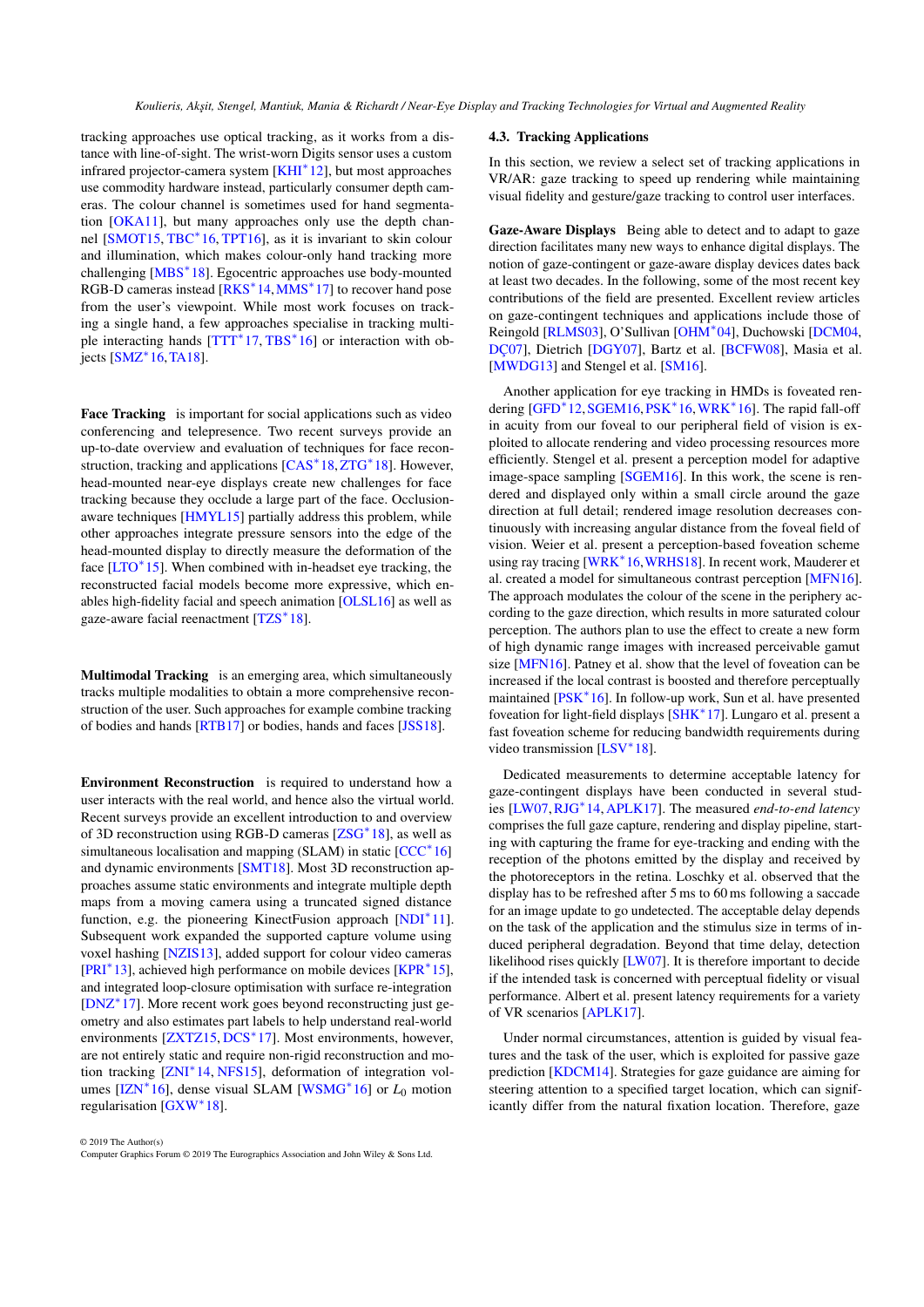<span id="page-14-1"></span>tracking approaches use optical tracking, as it works from a distance with line-of-sight. The wrist-worn Digits sensor uses a custom infrared projector-camera system [\[KHI](#page-20-31)<sup>∗</sup> 12], but most approaches use commodity hardware instead, particularly consumer depth cameras. The colour channel is sometimes used for hand segmentation [\[OKA11\]](#page-22-32), but many approaches only use the depth channel [\[SMOT15,](#page-23-25) [TBC](#page-23-26)<sup>∗</sup> 16, [TPT16\]](#page-23-27), as it is invariant to skin colour and illumination, which makes colour-only hand tracking more challenging [\[MBS](#page-21-24)<sup>\*</sup>18]. Egocentric approaches use body-mounted RGB-D cameras instead [\[RKS](#page-22-33)<sup>\*</sup>14, [MMS](#page-21-20)<sup>\*</sup>17] to recover hand pose from the user's viewpoint. While most work focuses on tracking a single hand, a few approaches specialise in tracking multi-ple interacting hands [\[TTT](#page-23-20)<sup>\*</sup>17, [TBS](#page-23-28)<sup>\*</sup>16] or interaction with ob-.<br>jects [\[SMZ](#page-23-29)<sup>\*</sup> 16, [TA18\]](#page-23-30).

Face Tracking is important for social applications such as video conferencing and telepresence. Two recent surveys provide an up-to-date overview and evaluation of techniques for face recon-struction, tracking and applications [\[CAS](#page-18-29)<sup>\*</sup>18,[ZTG](#page-25-3)<sup>\*</sup>18]. However, head-mounted near-eye displays create new challenges for face tracking because they occlude a large part of the face. Occlusionaware techniques [\[HMYL15\]](#page-19-35) partially address this problem, while other approaches integrate pressure sensors into the edge of the head-mounted display to directly measure the deformation of the face [\[LTO](#page-21-21)<sup>\*</sup>15]. When combined with in-headset eye tracking, the reconstructed facial models become more expressive, which enables high-fidelity facial and speech animation [\[OLSL16\]](#page-22-34) as well as gaze-aware facial reenactment [\[TZS](#page-24-27)<sup>\*</sup>18].

Multimodal Tracking is an emerging area, which simultaneously tracks multiple modalities to obtain a more comprehensive reconstruction of the user. Such approaches for example combine tracking of bodies and hands [\[RTB17\]](#page-22-30) or bodies, hands and faces [\[JSS18\]](#page-20-32).

Environment Reconstruction is required to understand how a user interacts with the real world, and hence also the virtual world. Recent surveys provide an excellent introduction to and overview of 3D reconstruction using RGB-D cameras [\[ZSG](#page-25-4)<sup>\*</sup>18], as well as simultaneous localisation and mapping (SLAM) in static [\[CCC](#page-18-20)<sup>\*</sup>16] and dynamic environments [\[SMT18\]](#page-23-16). Most 3D reconstruction approaches assume static environments and integrate multiple depth maps from a moving camera using a truncated signed distance function, e.g. the pioneering KinectFusion approach [\[NDI](#page-21-22)<sup>\*</sup>11]. Subsequent work expanded the supported capture volume using voxel hashing [\[NZIS13\]](#page-21-25), added support for colour video cameras [\[PRI](#page-22-35)<sup>∗</sup> 13], achieved high performance on mobile devices [\[KPR](#page-20-33)<sup>∗</sup> 15], and integrated loop-closure optimisation with surface re-integration [\[DNZ](#page-18-19)<sup>∗</sup> 17]. More recent work goes beyond reconstructing just geometry and also estimates part labels to help understand real-world environments [\[ZXTZ15,](#page-25-5) [DCS](#page-18-27)<sup>\*</sup>17]. Most environments, however, are not entirely static and require non-rigid reconstruction and mo-tion tracking [\[ZNI](#page-25-6)<sup>\*</sup>14, [NFS15\]](#page-21-26), deformation of integration volumes [\[IZN](#page-19-33)<sup>∗</sup> 16], dense visual SLAM [\[WSMG](#page-24-30)<sup>∗</sup> 16] or *L*<sup>0</sup> motion regularisation [\[GXW](#page-19-32)<sup>\*</sup>18].

#### <span id="page-14-0"></span>4.3. Tracking Applications

In this section, we review a select set of tracking applications in VR/AR: gaze tracking to speed up rendering while maintaining visual fidelity and gesture/gaze tracking to control user interfaces.

Gaze-Aware Displays Being able to detect and to adapt to gaze direction facilitates many new ways to enhance digital displays. The notion of gaze-contingent or gaze-aware display devices dates back at least two decades. In the following, some of the most recent key contributions of the field are presented. Excellent review articles on gaze-contingent techniques and applications include those of Reingold [\[RLMS03\]](#page-22-36), O'Sullivan [\[OHM](#page-22-37)<sup>∗</sup> 04], Duchowski [\[DCM04,](#page-18-30) [DÇ07\]](#page-18-31), Dietrich [\[DGY07\]](#page-18-32), Bartz et al. [\[BCFW08\]](#page-17-23), Masia et al. [\[MWDG13\]](#page-21-27) and Stengel et al. [\[SM16\]](#page-23-31).

Another application for eye tracking in HMDs is foveated ren-dering [\[GFD](#page-19-36)<sup>\*</sup>12, [SGEM16,](#page-23-32) [PSK](#page-22-18)<sup>\*</sup>16, [WRK](#page-24-31)<sup>\*</sup>16]. The rapid fall-off in acuity from our foveal to our peripheral field of vision is exploited to allocate rendering and video processing resources more efficiently. Stengel et al. present a perception model for adaptive image-space sampling [\[SGEM16\]](#page-23-32). In this work, the scene is rendered and displayed only within a small circle around the gaze direction at full detail; rendered image resolution decreases continuously with increasing angular distance from the foveal field of vision. Weier et al. present a perception-based foveation scheme using ray tracing [\[WRK](#page-24-31)<sup>\*</sup>16, WRHS18]. In recent work, Mauderer et al. created a model for simultaneous contrast perception [\[MFN16\]](#page-21-28). The approach modulates the colour of the scene in the periphery according to the gaze direction, which results in more saturated colour perception. The authors plan to use the effect to create a new form of high dynamic range images with increased perceivable gamut size [\[MFN16\]](#page-21-28). Patney et al. show that the level of foveation can be increased if the local contrast is boosted and therefore perceptually maintained [\[PSK](#page-22-18)<sup>\*</sup>16]. In follow-up work, Sun et al. have presented foveation for light-field displays [\[SHK](#page-23-33)<sup>∗</sup> 17]. Lungaro et al. present a fast foveation scheme for reducing bandwidth requirements during video transmission [\[LSV](#page-21-29)<sup>\*</sup>18].

Dedicated measurements to determine acceptable latency for gaze-contingent displays have been conducted in several studies [\[LW07,](#page-21-30)[RJG](#page-22-38)<sup>∗</sup> 14,[APLK17\]](#page-17-24). The measured *end-to-end latency* comprises the full gaze capture, rendering and display pipeline, starting with capturing the frame for eye-tracking and ending with the reception of the photons emitted by the display and received by the photoreceptors in the retina. Loschky et al. observed that the display has to be refreshed after 5 ms to 60 ms following a saccade for an image update to go undetected. The acceptable delay depends on the task of the application and the stimulus size in terms of induced peripheral degradation. Beyond that time delay, detection likelihood rises quickly [\[LW07\]](#page-21-30). It is therefore important to decide if the intended task is concerned with perceptual fidelity or visual performance. Albert et al. present latency requirements for a variety of VR scenarios [\[APLK17\]](#page-17-24).

Under normal circumstances, attention is guided by visual features and the task of the user, which is exploited for passive gaze prediction [\[KDCM14\]](#page-20-34). Strategies for gaze guidance are aiming for steering attention to a specified target location, which can significantly differ from the natural fixation location. Therefore, gaze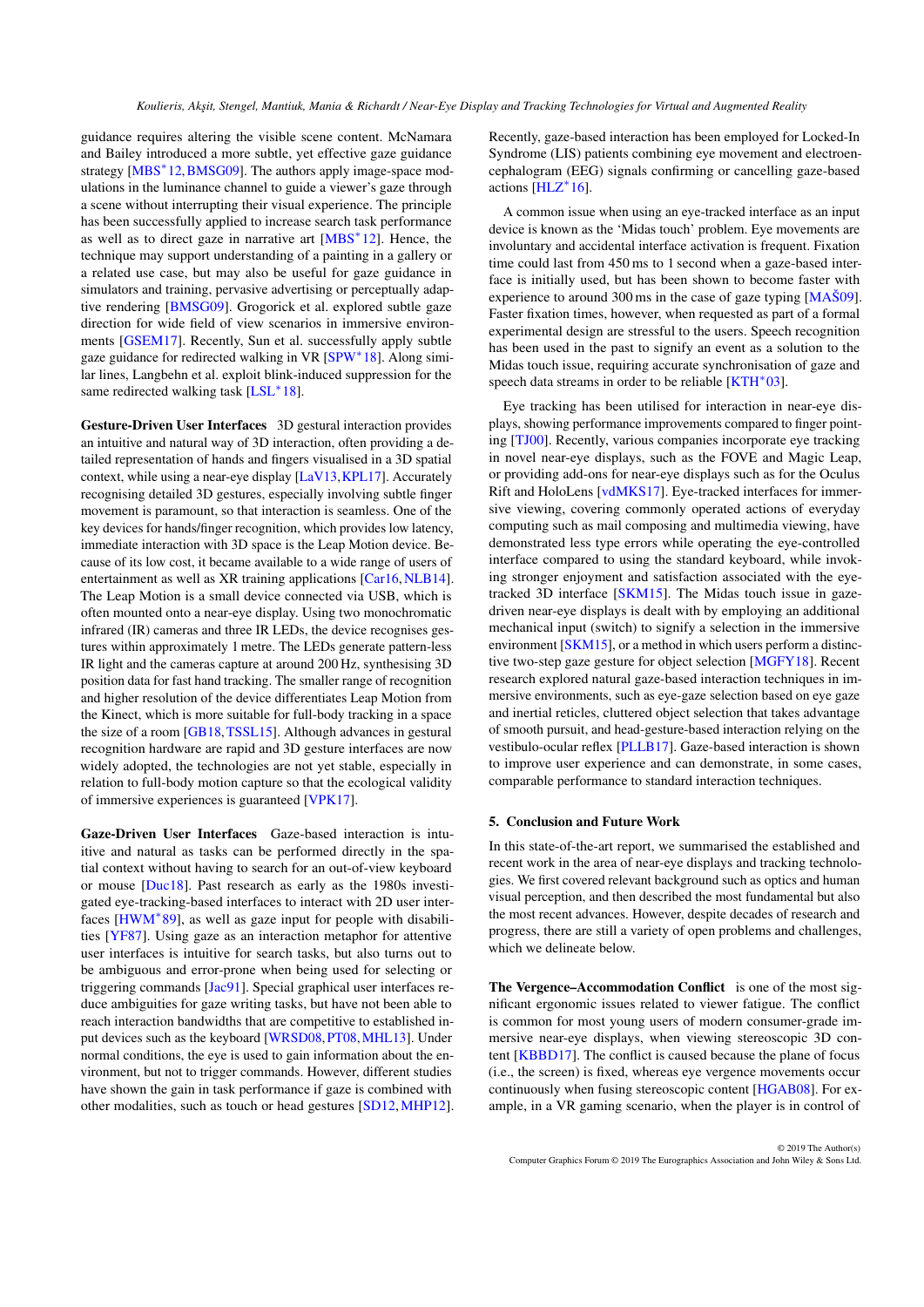<span id="page-15-0"></span>guidance requires altering the visible scene content. McNamara and Bailey introduced a more subtle, yet effective gaze guidance strategy [\[MBS](#page-21-31)<sup>\*</sup>12, BMSG09]. The authors apply image-space modulations in the luminance channel to guide a viewer's gaze through a scene without interrupting their visual experience. The principle has been successfully applied to increase search task performance as well as to direct gaze in narrative art [\[MBS](#page-21-31)<sup>∗</sup> 12]. Hence, the technique may support understanding of a painting in a gallery or a related use case, but may also be useful for gaze guidance in simulators and training, pervasive advertising or perceptually adaptive rendering [\[BMSG09\]](#page-17-25). Grogorick et al. explored subtle gaze direction for wide field of view scenarios in immersive environments [\[GSEM17\]](#page-19-37). Recently, Sun et al. successfully apply subtle gaze guidance for redirected walking in VR [\[SPW](#page-23-34)<sup>\*</sup>18]. Along similar lines, Langbehn et al. exploit blink-induced suppression for the same redirected walking task [\[LSL](#page-21-32)<sup>\*</sup>18].

Gesture-Driven User Interfaces 3D gestural interaction provides an intuitive and natural way of 3D interaction, often providing a detailed representation of hands and fingers visualised in a 3D spatial context, while using a near-eye display [\[LaV13,](#page-20-35)[KPL17\]](#page-20-36). Accurately recognising detailed 3D gestures, especially involving subtle finger movement is paramount, so that interaction is seamless. One of the key devices for hands/finger recognition, which provides low latency, immediate interaction with 3D space is the Leap Motion device. Because of its low cost, it became available to a wide range of users of entertainment as well as XR training applications [\[Car16,](#page-18-33)[NLB14\]](#page-21-33). The Leap Motion is a small device connected via USB, which is often mounted onto a near-eye display. Using two monochromatic infrared (IR) cameras and three IR LEDs, the device recognises gestures within approximately 1 metre. The LEDs generate pattern-less IR light and the cameras capture at around 200 Hz, synthesising 3D position data for fast hand tracking. The smaller range of recognition and higher resolution of the device differentiates Leap Motion from the Kinect, which is more suitable for full-body tracking in a space the size of a room [\[GB18,](#page-18-34)[TSSL15\]](#page-23-35). Although advances in gestural recognition hardware are rapid and 3D gesture interfaces are now widely adopted, the technologies are not yet stable, especially in relation to full-body motion capture so that the ecological validity of immersive experiences is guaranteed [\[VPK17\]](#page-24-33).

Gaze-Driven User Interfaces Gaze-based interaction is intuitive and natural as tasks can be performed directly in the spatial context without having to search for an out-of-view keyboard or mouse [\[Duc18\]](#page-18-35). Past research as early as the 1980s investigated eye-tracking-based interfaces to interact with 2D user inter-faces [\[HWM](#page-19-38)<sup>\*</sup>89], as well as gaze input for people with disabilities [\[YF87\]](#page-24-34). Using gaze as an interaction metaphor for attentive user interfaces is intuitive for search tasks, but also turns out to be ambiguous and error-prone when being used for selecting or triggering commands [\[Jac91\]](#page-19-39). Special graphical user interfaces reduce ambiguities for gaze writing tasks, but have not been able to reach interaction bandwidths that are competitive to established input devices such as the keyboard [\[WRSD08,](#page-24-35)[PT08,](#page-22-39)[MHL13\]](#page-21-34). Under normal conditions, the eye is used to gain information about the environment, but not to trigger commands. However, different studies have shown the gain in task performance if gaze is combined with other modalities, such as touch or head gestures [\[SD12,](#page-22-40)[MHP12\]](#page-21-35).

Recently, gaze-based interaction has been employed for Locked-In Syndrome (LIS) patients combining eye movement and electroencephalogram (EEG) signals confirming or cancelling gaze-based actions [\[HLZ](#page-19-40)<sup>\*</sup>16].

A common issue when using an eye-tracked interface as an input device is known as the 'Midas touch' problem. Eye movements are involuntary and accidental interface activation is frequent. Fixation time could last from 450 ms to 1 second when a gaze-based interface is initially used, but has been shown to become faster with experience to around 300 ms in the case of gaze typing [\[MAŠ09\]](#page-21-36). Faster fixation times, however, when requested as part of a formal experimental design are stressful to the users. Speech recognition has been used in the past to signify an event as a solution to the Midas touch issue, requiring accurate synchronisation of gaze and speech data streams in order to be reliable [\[KTH](#page-20-37)<sup>\*</sup>03].

Eye tracking has been utilised for interaction in near-eye displays, showing performance improvements compared to finger pointing [\[TJ00\]](#page-23-36). Recently, various companies incorporate eye tracking in novel near-eye displays, such as the FOVE and Magic Leap, or providing add-ons for near-eye displays such as for the Oculus Rift and HoloLens [\[vdMKS17\]](#page-24-36). Eye-tracked interfaces for immersive viewing, covering commonly operated actions of everyday computing such as mail composing and multimedia viewing, have demonstrated less type errors while operating the eye-controlled interface compared to using the standard keyboard, while invoking stronger enjoyment and satisfaction associated with the eyetracked 3D interface [\[SKM15\]](#page-23-37). The Midas touch issue in gazedriven near-eye displays is dealt with by employing an additional mechanical input (switch) to signify a selection in the immersive environment [\[SKM15\]](#page-23-37), or a method in which users perform a distinctive two-step gaze gesture for object selection [\[MGFY18\]](#page-21-37). Recent research explored natural gaze-based interaction techniques in immersive environments, such as eye-gaze selection based on eye gaze and inertial reticles, cluttered object selection that takes advantage of smooth pursuit, and head-gesture-based interaction relying on the vestibulo-ocular reflex [\[PLLB17\]](#page-22-41). Gaze-based interaction is shown to improve user experience and can demonstrate, in some cases, comparable performance to standard interaction techniques.

## 5. Conclusion and Future Work

In this state-of-the-art report, we summarised the established and recent work in the area of near-eye displays and tracking technologies. We first covered relevant background such as optics and human visual perception, and then described the most fundamental but also the most recent advances. However, despite decades of research and progress, there are still a variety of open problems and challenges, which we delineate below.

The Vergence–Accommodation Conflict is one of the most significant ergonomic issues related to viewer fatigue. The conflict is common for most young users of modern consumer-grade immersive near-eye displays, when viewing stereoscopic 3D content [\[KBBD17\]](#page-20-12). The conflict is caused because the plane of focus (i.e., the screen) is fixed, whereas eye vergence movements occur continuously when fusing stereoscopic content [\[HGAB08\]](#page-19-14). For example, in a VR gaming scenario, when the player is in control of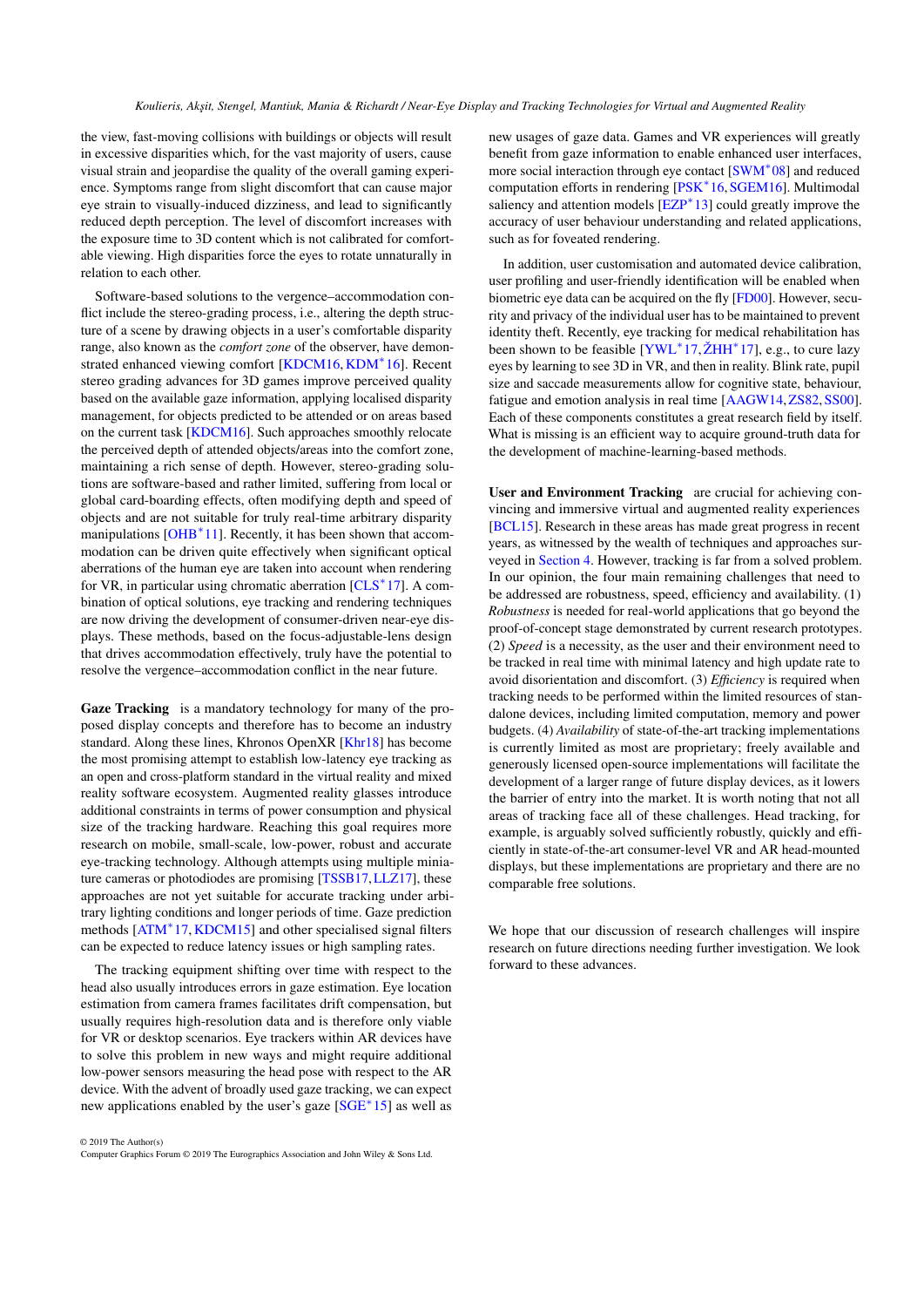<span id="page-16-0"></span>the view, fast-moving collisions with buildings or objects will result in excessive disparities which, for the vast majority of users, cause visual strain and jeopardise the quality of the overall gaming experience. Symptoms range from slight discomfort that can cause major eye strain to visually-induced dizziness, and lead to significantly reduced depth perception. The level of discomfort increases with the exposure time to 3D content which is not calibrated for comfortable viewing. High disparities force the eyes to rotate unnaturally in relation to each other.

Software-based solutions to the vergence–accommodation conflict include the stereo-grading process, i.e., altering the depth structure of a scene by drawing objects in a user's comfortable disparity range, also known as the *comfort zone* of the observer, have demonstrated enhanced viewing comfort [\[KDCM16,](#page-20-38) [KDM](#page-20-39)<sup>∗</sup> 16]. Recent stereo grading advances for 3D games improve perceived quality based on the available gaze information, applying localised disparity management, for objects predicted to be attended or on areas based on the current task [\[KDCM16\]](#page-20-38). Such approaches smoothly relocate the perceived depth of attended objects/areas into the comfort zone, maintaining a rich sense of depth. However, stereo-grading solutions are software-based and rather limited, suffering from local or global card-boarding effects, often modifying depth and speed of objects and are not suitable for truly real-time arbitrary disparity manipulations [\[OHB](#page-21-38)<sup>\*</sup>11]. Recently, it has been shown that accommodation can be driven quite effectively when significant optical aberrations of the human eye are taken into account when rendering for VR, in particular using chromatic aberration [\[CLS](#page-18-36)<sup>∗</sup>17]. A combination of optical solutions, eye tracking and rendering techniques are now driving the development of consumer-driven near-eye displays. These methods, based on the focus-adjustable-lens design that drives accommodation effectively, truly have the potential to resolve the vergence–accommodation conflict in the near future.

Gaze Tracking is a mandatory technology for many of the proposed display concepts and therefore has to become an industry standard. Along these lines, Khronos OpenXR [\[Khr18\]](#page-20-40) has become the most promising attempt to establish low-latency eye tracking as an open and cross-platform standard in the virtual reality and mixed reality software ecosystem. Augmented reality glasses introduce additional constraints in terms of power consumption and physical size of the tracking hardware. Reaching this goal requires more research on mobile, small-scale, low-power, robust and accurate eye-tracking technology. Although attempts using multiple miniature cameras or photodiodes are promising [\[TSSB17,](#page-23-21)[LLZ17\]](#page-20-41), these approaches are not yet suitable for accurate tracking under arbitrary lighting conditions and longer periods of time. Gaze prediction methods [\[ATM](#page-17-26)<sup>\*</sup>17, [KDCM15\]](#page-20-6) and other specialised signal filters can be expected to reduce latency issues or high sampling rates.

The tracking equipment shifting over time with respect to the head also usually introduces errors in gaze estimation. Eye location estimation from camera frames facilitates drift compensation, but usually requires high-resolution data and is therefore only viable for VR or desktop scenarios. Eye trackers within AR devices have to solve this problem in new ways and might require additional low-power sensors measuring the head pose with respect to the AR device. With the advent of broadly used gaze tracking, we can expect new applications enabled by the user's gaze [\[SGE](#page-22-42)<sup>∗</sup>15] as well as

© 2019 The Author(s) Computer Graphics Forum © 2019 The Eurographics Association and John Wiley & Sons Ltd.

new usages of gaze data. Games and VR experiences will greatly benefit from gaze information to enable enhanced user interfaces, more social interaction through eye contact [\[SWM](#page-23-38)<sup>\*08]</sup> and reduced computation efforts in rendering [\[PSK](#page-22-18)<sup>\*</sup>16, SGEM16]. Multimodal saliency and attention models [\[EZP](#page-18-37)<sup>\*</sup>13] could greatly improve the accuracy of user behaviour understanding and related applications, such as for foveated rendering.

In addition, user customisation and automated device calibration, user profiling and user-friendly identification will be enabled when biometric eye data can be acquired on the fly [\[FD00\]](#page-18-38). However, security and privacy of the individual user has to be maintained to prevent identity theft. Recently, eye tracking for medical rehabilitation has been shown to be feasible [\[YWL](#page-24-37)<sup>\*</sup>17, ŽHH<sup>\*</sup>17], e.g., to cure lazy eyes by learning to see 3D in VR, and then in reality. Blink rate, pupil size and saccade measurements allow for cognitive state, behaviour, fatigue and emotion analysis in real time [\[AAGW14,](#page-17-27)[ZS82,](#page-25-7)[SS00\]](#page-23-39). Each of these components constitutes a great research field by itself. What is missing is an efficient way to acquire ground-truth data for the development of machine-learning-based methods.

User and Environment Tracking are crucial for achieving convincing and immersive virtual and augmented reality experiences [\[BCL15\]](#page-17-20). Research in these areas has made great progress in recent years, as witnessed by the wealth of techniques and approaches surveyed in [Section 4.](#page-10-0) However, tracking is far from a solved problem. In our opinion, the four main remaining challenges that need to be addressed are robustness, speed, efficiency and availability. (1) *Robustness* is needed for real-world applications that go beyond the proof-of-concept stage demonstrated by current research prototypes. (2) *Speed* is a necessity, as the user and their environment need to be tracked in real time with minimal latency and high update rate to avoid disorientation and discomfort. (3) *Efficiency* is required when tracking needs to be performed within the limited resources of standalone devices, including limited computation, memory and power budgets. (4) *Availability* of state-of-the-art tracking implementations is currently limited as most are proprietary; freely available and generously licensed open-source implementations will facilitate the development of a larger range of future display devices, as it lowers the barrier of entry into the market. It is worth noting that not all areas of tracking face all of these challenges. Head tracking, for example, is arguably solved sufficiently robustly, quickly and efficiently in state-of-the-art consumer-level VR and AR head-mounted displays, but these implementations are proprietary and there are no comparable free solutions.

We hope that our discussion of research challenges will inspire research on future directions needing further investigation. We look forward to these advances.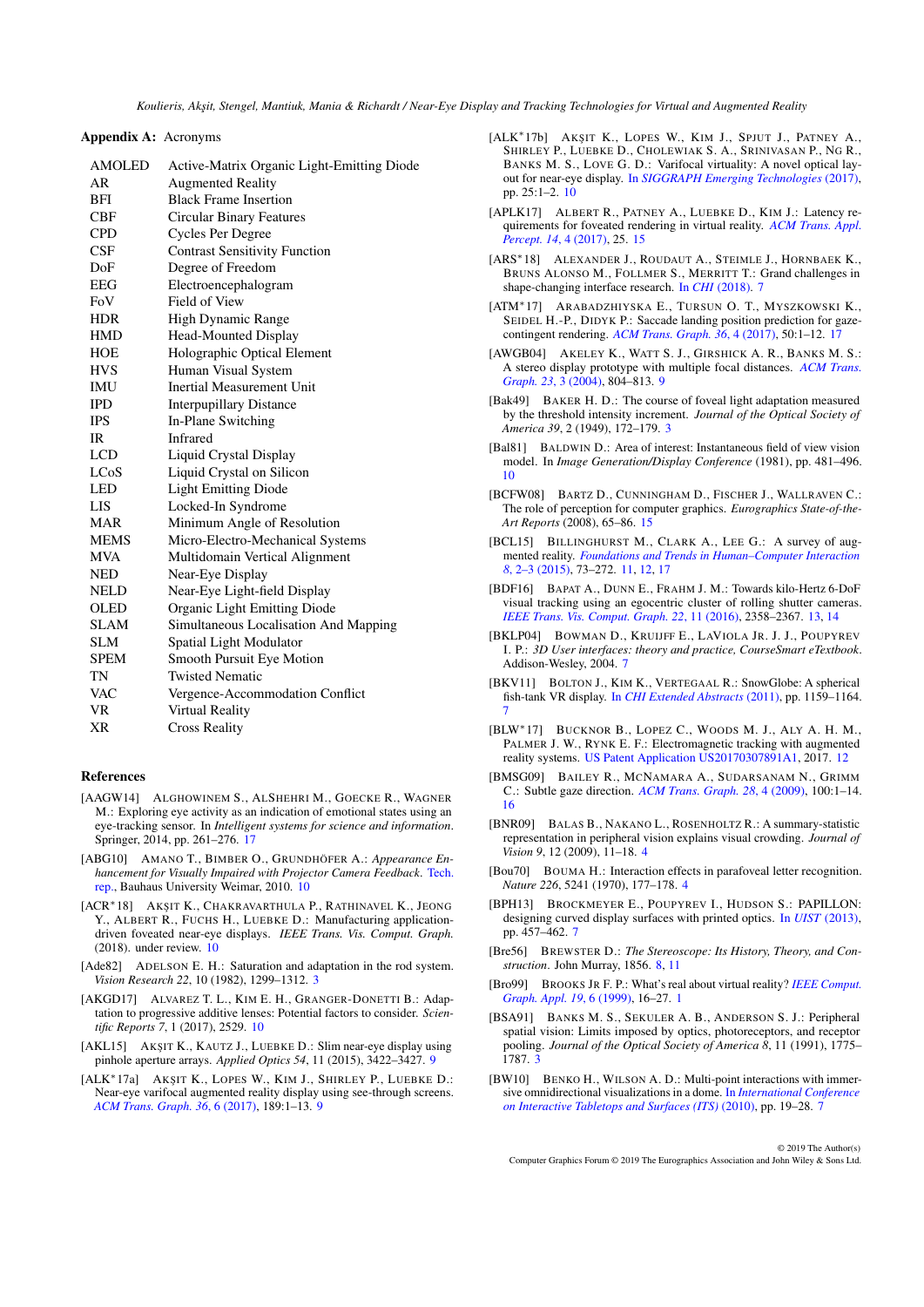Appendix A: Acronyms

| <b>AMOLED</b> | Active-Matrix Organic Light-Emitting Diode |
|---------------|--------------------------------------------|
| AR            | <b>Augmented Reality</b>                   |
| <b>BFI</b>    | <b>Black Frame Insertion</b>               |
| CBF           | <b>Circular Binary Features</b>            |
| <b>CPD</b>    | Cycles Per Degree                          |
| CSF           | <b>Contrast Sensitivity Function</b>       |
| DoF           | Degree of Freedom                          |
| EEG           | Electroencephalogram                       |
| FoV           | Field of View                              |
| HDR           | High Dynamic Range                         |
| <b>HMD</b>    | Head-Mounted Display                       |
| <b>HOE</b>    | Holographic Optical Element                |
| <b>HVS</b>    | Human Visual System                        |
| IMU           | Inertial Measurement Unit                  |
| <b>IPD</b>    | <b>Interpupillary Distance</b>             |
| IPS           | In-Plane Switching                         |
| IR            | Infrared                                   |
| LCD           | Liquid Crystal Display                     |
| LCoS          | Liquid Crystal on Silicon                  |
| LED           | <b>Light Emitting Diode</b>                |
| LIS           | Locked-In Syndrome                         |
| <b>MAR</b>    | Minimum Angle of Resolution                |
| <b>MEMS</b>   | Micro-Electro-Mechanical Systems           |
| <b>MVA</b>    | Multidomain Vertical Alignment             |
| NED           | Near-Eye Display                           |
| NELD          | Near-Eye Light-field Display               |
| <b>OLED</b>   | Organic Light Emitting Diode               |
| SLAM          | Simultaneous Localisation And Mapping      |
| <b>SLM</b>    | Spatial Light Modulator                    |
| <b>SPEM</b>   | Smooth Pursuit Eye Motion                  |
| TN            | <b>Twisted Nematic</b>                     |
| <b>VAC</b>    | Vergence-Accommodation Conflict            |
| <b>VR</b>     | Virtual Reality                            |
| XR            | <b>Cross Reality</b>                       |
|               |                                            |

## References

- <span id="page-17-27"></span>[AAGW14] ALGHOWINEM S., ALSHEHRI M., GOECKE R., WAGNER M.: Exploring eye activity as an indication of emotional states using an eye-tracking sensor. In *Intelligent systems for science and information*. Springer, 2014, pp. 261–276. [17](#page-16-0)
- <span id="page-17-19"></span>[ABG10] AMANO T., BIMBER O., GRUNDHÖFER A.: *Appearance Enhancement for Visually Impaired with Projector Camera Feedback*. [Tech.](https://nbn-resolving.org/urn:nbn:de:gbv:wim2-20100106-14974) [rep.,](https://nbn-resolving.org/urn:nbn:de:gbv:wim2-20100106-14974) Bauhaus University Weimar, 2010. [10](#page-9-1)
- <span id="page-17-16"></span>[ACR<sup>\*</sup>18] AKŞIT K., CHAKRAVARTHULA P., RATHINAVEL K., JEONG Y., ALBERT R., FUCHS H., LUEBKE D.: Manufacturing applicationdriven foveated near-eye displays. *IEEE Trans. Vis. Comput. Graph.*  $(2018)$ . under review.  $10$
- <span id="page-17-2"></span>[Ade82] ADELSON E. H.: Saturation and adaptation in the rod system. *Vision Research 22*, 10 (1982), 1299–1312. [3](#page-2-2)
- <span id="page-17-18"></span>[AKGD17] ALVAREZ T. L., KIM E. H., GRANGER-DONETTI B.: Adaptation to progressive additive lenses: Potential factors to consider. *Scientific Reports 7*, 1 (2017), 2529. [10](#page-9-1)
- <span id="page-17-14"></span>[AKL15] AKŞIT K., KAUTZ J., LUEBKE D.: Slim near-eye display using pinhole aperture arrays. *Applied Optics 54*, 11 (2015), 3422–3427. [9](#page-8-2)
- <span id="page-17-12"></span>[ALK\*17a] AKŞIT K., LOPES W., KIM J., SHIRLEY P., LUEBKE D.: Near-eye varifocal augmented reality display using see-through screens. *[ACM Trans. Graph. 36](https://doi.org/10.1145/3130800.3130892)*, 6 (2017), 189:1–13. [9](#page-8-2)
- <span id="page-17-15"></span>[ALK<sup>\*</sup>17b] AKŞIT K., LOPES W., KIM J., SPJUT J., PATNEY A., SHIRLEY P., LUEBKE D., CHOLEWIAK S. A., SRINIVASAN P., NG R., BANKS M. S., LOVE G. D.: Varifocal virtuality: A novel optical layout for near-eye display. In *[SIGGRAPH Emerging Technologies](https://doi.org/10.1145/3084822.3084829)* (2017), pp. 25:1–2. [10](#page-9-1)
- <span id="page-17-24"></span>[APLK17] ALBERT R., PATNEY A., LUEBKE D., KIM J.: Latency requirements for foveated rendering in virtual reality. *[ACM Trans. Appl.](https://doi.org/10.1145/3127589) [Percept. 14](https://doi.org/10.1145/3127589)*, 4 (2017), 25. [15](#page-14-1)
- <span id="page-17-9"></span>[ARS∗18] ALEXANDER J., ROUDAUT A., STEIMLE J., HORNBAEK K., BRUNS ALONSO M., FOLLMER S., MERRITT T.: Grand challenges in shape-changing interface research. In *CHI* [\(2018\).](https://doi.org/10.1145/3173574.3173873) [7](#page-6-1)
- <span id="page-17-26"></span>[ATM∗17] ARABADZHIYSKA E., TURSUN O. T., MYSZKOWSKI K., SEIDEL H.-P., DIDYK P.: Saccade landing position prediction for gazecontingent rendering. *[ACM Trans. Graph. 36](https://doi.org/10.1145/3072959.3073642)*, 4 (2017), 50:1–12. [17](#page-16-0)
- <span id="page-17-13"></span>[AWGB04] AKELEY K., WATT S. J., GIRSHICK A. R., BANKS M. S.: A stereo display prototype with multiple focal distances. *[ACM Trans.](https://doi.org/10.1145/1015706.1015804) [Graph. 23](https://doi.org/10.1145/1015706.1015804)*, 3 (2004), 804–813. [9](#page-8-2)
- <span id="page-17-3"></span>[Bak49] BAKER H. D.: The course of foveal light adaptation measured by the threshold intensity increment. *Journal of the Optical Society of America 39*, 2 (1949), 172–179. [3](#page-2-2)
- <span id="page-17-17"></span>[Bal81] BALDWIN D.: Area of interest: Instantaneous field of view vision model. In *Image Generation/Display Conference* (1981), pp. 481–496. [10](#page-9-1)
- <span id="page-17-23"></span>[BCFW08] BARTZ D., CUNNINGHAM D., FISCHER J., WALLRAVEN C.: The role of perception for computer graphics. *Eurographics State-of-the-Art Reports* (2008), 65–86. [15](#page-14-1)
- <span id="page-17-20"></span>[BCL15] BILLINGHURST M., CLARK A., LEE G.: A survey of augmented reality. *[Foundations and Trends in Human–Computer Interaction](https://doi.org/10.1561/1100000049) 8*[, 2–3 \(2015\),](https://doi.org/10.1561/1100000049) 73–272. [11,](#page-10-3) [12,](#page-11-1) [17](#page-16-0)
- <span id="page-17-22"></span>[BDF16] BAPAT A., DUNN E., FRAHM J. M.: Towards kilo-Hertz 6-DoF visual tracking using an egocentric cluster of rolling shutter cameras. *[IEEE Trans. Vis. Comput. Graph. 22](https://doi.org/10.1109/TVCG.2016.2593757)*, 11 (2016), 2358–2367. [13,](#page-12-1) [14](#page-13-1)
- <span id="page-17-10"></span>[BKLP04] BOWMAN D., KRUIJFF E., LAVIOLA JR. J. J., POUPYREV I. P.: *3D User interfaces: theory and practice, CourseSmart eTextbook*. Addison-Wesley, 2004. [7](#page-6-1)
- <span id="page-17-6"></span>[BKV11] BOLTON J., KIM K., VERTEGAAL R.: SnowGlobe: A spherical fish-tank VR display. In *[CHI Extended Abstracts](https://doi.org/10.1145/1979742.1979719)* (2011), pp. 1159–1164. [7](#page-6-1)
- <span id="page-17-21"></span>[BLW∗17] BUCKNOR B., LOPEZ C., WOODS M. J., ALY A. H. M., PALMER J. W., RYNK E. F.: Electromagnetic tracking with augmented reality systems. [US Patent Application US20170307891A1,](https://patents.google.com/patent/US20170307891A1/en) 2017. [12](#page-11-1)
- <span id="page-17-25"></span>[BMSG09] BAILEY R., MCNAMARA A., SUDARSANAM N., GRIMM C.: Subtle gaze direction. *[ACM Trans. Graph. 28](https://doi.org/10.1145/1559755.1559757)*, 4 (2009), 100:1–14. [16](#page-15-0)
- <span id="page-17-5"></span>[BNR09] BALAS B., NAKANO L., ROSENHOLTZ R.: A summary-statistic representation in peripheral vision explains visual crowding. *Journal of Vision 9*, 12 (2009), 11–18. [4](#page-3-0)
- <span id="page-17-4"></span>[Bou70] BOUMA H.: Interaction effects in parafoveal letter recognition. *Nature 226*, 5241 (1970), 177–178. [4](#page-3-0)
- <span id="page-17-8"></span>[BPH13] BROCKMEYER E., POUPYREV I., HUDSON S.: PAPILLON: designing curved display surfaces with printed optics. In *UIST* [\(2013\),](https://doi.org/10.1145/2501988.2502027) pp. 457–462. [7](#page-6-1)
- <span id="page-17-11"></span>[Bre56] BREWSTER D.: *The Stereoscope: Its History, Theory, and Construction*. John Murray, 1856. [8,](#page-7-3) [11](#page-10-3)
- <span id="page-17-0"></span>[Bro99] BROOKS JR F. P.: What's real about virtual reality? *[IEEE Comput.](https://doi.org/10.1109/38.799723) [Graph. Appl. 19](https://doi.org/10.1109/38.799723)*, 6 (1999), 16–27. [1](#page-0-0)
- <span id="page-17-1"></span>[BSA91] BANKS M. S., SEKULER A. B., ANDERSON S. J.: Peripheral spatial vision: Limits imposed by optics, photoreceptors, and receptor pooling. *Journal of the Optical Society of America 8*, 11 (1991), 1775– 1787. [3](#page-2-2)
- <span id="page-17-7"></span>[BW10] BENKO H., WILSON A. D.: Multi-point interactions with immersive omnidirectional visualizations in a dome. In *[International Conference](https://doi.org/10.1145/1936652.1936657) [on Interactive Tabletops and Surfaces \(ITS\)](https://doi.org/10.1145/1936652.1936657)* (2010), pp. 19–28. [7](#page-6-1)

© 2019 The Author(s) Computer Graphics Forum © 2019 The Eurographics Association and John Wiley & Sons Ltd.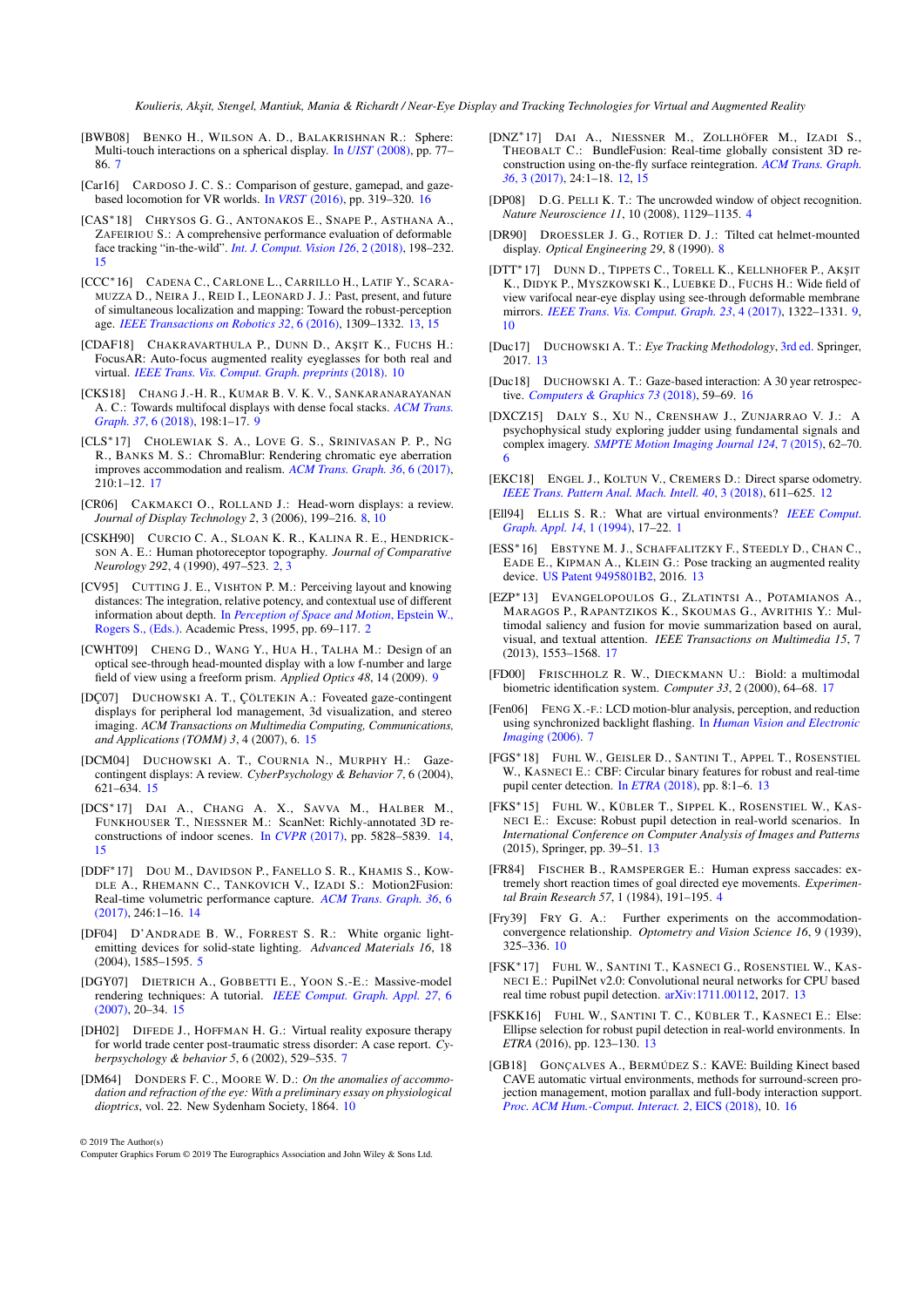- <span id="page-18-8"></span>[BWB08] BENKO H., WILSON A. D., BALAKRISHNAN R.: Sphere: Multi-touch interactions on a spherical display. In *UIST* [\(2008\),](https://doi.org/10.1145/1449715.1449729) pp. 77– 86. [7](#page-6-1)
- <span id="page-18-33"></span>[Car16] CARDOSO J. C. S.: Comparison of gesture, gamepad, and gazebased locomotion for VR worlds. In *VRST* [\(2016\),](https://doi.org/10.1145/2993369.2996327) pp. 319–320. [16](#page-15-0)
- <span id="page-18-29"></span>[CAS∗18] CHRYSOS G. G., ANTONAKOS E., SNAPE P., ASTHANA A., ZAFEIRIOU S.: A comprehensive performance evaluation of deformable face tracking "in-the-wild". *[Int. J. Comput. Vision 126](https://doi.org/10.1007/s11263-017-0999-5)*, 2 (2018), 198–232. [15](#page-14-1)
- <span id="page-18-20"></span>[CCC∗16] CADENA C., CARLONE L., CARRILLO H., LATIF Y., SCARA-MUZZA D., NEIRA J., REID I., LEONARD J. J.: Past, present, and future of simultaneous localization and mapping: Toward the robust-perception age. *[IEEE Transactions on Robotics 32](https://doi.org/10.1109/TRO.2016.2624754)*, 6 (2016), 1309–1332. [13,](#page-12-1) [15](#page-14-1)
- <span id="page-18-17"></span>[CDAF18] CHAKRAVARTHULA P., DUNN D., AKSIT K., FUCHS H.: FocusAR: Auto-focus augmented reality eyeglasses for both real and virtual. *[IEEE Trans. Vis. Comput. Graph. preprints](https://doi.org/10.1109/TVCG.2018.2868532)* (2018). [10](#page-9-1)
- <span id="page-18-14"></span>[CKS18] CHANG J.-H. R., KUMAR B. V. K. V., SANKARANARAYANAN A. C.: Towards multifocal displays with dense focal stacks. *[ACM Trans.](https://doi.org/10.1145/3272127.3275015) Graph. 37*[, 6 \(2018\),](https://doi.org/10.1145/3272127.3275015) 198:1–17. [9](#page-8-2)
- <span id="page-18-36"></span>[CLS∗17] CHOLEWIAK S. A., LOVE G. S., SRINIVASAN P. P., N<sup>G</sup> R., BANKS M. S.: ChromaBlur: Rendering chromatic eye aberration improves accommodation and realism. *[ACM Trans. Graph. 36](https://doi.org/10.1145/3130800.3130815)*, 6 (2017), 210:1–12. [17](#page-16-0)
- <span id="page-18-10"></span>[CR06] CAKMAKCI O., ROLLAND J.: Head-worn displays: a review. *Journal of Display Technology 2*, 3 (2006), 199–216. [8,](#page-7-3) [10](#page-9-1)
- <span id="page-18-1"></span>[CSKH90] CURCIO C. A., SLOAN K. R., KALINA R. E., HENDRICK-SON A. E.: Human photoreceptor topography. *Journal of Comparative Neurology 292*, 4 (1990), 497–523. [2,](#page-1-1) [3](#page-2-2)
- <span id="page-18-2"></span>[CV95] CUTTING J. E., VISHTON P. M.: Perceiving layout and knowing distances: The integration, relative potency, and contextual use of different information about depth. In *[Perception of Space and Motion](https://doi.org/10.1016/B978-012240530-3/50005-5)*, Epstein W., [Rogers S., \(Eds.\).](https://doi.org/10.1016/B978-012240530-3/50005-5) Academic Press, 1995, pp. 69–117. [2](#page-1-1)
- <span id="page-18-12"></span>[CWHT09] CHENG D., WANG Y., HUA H., TALHA M.: Design of an optical see-through head-mounted display with a low f-number and large field of view using a freeform prism. *Applied Optics 48*, 14 (2009). [9](#page-8-2)
- <span id="page-18-31"></span>[DÇ07] DUCHOWSKI A. T., ÇÖLTEKIN A.: Foveated gaze-contingent displays for peripheral lod management, 3d visualization, and stereo imaging. *ACM Transactions on Multimedia Computing, Communications, and Applications (TOMM) 3*, 4 (2007), 6. [15](#page-14-1)
- <span id="page-18-30"></span>[DCM04] DUCHOWSKI A. T., COURNIA N., MURPHY H.: Gazecontingent displays: A review. *CyberPsychology & Behavior 7*, 6 (2004), 621–634. [15](#page-14-1)
- <span id="page-18-27"></span>[DCS∗17] DAI A., CHANG A. X., SAVVA M., HALBER M., FUNKHOUSER T., NIESSNER M.: ScanNet: Richly-annotated 3D reconstructions of indoor scenes. In *CVPR* [\(2017\),](http://www.scan-net.org/) pp. 5828–5839. [14,](#page-13-1) [15](#page-14-1)
- <span id="page-18-28"></span>[DDF∗17] DOU M., DAVIDSON P., FANELLO S. R., KHAMIS S., KOW-DLE A., RHEMANN C., TANKOVICH V., IZADI S.: Motion2Fusion: Real-time volumetric performance capture. *[ACM Trans. Graph. 36](https://doi.org/10.1145/3130800.3130801)*, 6 [\(2017\),](https://doi.org/10.1145/3130800.3130801) 246:1–16. [14](#page-13-1)
- <span id="page-18-5"></span>[DF04] D'ANDRADE B. W., FORREST S. R.: White organic lightemitting devices for solid-state lighting. *Advanced Materials 16*, 18 (2004), 1585–1595. [5](#page-4-0)
- <span id="page-18-32"></span>[DGY07] DIETRICH A., GOBBETTI E., YOON S.-E.: Massive-model rendering techniques: A tutorial. *[IEEE Comput. Graph. Appl. 27](https://doi.org/10.1109/MCG.2007.154)*, 6 [\(2007\),](https://doi.org/10.1109/MCG.2007.154) 20–34. [15](#page-14-1)
- <span id="page-18-9"></span>[DH02] DIFEDE J., HOFFMAN H. G.: Virtual reality exposure therapy for world trade center post-traumatic stress disorder: A case report. *Cyberpsychology & behavior 5*, 6 (2002), 529–535. [7](#page-6-1)
- <span id="page-18-15"></span>[DM64] DONDERS F. C., MOORE W. D.: *On the anomalies of accommodation and refraction of the eye: With a preliminary essay on physiological dioptrics*, vol. 22. New Sydenham Society, 1864. [10](#page-9-1)

© 2019 The Author(s)

- <span id="page-18-19"></span>[DNZ∗17] DAI A., NIESSNER M., ZOLLHÖFER M., IZADI S., THEOBALT C.: BundleFusion: Real-time globally consistent 3D reconstruction using on-the-fly surface reintegration. *[ACM Trans. Graph.](https://doi.org/10.1145/3054739) 36*[, 3 \(2017\),](https://doi.org/10.1145/3054739) 24:1–18. [12,](#page-11-1) [15](#page-14-1)
- <span id="page-18-4"></span>[DP08] D.G. PELLI K. T.: The uncrowded window of object recognition. *Nature Neuroscience 11*, 10 (2008), 1129–1135. [4](#page-3-0)
- <span id="page-18-11"></span>[DR90] DROESSLER J. G., ROTIER D. J.: Tilted cat helmet-mounted display. *Optical Engineering 29*, 8 (1990). [8](#page-7-3)
- <span id="page-18-13"></span>[DTT\*17] DUNN D., TIPPETS C., TORELL K., KELLNHOFER P., AKŞIT K., DIDYK P., MYSZKOWSKI K., LUEBKE D., FUCHS H.: Wide field of view varifocal near-eye display using see-through deformable membrane mirrors. *[IEEE Trans. Vis. Comput. Graph. 23](https://doi.org/10.1109/TVCG.2017.2657058)*, 4 (2017), 1322–1331. [9,](#page-8-2) [10](#page-9-1)
- <span id="page-18-22"></span>[Duc17] DUCHOWSKI A. T.: *Eye Tracking Methodology*, [3rd ed.](https://doi.org/10.1007/978-3-319-57883-5) Springer, 2017. [13](#page-12-1)
- <span id="page-18-35"></span>[Duc18] DUCHOWSKI A. T.: Gaze-based interaction: A 30 year retrospective. *[Computers & Graphics 73](https://doi.org/10.1016/j.cag.2018.04.002)* (2018), 59–69. [16](#page-15-0)
- <span id="page-18-6"></span>[DXCZ15] DALY S., XU N., CRENSHAW J., ZUNJARRAO V. J.: A psychophysical study exploring judder using fundamental signals and complex imagery. *[SMPTE Motion Imaging Journal 124](https://doi.org/10.5594/j18616)*, 7 (2015), 62–70. [6](#page-5-1)
- <span id="page-18-18"></span>[EKC18] ENGEL J., KOLTUN V., CREMERS D.: Direct sparse odometry. *[IEEE Trans. Pattern Anal. Mach. Intell. 40](https://doi.org/10.1109/TPAMI.2017.2658577)*, 3 (2018), 611–625. [12](#page-11-1)
- <span id="page-18-0"></span>[Ell94] ELLIS S. R.: What are virtual environments? *[IEEE Comput.](https://doi.org/10.1109/38.250914) [Graph. Appl. 14](https://doi.org/10.1109/38.250914)*, 1 (1994), 17–22. [1](#page-0-0)
- <span id="page-18-21"></span>[ESS∗16] EBSTYNE M. J., SCHAFFALITZKY F., STEEDLY D., CHAN C., EADE E., KIPMAN A., KLEIN G.: Pose tracking an augmented reality device. [US Patent 9495801B2,](https://patents.google.com/patent/US9495801) 2016. [13](#page-12-1)
- <span id="page-18-37"></span>[EZP∗13] EVANGELOPOULOS G., ZLATINTSI A., POTAMIANOS A., MARAGOS P., RAPANTZIKOS K., SKOUMAS G., AVRITHIS Y.: Multimodal saliency and fusion for movie summarization based on aural, visual, and textual attention. *IEEE Transactions on Multimedia 15*, 7 (2013), 1553–1568. [17](#page-16-0)
- <span id="page-18-38"></span>[FD00] FRISCHHOLZ R. W., DIECKMANN U.: Biold: a multimodal biometric identification system. *Computer 33*, 2 (2000), 64–68. [17](#page-16-0)
- <span id="page-18-7"></span>[Fen06] FENG X.-F.: LCD motion-blur analysis, perception, and reduction using synchronized backlight flashing. In *[Human Vision and Electronic](https://doi.org/10.1117/12.643893) [Imaging](https://doi.org/10.1117/12.643893)* (2006). [7](#page-6-1)
- <span id="page-18-25"></span>[FGS∗18] FUHL W., GEISLER D., SANTINI T., APPEL T., ROSENSTIEL W., KASNECI E.: CBF: Circular binary features for robust and real-time pupil center detection. In *ETRA* [\(2018\),](https://doi.org/10.1145/3204493.3204559) pp. 8:1–6. [13](#page-12-1)
- <span id="page-18-23"></span>[FKS∗15] FUHL W., KÜBLER T., SIPPEL K., ROSENSTIEL W., KAS-NECI E.: Excuse: Robust pupil detection in real-world scenarios. In *International Conference on Computer Analysis of Images and Patterns* (2015), Springer, pp. 39–51. [13](#page-12-1)
- <span id="page-18-3"></span>[FR84] FISCHER B., RAMSPERGER E.: Human express saccades: extremely short reaction times of goal directed eye movements. *Experimental Brain Research 57*, 1 (1984), 191–195. [4](#page-3-0)
- <span id="page-18-16"></span>[Fry39] FRY G. A.: Further experiments on the accommodationconvergence relationship. *Optometry and Vision Science 16*, 9 (1939), 325–336. [10](#page-9-1)
- <span id="page-18-26"></span>[FSK∗17] FUHL W., SANTINI T., KASNECI G., ROSENSTIEL W., KAS-NECI E.: PupilNet v2.0: Convolutional neural networks for CPU based real time robust pupil detection. [arXiv:1711.00112,](http://arxiv.org/abs/1711.00112) 2017. [13](#page-12-1)
- <span id="page-18-24"></span>[FSKK16] FUHL W., SANTINI T. C., KÜBLER T., KASNECI E.: Else: Ellipse selection for robust pupil detection in real-world environments. In *ETRA* (2016), pp. 123–130. [13](#page-12-1)
- <span id="page-18-34"></span>[GB18] GONÇALVES A., BERMÚDEZ S.: KAVE: Building Kinect based CAVE automatic virtual environments, methods for surround-screen projection management, motion parallax and full-body interaction support. *[Proc. ACM Hum.-Comput. Interact. 2](https://doi.org/10.1145/3229092)*, EICS (2018), 10. [16](#page-15-0)

Computer Graphics Forum © 2019 The Eurographics Association and John Wiley & Sons Ltd.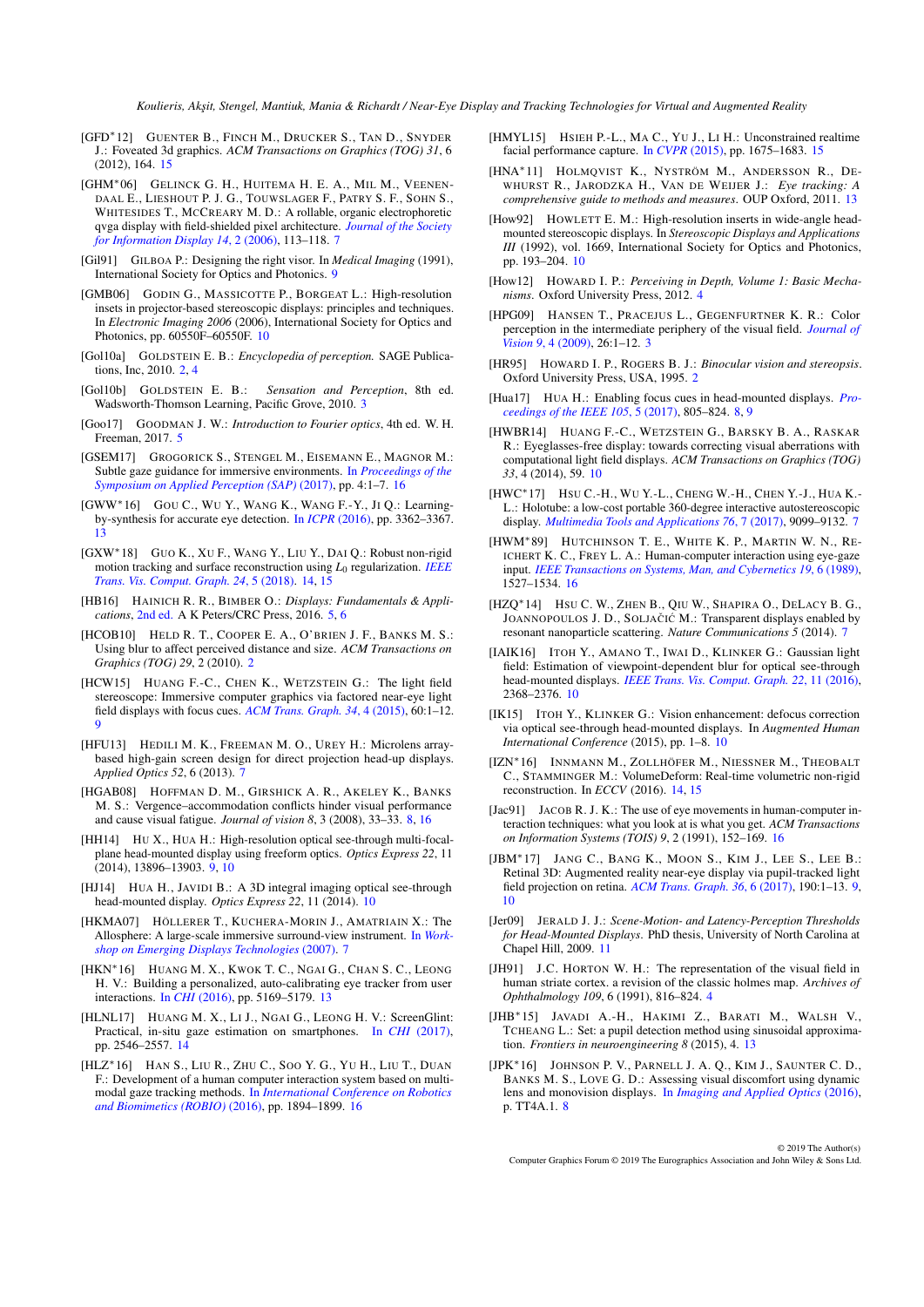<span id="page-19-36"></span>[GFD∗12] GUENTER B., FINCH M., DRUCKER S., TAN D., SNYDER J.: Foveated 3d graphics. *ACM Transactions on Graphics (TOG) 31*, 6 (2012), 164. [15](#page-14-1)

<span id="page-19-13"></span>[GHM∗06] GELINCK G. H., HUITEMA H. E. A., MIL M., VEENEN-DAAL E., LIESHOUT P. J. G., TOUWSLAGER F., PATRY S. F., SOHN S., WHITESIDES T., MCCREARY M. D.: A rollable, organic electrophoretic qvga display with field-shielded pixel architecture. *[Journal of the Society](https://doi.org/10.1889/1.2176112) [for Information Display 14](https://doi.org/10.1889/1.2176112)*, 2 (2006), 113–118. [7](#page-6-1)

- <span id="page-19-17"></span>[Gil91] GILBOA P.: Designing the right visor. In *Medical Imaging* (1991), International Society for Optics and Photonics. [9](#page-8-2)
- <span id="page-19-23"></span>[GMB06] GODIN G., MASSICOTTE P., BORGEAT L.: High-resolution insets in projector-based stereoscopic displays: principles and techniques. In *Electronic Imaging 2006* (2006), International Society for Optics and Photonics, pp. 60550F–60550F. [10](#page-9-1)
- <span id="page-19-2"></span>[Gol10a] GOLDSTEIN E. B.: *Encyclopedia of perception.* SAGE Publications, Inc, 2010. [2,](#page-1-1) [4](#page-3-0)
- <span id="page-19-3"></span>[Gol10b] GOLDSTEIN E. B.: *Sensation and Perception*, 8th ed. Wadsworth-Thomson Learning, Pacific Grove, 2010. [3](#page-2-2)
- <span id="page-19-8"></span>[Goo17] GOODMAN J. W.: *Introduction to Fourier optics*, 4th ed. W. H. Freeman, 2017. [5](#page-4-0)
- <span id="page-19-37"></span>[GSEM17] GROGORICK S., STENGEL M., EISEMANN E., MAGNOR M.: Subtle gaze guidance for immersive environments. In *[Proceedings of the](https://doi.org/10.1145/3119881.3119890) [Symposium on Applied Perception \(SAP\)](https://doi.org/10.1145/3119881.3119890)* (2017), pp. 4:1–7. [16](#page-15-0)
- <span id="page-19-31"></span>[GWW∗16] GOU C., W<sup>U</sup> Y., WANG K., WANG F.-Y., J<sup>I</sup> Q.: Learningby-synthesis for accurate eye detection. In *ICPR* [\(2016\),](https://doi.org/10.1109/ICPR.2016.7900153) pp. 3362–3367. [13](#page-12-1)
- <span id="page-19-32"></span>[GXW∗18] GUO K., X<sup>U</sup> F., WANG Y., LIU Y., DAI Q.: Robust non-rigid motion tracking and surface reconstruction using *L*<sup>0</sup> regularization. *[IEEE](https://doi.org/10.1109/TVCG.2017.2688331) [Trans. Vis. Comput. Graph. 24](https://doi.org/10.1109/TVCG.2017.2688331)*, 5 (2018). [14,](#page-13-1) [15](#page-14-1)
- <span id="page-19-7"></span>[HB16] HAINICH R. R., BIMBER O.: *Displays: Fundamentals & Applications*, [2nd ed.](http://displaysbook.info/) A K Peters/CRC Press, 2016. [5,](#page-4-0) [6](#page-5-1)
- <span id="page-19-1"></span>[HCOB10] HELD R. T., COOPER E. A., O'BRIEN J. F., BANKS M. S.: Using blur to affect perceived distance and size. *ACM Transactions on Graphics (TOG) 29*, 2 (2010). [2](#page-1-1)
- <span id="page-19-19"></span>[HCW15] HUANG F.-C., CHEN K., WETZSTEIN G.: The light field stereoscope: Immersive computer graphics via factored near-eye light field displays with focus cues. *[ACM Trans. Graph. 34](https://doi.org/10.1145/2766922)*, 4 (2015), 60:1–12. [9](#page-8-2)
- <span id="page-19-9"></span>[HFU13] HEDILI M. K., FREEMAN M. O., UREY H.: Microlens arraybased high-gain screen design for direct projection head-up displays. *Applied Optics 52*, 6 (2013). [7](#page-6-1)
- <span id="page-19-14"></span>[HGAB08] HOFFMAN D. M., GIRSHICK A. R., AKELEY K., BANKS M. S.: Vergence–accommodation conflicts hinder visual performance and cause visual fatigue. *Journal of vision 8*, 3 (2008), 33–33. [8,](#page-7-3) [16](#page-15-0)
- <span id="page-19-18"></span>[HH14] HU X., HUA H.: High-resolution optical see-through multi-focalplane head-mounted display using freeform optics. *Optics Express 22*, 11 (2014), 13896–13903. [9,](#page-8-2) [10](#page-9-1)
- <span id="page-19-21"></span>[HJ14] HUA H., JAVIDI B.: A 3D integral imaging optical see-through head-mounted display. *Optics Express 22*, 11 (2014). [10](#page-9-1)
- <span id="page-19-12"></span>[HKMA07] HÖLLERER T., KUCHERA-MORIN J., AMATRIAIN X.: The Allosphere: A large-scale immersive surround-view instrument. In *[Work](https://doi.org/10.1145/1278240.1278243)[shop on Emerging Displays Technologies](https://doi.org/10.1145/1278240.1278243)* (2007). [7](#page-6-1)
- <span id="page-19-30"></span>[HKN∗16] HUANG M. X., KWOK T. C., NGAI G., CHAN S. C., LEONG H. V.: Building a personalized, auto-calibrating eye tracker from user interactions. In *CHI* [\(2016\),](https://doi.org/10.1145/2858036.2858404) pp. 5169–5179. [13](#page-12-1)
- <span id="page-19-34"></span>[HLNL17] HUANG M. X., LI J., NGAI G., LEONG H. V.: ScreenGlint: Practical, in-situ gaze estimation on smartphones. In *CHI* [\(2017\),](https://doi.org/10.1145/3025453.3025794) pp. 2546–2557. [14](#page-13-1)
- <span id="page-19-40"></span>[HLZ∗16] HAN S., LIU R., ZHU C., SOO Y. G., Y<sup>U</sup> H., LIU T., DUAN F.: Development of a human computer interaction system based on multimodal gaze tracking methods. In *[International Conference on Robotics](https://doi.org/10.1109/ROBIO.2016.7866605) [and Biomimetics \(ROBIO\)](https://doi.org/10.1109/ROBIO.2016.7866605)* (2016), pp. 1894–1899. [16](#page-15-0)
- <span id="page-19-35"></span>[HMYL15] HSIEH P.-L., MA C., YU J., LI H.: Unconstrained realtime facial performance capture. In *CVPR* [\(2015\),](https://doi.org/10.1109/CVPR.2015.7298776) pp. 1675–1683. [15](#page-14-1)
- <span id="page-19-28"></span>[HNA∗11] HOLMQVIST K., NYSTRÖM M., ANDERSSON R., DE-WHURST R., JARODZKA H., VAN DE WEIJER J.: *Eye tracking: A comprehensive guide to methods and measures*. OUP Oxford, 2011. [13](#page-12-1)
- <span id="page-19-22"></span>[How92] HOWLETT E. M.: High-resolution inserts in wide-angle headmounted stereoscopic displays. In *Stereoscopic Displays and Applications III* (1992), vol. 1669, International Society for Optics and Photonics, pp. 193–204. [10](#page-9-1)
- <span id="page-19-5"></span>[How12] HOWARD I. P.: *Perceiving in Depth, Volume 1: Basic Mechanisms*. Oxford University Press, 2012. [4](#page-3-0)
- <span id="page-19-4"></span>[HPG09] HANSEN T., PRACEJUS L., GEGENFURTNER K. R.: Color perception in the intermediate periphery of the visual field. *[Journal of](https://doi.org/10.1167/9.4.26) Vision 9*[, 4 \(2009\),](https://doi.org/10.1167/9.4.26) 26:1–12. [3](#page-2-2)
- <span id="page-19-0"></span>[HR95] HOWARD I. P., ROGERS B. J.: *Binocular vision and stereopsis*. Oxford University Press, USA, 1995. [2](#page-1-1)
- <span id="page-19-16"></span>[Hua17] HUA H.: Enabling focus cues in head-mounted displays. *[Pro](https://doi.org/10.1109/JPROC.2017.2648796)[ceedings of the IEEE 105](https://doi.org/10.1109/JPROC.2017.2648796)*, 5 (2017), 805–824. [8,](#page-7-3) [9](#page-8-2)
- <span id="page-19-24"></span>[HWBR14] HUANG F.-C., WETZSTEIN G., BARSKY B. A., RASKAR R.: Eyeglasses-free display: towards correcting visual aberrations with computational light field displays. *ACM Transactions on Graphics (TOG) 33*, 4 (2014), 59. [10](#page-9-1)
- <span id="page-19-11"></span>[HWC∗17] HSU C.-H., W<sup>U</sup> Y.-L., CHENG W.-H., CHEN Y.-J., HUA K.- L.: Holotube: a low-cost portable 360-degree interactive autostereoscopic display. *[Multimedia Tools and Applications 76](https://doi.org/10.1007/s11042-016-3502-3)*, 7 (2017), 9099–9132. [7](#page-6-1)
- <span id="page-19-38"></span>[HWM∗89] HUTCHINSON T. E., WHITE K. P., MARTIN W. N., RE-ICHERT K. C., FREY L. A.: Human-computer interaction using eye-gaze input. *[IEEE Transactions on Systems, Man, and Cybernetics 19](https://doi.org/10.1109/21.44068)*, 6 (1989), 1527–1534. [16](#page-15-0)
- <span id="page-19-10"></span>[HZQ∗14] HSU C. W., ZHEN B., QIU W., SHAPIRA O., DELACY B. G., JOANNOPOULOS J. D., SOLJAČIĆ M.: Transparent displays enabled by resonant nanoparticle scattering. *Nature Communications 5* (2014). [7](#page-6-1)
- <span id="page-19-26"></span>[IAIK16] ITOH Y., AMANO T., IWAI D., KLINKER G.: Gaussian light field: Estimation of viewpoint-dependent blur for optical see-through head-mounted displays. *[IEEE Trans. Vis. Comput. Graph. 22](https://doi.org/10.1109/TVCG.2016.2593779)*, 11 (2016), 2368–2376. [10](#page-9-1)
- <span id="page-19-25"></span>[IK15] ITOH Y., KLINKER G.: Vision enhancement: defocus correction via optical see-through head-mounted displays. In *Augmented Human International Conference* (2015), pp. 1–8. [10](#page-9-1)
- <span id="page-19-33"></span>[IZN<sup>\*</sup>16] INNMANN M., ZOLLHÖFER M., NIESSNER M., THEOBALT C., STAMMINGER M.: VolumeDeform: Real-time volumetric non-rigid reconstruction. In *ECCV* (2016). [14,](#page-13-1) [15](#page-14-1)
- <span id="page-19-39"></span>[Jac91] JACOB R. J. K.: The use of eye movements in human-computer interaction techniques: what you look at is what you get. *ACM Transactions on Information Systems (TOIS) 9*, 2 (1991), 152–169. [16](#page-15-0)
- <span id="page-19-20"></span>[JBM<sup>\*</sup>17] JANG C., BANG K., MOON S., KIM J., LEE S., LEE B.: Retinal 3D: Augmented reality near-eye display via pupil-tracked light field projection on retina. *[ACM Trans. Graph. 36](https://doi.org/10.1145/3130800.3130889)*, 6 (2017), 190:1–13. [9,](#page-8-2) [10](#page-9-1)
- <span id="page-19-27"></span>[Jer09] JERALD J. J.: *Scene-Motion- and Latency-Perception Thresholds for Head-Mounted Displays*. PhD thesis, University of North Carolina at Chapel Hill, 2009. [11](#page-10-3)
- <span id="page-19-6"></span>[JH91] J.C. HORTON W. H.: The representation of the visual field in human striate cortex. a revision of the classic holmes map. *Archives of Ophthalmology 109*, 6 (1991), 816–824. [4](#page-3-0)
- <span id="page-19-29"></span>[JHB∗15] JAVADI A.-H., HAKIMI Z., BARATI M., WALSH V., TCHEANG L.: Set: a pupil detection method using sinusoidal approximation. *Frontiers in neuroengineering 8* (2015), 4. [13](#page-12-1)
- <span id="page-19-15"></span>[JPK∗16] JOHNSON P. V., PARNELL J. A. Q., KIM J., SAUNTER C. D., BANKS M. S., LOVE G. D.: Assessing visual discomfort using dynamic lens and monovision displays. In *[Imaging and Applied Optics](https://doi.org/10.1364/3D.2016.TT4A.1)* (2016), p. TT4A.1. [8](#page-7-3)

© 2019 The Author(s) Computer Graphics Forum © 2019 The Eurographics Association and John Wiley & Sons Ltd.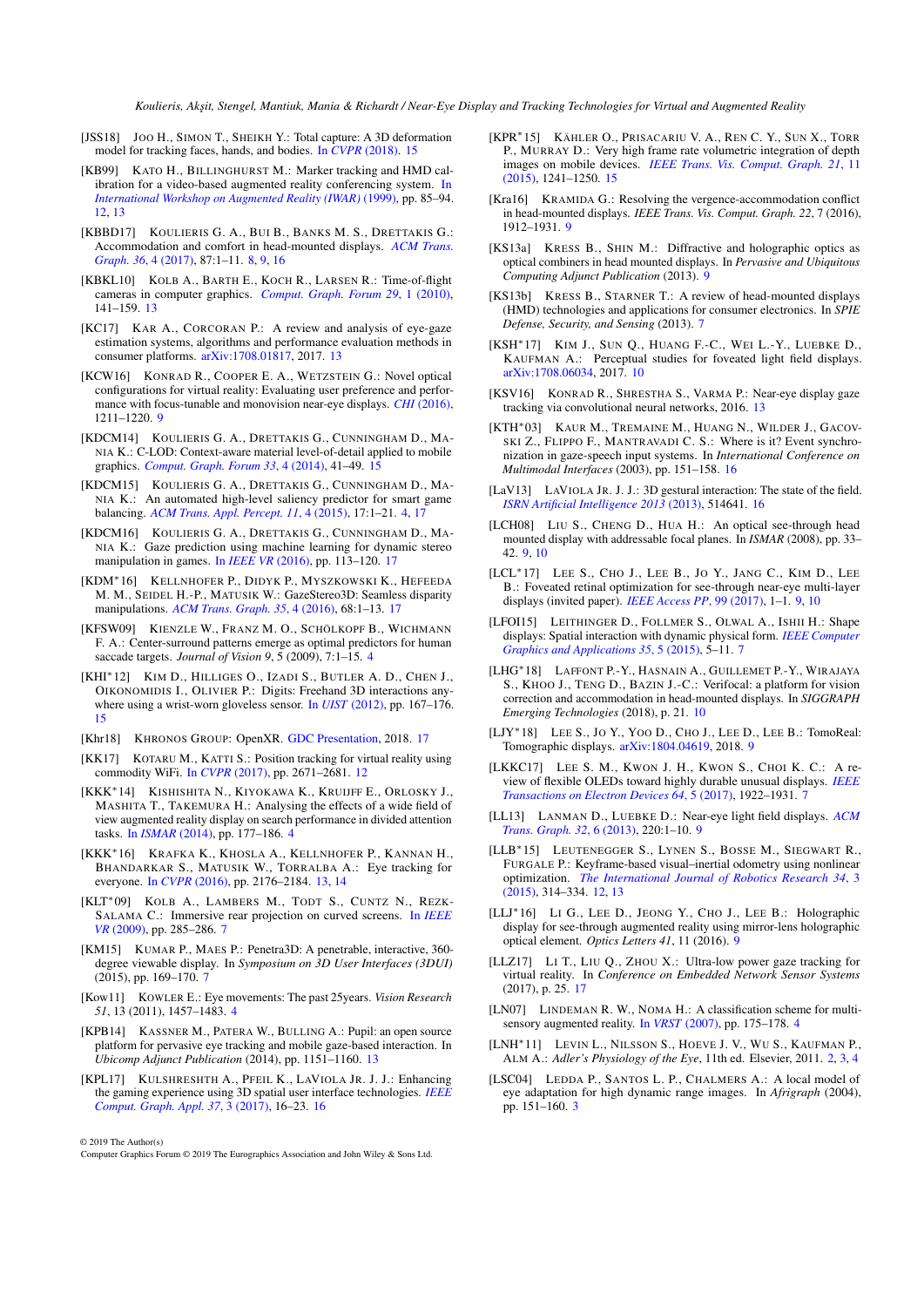- <span id="page-20-32"></span>[JSS18] JOO H., SIMON T., SHEIKH Y.: Total capture: A 3D deformation model for tracking faces, hands, and bodies. In *CVPR* [\(2018\).](https://arxiv.org/abs/1801.01615) [15](#page-14-1)
- <span id="page-20-23"></span>[KB99] KATO H., BILLINGHURST M.: Marker tracking and HMD calibration for a video-based augmented reality conferencing system. [In](https://doi.org/10.1109/IWAR.1999.803809) *[International Workshop on Augmented Reality \(IWAR\)](https://doi.org/10.1109/IWAR.1999.803809)* (1999), pp. 85–94. [12,](#page-11-1) [13](#page-12-1)
- <span id="page-20-12"></span>[KBBD17] KOULIERIS G. A., BUI B., BANKS M. S., DRETTAKIS G.: Accommodation and comfort in head-mounted displays. *[ACM Trans.](https://doi.org/10.1145/3072959.3073622) [Graph. 36](https://doi.org/10.1145/3072959.3073622)*, 4 (2017), 87:1–11. [8,](#page-7-3) [9,](#page-8-2) [16](#page-15-0)
- <span id="page-20-26"></span>[KBKL10] KOLB A., BARTH E., KOCH R., LARSEN R.: Time-of-flight cameras in computer graphics. *[Comput. Graph. Forum 29](https://doi.org/10.1111/j.1467-8659.2009.01583.x)*, 1 (2010), 141–159. [13](#page-12-1)
- <span id="page-20-28"></span>[KC17] KAR A., CORCORAN P.: A review and analysis of eye-gaze estimation systems, algorithms and performance evaluation methods in consumer platforms. [arXiv:1708.01817,](http://arxiv.org/abs/1708.01817) 2017. [13](#page-12-1)
- <span id="page-20-17"></span>[KCW16] KONRAD R., COOPER E. A., WETZSTEIN G.: Novel optical configurations for virtual reality: Evaluating user preference and performance with focus-tunable and monovision near-eye displays. *CHI* [\(2016\),](https://doi.org/10.1145/2858036.2858140) 1211–1220. [9](#page-8-2)
- <span id="page-20-34"></span>[KDCM14] KOULIERIS G. A., DRETTAKIS G., CUNNINGHAM D., MA-NIA K.: C-LOD: Context-aware material level-of-detail applied to mobile graphics. *[Comput. Graph. Forum 33](https://doi.org/10.1111/cgf.12411)*, 4 (2014), 41–49. [15](#page-14-1)
- <span id="page-20-6"></span>[KDCM15] KOULIERIS G. A., DRETTAKIS G., CUNNINGHAM D., MA-NIA K.: An automated high-level saliency predictor for smart game balancing. *[ACM Trans. Appl. Percept. 11](https://doi.org/10.1145/2637479)*, 4 (2015), 17:1–21. [4,](#page-3-0) [17](#page-16-0)
- <span id="page-20-38"></span>[KDCM16] KOULIERIS G. A., DRETTAKIS G., CUNNINGHAM D., MA-NIA K.: Gaze prediction using machine learning for dynamic stereo manipulation in games. In *[IEEE VR](https://doi.org/10.1109/VR.2016.7504694)* (2016), pp. 113–120. [17](#page-16-0)
- <span id="page-20-39"></span>[KDM∗16] KELLNHOFER P., DIDYK P., MYSZKOWSKI K., HEFEEDA M. M., SEIDEL H.-P., MATUSIK W.: GazeStereo3D: Seamless disparity manipulations. *[ACM Trans. Graph. 35](https://doi.org/10.1145/2897824.2925866)*, 4 (2016), 68:1–13. [17](#page-16-0)
- <span id="page-20-3"></span>[KFSW09] KIENZLE W., FRANZ M. O., SCHÖLKOPF B., WICHMANN F. A.: Center-surround patterns emerge as optimal predictors for human saccade targets. *Journal of Vision 9*, 5 (2009), 7:1–15. [4](#page-3-0)
- <span id="page-20-31"></span>[KHI∗12] KIM D., HILLIGES O., IZADI S., BUTLER A. D., CHEN J., OIKONOMIDIS I., OLIVIER P.: Digits: Freehand 3D interactions anywhere using a wrist-worn gloveless sensor. In *UIST* [\(2012\),](https://doi.org/10.1145/2380116.2380139) pp. 167–176. [15](#page-14-1)
- <span id="page-20-40"></span>[Khr18] KHRONOS GROUP: OpenXR. [GDC Presentation,](https://www.khronos.org/assets/uploads/developers/library/2018-gdc-webgl-and-gltf/OpenXR-GDC_Mar18.pdf) 2018. [17](#page-16-0)
- <span id="page-20-25"></span>[KK17] KOTARU M., KATTI S.: Position tracking for virtual reality using commodity WiFi. In *CVPR* [\(2017\),](https://doi.org/10.1109/CVPR.2017.286) pp. 2671–2681. [12](#page-11-1)
- <span id="page-20-4"></span>[KKK∗14] KISHISHITA N., KIYOKAWA K., KRUIJFF E., ORLOSKY J., MASHITA T., TAKEMURA H.: Analysing the effects of a wide field of view augmented reality display on search performance in divided attention tasks. In *[ISMAR](https://doi.org/10.1109/ISMAR.2014.6948425)* (2014), pp. 177–186. [4](#page-3-0)
- <span id="page-20-27"></span>[KKK∗16] KRAFKA K., KHOSLA A., KELLNHOFER P., KANNAN H., BHANDARKAR S., MATUSIK W., TORRALBA A.: Eye tracking for everyone. In *CVPR* [\(2016\),](https://doi.org/10.1109/CVPR.2016.239) pp. 2176–2184. [13,](#page-12-1) [14](#page-13-1)
- <span id="page-20-8"></span>[KLT∗09] KOLB A., LAMBERS M., TODT S., CUNTZ N., REZK-SALAMA C.: Immersive rear projection on curved screens. In *[IEEE](https://doi.org/10.1109/VR.2009.4811057) VR* [\(2009\),](https://doi.org/10.1109/VR.2009.4811057) pp. 285–286. [7](#page-6-1)
- <span id="page-20-7"></span>[KM15] KUMAR P., MAES P.: Penetra3D: A penetrable, interactive, 360 degree viewable display. In *Symposium on 3D User Interfaces (3DUI)* (2015), pp. 169–170. [7](#page-6-1)
- <span id="page-20-2"></span>[Kow11] KOWLER E.: Eye movements: The past 25years. *Vision Research 51*, 13 (2011), 1457–1483. [4](#page-3-0)
- <span id="page-20-29"></span>[KPB14] KASSNER M., PATERA W., BULLING A.: Pupil: an open source platform for pervasive eye tracking and mobile gaze-based interaction. In *Ubicomp Adjunct Publication* (2014), pp. 1151–1160. [13](#page-12-1)
- <span id="page-20-36"></span>[KPL17] KULSHRESHTH A., PFEIL K., LAVIOLA JR. J. J.: Enhancing the gaming experience using 3D spatial user interface technologies. *[IEEE](https://doi.org/10.1109/MCG.2017.42) [Comput. Graph. Appl. 37](https://doi.org/10.1109/MCG.2017.42)*, 3 (2017), 16–23. [16](#page-15-0)

© 2019 The Author(s)

- <span id="page-20-33"></span>[KPR∗15] KÄHLER O., PRISACARIU V. A., REN C. Y., SUN X., TORR P., MURRAY D.: Very high frame rate volumetric integration of depth images on mobile devices. *[IEEE Trans. Vis. Comput. Graph. 21](https://doi.org/10.1109/TVCG.2015.2459891)*, 11 [\(2015\),](https://doi.org/10.1109/TVCG.2015.2459891) 1241–1250. [15](#page-14-1)
- <span id="page-20-15"></span>[Kra16] KRAMIDA G.: Resolving the vergence-accommodation conflict in head-mounted displays. *IEEE Trans. Vis. Comput. Graph. 22*, 7 (2016), 1912–1931. [9](#page-8-2)
- <span id="page-20-13"></span>[KS13a] KRESS B., SHIN M.: Diffractive and holographic optics as optical combiners in head mounted displays. In *Pervasive and Ubiquitous Computing Adjunct Publication* (2013). [9](#page-8-2)
- <span id="page-20-11"></span>[KS13b] KRESS B., STARNER T.: A review of head-mounted displays (HMD) technologies and applications for consumer electronics. In *SPIE Defense, Security, and Sensing* (2013). [7](#page-6-1)
- <span id="page-20-21"></span>[KSH∗17] KIM J., SUN Q., HUANG F.-C., WEI L.-Y., LUEBKE D., KAUFMAN A.: Perceptual studies for foveated light field displays. [arXiv:1708.06034,](https://arxiv.org/abs/1708.06034) 2017. [10](#page-9-1)
- <span id="page-20-30"></span>[KSV16] KONRAD R., SHRESTHA S., VARMA P.: Near-eye display gaze tracking via convolutional neural networks, 2016. [13](#page-12-1)
- <span id="page-20-37"></span>[KTH∗03] KAUR M., TREMAINE M., HUANG N., WILDER J., GACOV-SKI Z., FLIPPO F., MANTRAVADI C. S.: Where is it? Event synchronization in gaze-speech input systems. In *International Conference on Multimodal Interfaces* (2003), pp. 151–158. [16](#page-15-0)
- <span id="page-20-35"></span>[LaV13] LAVIOLA JR. J. J.: 3D gestural interaction: The state of the field. *[ISRN Artificial Intelligence 2013](https://doi.org/10.1155/2013/514641)* (2013), 514641. [16](#page-15-0)
- <span id="page-20-16"></span>[LCH08] LIU S., CHENG D., HUA H.: An optical see-through head mounted display with addressable focal planes. In *ISMAR* (2008), pp. 33– 42. [9,](#page-8-2) [10](#page-9-1)
- <span id="page-20-18"></span>[LCL∗17] LEE S., CHO J., LEE B., J<sup>O</sup> Y., JANG C., KIM D., LEE B.: Foveated retinal optimization for see-through near-eye multi-layer displays (invited paper). *[IEEE Access PP](https://doi.org/10.1109/ACCESS.2017.2782219)*, 99 (2017), 1–1. [9,](#page-8-2) [10](#page-9-1)
- <span id="page-20-9"></span>[LFOI15] LEITHINGER D., FOLLMER S., OLWAL A., ISHII H.: Shape displays: Spatial interaction with dynamic physical form. *[IEEE Computer](https://doi.org/10.1109/MCG.2015.111) [Graphics and Applications 35](https://doi.org/10.1109/MCG.2015.111)*, 5 (2015), 5–11. [7](#page-6-1)
- <span id="page-20-22"></span>[LHG∗18] LAFFONT P.-Y., HASNAIN A., GUILLEMET P.-Y., WIRAJAYA S., KHOO J., TENG D., BAZIN J.-C.: Verifocal: a platform for vision correction and accommodation in head-mounted displays. In *SIGGRAPH Emerging Technologies* (2018), p. 21. [10](#page-9-1)
- <span id="page-20-19"></span>[LJY∗18] LEE S., J<sup>O</sup> Y., YOO D., CHO J., LEE D., LEE B.: TomoReal: Tomographic displays. [arXiv:1804.04619,](https://arxiv.org/abs/1804.04619) 2018. [9](#page-8-2)
- <span id="page-20-10"></span>[LKKC17] LEE S. M., KWON J. H., KWON S., CHOI K. C.: A review of flexible OLEDs toward highly durable unusual displays. *[IEEE](https://doi.org/10.1109/TED.2017.2647964) [Transactions on Electron Devices 64](https://doi.org/10.1109/TED.2017.2647964)*, 5 (2017), 1922–1931. [7](#page-6-1)
- <span id="page-20-20"></span>[LL13] LANMAN D., LUEBKE D.: Near-eye light field displays. *[ACM](https://doi.org/10.1145/2508363.2508366) [Trans. Graph. 32](https://doi.org/10.1145/2508363.2508366)*, 6 (2013), 220:1–10. [9](#page-8-2)
- <span id="page-20-24"></span>[LLB∗15] LEUTENEGGER S., LYNEN S., BOSSE M., SIEGWART R., FURGALE P.: Keyframe-based visual–inertial odometry using nonlinear optimization. *[The International Journal of Robotics Research 34](https://doi.org/10.1177/0278364914554813)*, 3 [\(2015\),](https://doi.org/10.1177/0278364914554813) 314–334. [12,](#page-11-1) [13](#page-12-1)
- <span id="page-20-14"></span>[LLJ∗16] L<sup>I</sup> G., LEE D., JEONG Y., CHO J., LEE B.: Holographic display for see-through augmented reality using mirror-lens holographic optical element. *Optics Letters 41*, 11 (2016). [9](#page-8-2)
- <span id="page-20-41"></span>[LLZ17] LI T., LIU Q., ZHOU X.: Ultra-low power gaze tracking for virtual reality. In *Conference on Embedded Network Sensor Systems* (2017), p. 25. [17](#page-16-0)
- <span id="page-20-5"></span>[LN07] LINDEMAN R. W., NOMA H.: A classification scheme for multisensory augmented reality. In *VRST* [\(2007\),](https://doi.org/10.1145/1315184.1315216) pp. 175–178. [4](#page-3-0)
- <span id="page-20-0"></span>[LNH∗11] LEVIN L., NILSSON S., HOEVE J. V., W<sup>U</sup> S., KAUFMAN P., ALM A.: *Adler's Physiology of the Eye*, 11th ed. Elsevier, 2011. [2,](#page-1-1) [3,](#page-2-2) [4](#page-3-0)
- <span id="page-20-1"></span>[LSC04] LEDDA P., SANTOS L. P., CHALMERS A.: A local model of eye adaptation for high dynamic range images. In *Afrigraph* (2004), pp. 151–160. [3](#page-2-2)

Computer Graphics Forum © 2019 The Eurographics Association and John Wiley & Sons Ltd.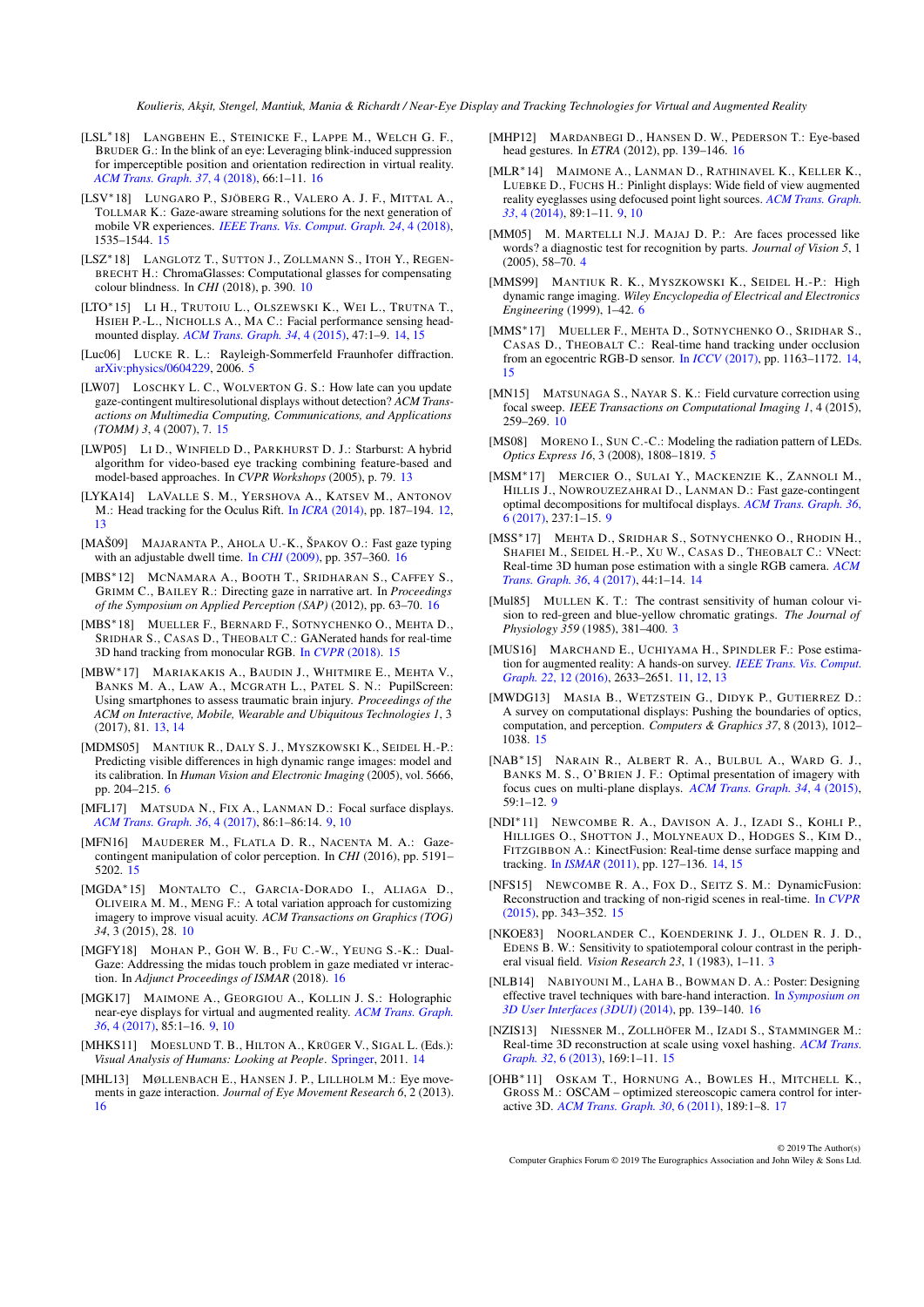- <span id="page-21-32"></span>[LSL∗18] LANGBEHN E., STEINICKE F., LAPPE M., WELCH G. F., BRUDER G.: In the blink of an eye: Leveraging blink-induced suppression for imperceptible position and orientation redirection in virtual reality. *[ACM Trans. Graph. 37](https://doi.org/10.1145/3197517.3201335)*, 4 (2018), 66:1–11. [16](#page-15-0)
- <span id="page-21-29"></span>[LSV∗18] LUNGARO P., SJÖBERG R., VALERO A. J. F., MITTAL A., TOLLMAR K.: Gaze-aware streaming solutions for the next generation of mobile VR experiences. *[IEEE Trans. Vis. Comput. Graph. 24](https://doi.org/10.1109/TVCG.2018.2794119)*, 4 (2018), 1535–1544. [15](#page-14-1)
- <span id="page-21-14"></span>[LSZ∗18] LANGLOTZ T., SUTTON J., ZOLLMANN S., ITOH Y., REGEN-BRECHT H.: ChromaGlasses: Computational glasses for compensating colour blindness. In *CHI* (2018), p. 390. [10](#page-9-1)
- <span id="page-21-21"></span>[LTO∗15] L<sup>I</sup> H., TRUTOIU L., OLSZEWSKI K., WEI L., TRUTNA T., HSIEH P.-L., NICHOLLS A., MA C.: Facial performance sensing headmounted display. *[ACM Trans. Graph. 34](https://doi.org/10.1145/2766939)*, 4 (2015), 47:1–9. [14,](#page-13-1) [15](#page-14-1)
- <span id="page-21-4"></span>[Luc06] LUCKE R. L.: Rayleigh-Sommerfeld Fraunhofer diffraction. [arXiv:physics/0604229,](https://arxiv.org/abs/physics/0604229) 2006. [5](#page-4-0)
- <span id="page-21-30"></span>[LW07] LOSCHKY L. C., WOLVERTON G. S.: How late can you update gaze-contingent multiresolutional displays without detection? *ACM Transactions on Multimedia Computing, Communications, and Applications (TOMM) 3*, 4 (2007), 7. [15](#page-14-1)
- <span id="page-21-17"></span>[LWP05] LI D., WINFIELD D., PARKHURST D. J.: Starburst: A hybrid algorithm for video-based eye tracking combining feature-based and model-based approaches. In *CVPR Workshops* (2005), p. 79. [13](#page-12-1)
- <span id="page-21-16"></span>[LYKA14] LAVALLE S. M., YERSHOVA A., KATSEV M., ANTONOV M.: Head tracking for the Oculus Rift. In *ICRA* [\(2014\),](https://doi.org/10.1109/ICRA.2014.6906608) pp. 187–194. [12,](#page-11-1) [13](#page-12-1)
- <span id="page-21-36"></span>[MAŠ09] MAJARANTA P., AHOLA U.-K., ŠPAKOV O.: Fast gaze typing with an adjustable dwell time. In *CHI* [\(2009\),](https://doi.org/10.1145/1518701.1518758) pp. 357–360. [16](#page-15-0)
- <span id="page-21-31"></span>[MBS∗12] MCNAMARA A., BOOTH T., SRIDHARAN S., CAFFEY S., GRIMM C., BAILEY R.: Directing gaze in narrative art. In *Proceedings of the Symposium on Applied Perception (SAP)* (2012), pp. 63–70. [16](#page-15-0)
- <span id="page-21-24"></span>[MBS∗18] MUELLER F., BERNARD F., SOTNYCHENKO O., MEHTA D., SRIDHAR S., CASAS D., THEOBALT C.: GANerated hands for real-time 3D hand tracking from monocular RGB. In *CVPR* [\(2018\).](https://handtracker.mpi-inf.mpg.de/projects/GANeratedHands/) [15](#page-14-1)
- <span id="page-21-18"></span>[MBW∗17] MARIAKAKIS A., BAUDIN J., WHITMIRE E., MEHTA V., BANKS M. A., LAW A., MCGRATH L., PATEL S. N.: PupilScreen: Using smartphones to assess traumatic brain injury. *Proceedings of the ACM on Interactive, Mobile, Wearable and Ubiquitous Technologies 1*, 3 (2017), 81. [13,](#page-12-1) [14](#page-13-1)
- <span id="page-21-5"></span>[MDMS05] MANTIUK R., DALY S. J., MYSZKOWSKI K., SEIDEL H.-P.: Predicting visible differences in high dynamic range images: model and its calibration. In *Human Vision and Electronic Imaging* (2005), vol. 5666, pp. 204–215. [6](#page-5-1)
- <span id="page-21-11"></span>[MFL17] MATSUDA N., FIX A., LANMAN D.: Focal surface displays. *[ACM Trans. Graph. 36](https://doi.org/10.1145/3072959.3073590)*, 4 (2017), 86:1–86:14. [9,](#page-8-2) [10](#page-9-1)
- <span id="page-21-28"></span>[MFN16] MAUDERER M., FLATLA D. R., NACENTA M. A.: Gazecontingent manipulation of color perception. In *CHI* (2016), pp. 5191– 5202. [15](#page-14-1)
- <span id="page-21-13"></span>[MGDA∗15] MONTALTO C., GARCIA-DORADO I., ALIAGA D., OLIVEIRA M. M., MENG F.: A total variation approach for customizing imagery to improve visual acuity. *ACM Transactions on Graphics (TOG) 34*, 3 (2015), 28. [10](#page-9-1)
- <span id="page-21-37"></span>[MGFY18] MOHAN P., GOH W. B., FU C.-W., YEUNG S.-K.: Dual-Gaze: Addressing the midas touch problem in gaze mediated vr interaction. In *Adjunct Proceedings of ISMAR* (2018). [16](#page-15-0)
- <span id="page-21-7"></span>[MGK17] MAIMONE A., GEORGIOU A., KOLLIN J. S.: Holographic near-eye displays for virtual and augmented reality. *[ACM Trans. Graph.](https://doi.org/10.1145/3072959.3073624) 36*[, 4 \(2017\),](https://doi.org/10.1145/3072959.3073624) 85:1–16. [9,](#page-8-2) [10](#page-9-1)
- <span id="page-21-23"></span>[MHKS11] MOESLUND T. B., HILTON A., KRÜGER V., SIGAL L. (Eds.): *Visual Analysis of Humans: Looking at People*. [Springer,](https://doi.org/10.1007/978-0-85729-997-0) 2011. [14](#page-13-1)
- <span id="page-21-34"></span>[MHL13] MØLLENBACH E., HANSEN J. P., LILLHOLM M.: Eye movements in gaze interaction. *Journal of Eye Movement Research 6*, 2 (2013). [16](#page-15-0)
- <span id="page-21-35"></span>[MHP12] MARDANBEGI D., HANSEN D. W., PEDERSON T.: Eye-based head gestures. In *ETRA* (2012), pp. 139–146. [16](#page-15-0)
- <span id="page-21-10"></span>[MLR∗14] MAIMONE A., LANMAN D., RATHINAVEL K., KELLER K., LUEBKE D., FUCHS H.: Pinlight displays: Wide field of view augmented reality eyeglasses using defocused point light sources. *[ACM Trans. Graph.](https://doi.org/10.1145/2601097.2601141) 33*[, 4 \(2014\),](https://doi.org/10.1145/2601097.2601141) 89:1–11. [9,](#page-8-2) [10](#page-9-1)
- <span id="page-21-2"></span>[MM05] M. MARTELLI N.J. MAJAJ D. P.: Are faces processed like words? a diagnostic test for recognition by parts. *Journal of Vision 5*, 1  $(2005)$ , 58–70. [4](#page-3-0)
- <span id="page-21-6"></span>[MMS99] MANTIUK R. K., MYSZKOWSKI K., SEIDEL H.-P.: High dynamic range imaging. *Wiley Encyclopedia of Electrical and Electronics Engineering* (1999), 1–42. [6](#page-5-1)
- <span id="page-21-20"></span>[MMS∗17] MUELLER F., MEHTA D., SOTNYCHENKO O., SRIDHAR S., CASAS D., THEOBALT C.: Real-time hand tracking under occlusion from an egocentric RGB-D sensor. In *ICCV* [\(2017\),](https://doi.org/10.1109/ICCVW.2017.82) pp. 1163–1172. [14,](#page-13-1) [15](#page-14-1)
- <span id="page-21-12"></span>[MN15] MATSUNAGA S., NAYAR S. K.: Field curvature correction using focal sweep. *IEEE Transactions on Computational Imaging 1*, 4 (2015), 259–269. [10](#page-9-1)
- <span id="page-21-3"></span>[MS08] MORENO I., SUN C.-C.: Modeling the radiation pattern of LEDs. *Optics Express 16*, 3 (2008), 1808–1819. [5](#page-4-0)
- <span id="page-21-9"></span>[MSM∗17] MERCIER O., SULAI Y., MACKENZIE K., ZANNOLI M., HILLIS J., NOWROUZEZAHRAI D., LANMAN D.: Fast gaze-contingent optimal decompositions for multifocal displays. *[ACM Trans. Graph. 36](https://doi.org/10.1145/3130800.3130846)*, [6 \(2017\),](https://doi.org/10.1145/3130800.3130846) 237:1–15. [9](#page-8-2)
- <span id="page-21-19"></span>[MSS∗17] MEHTA D., SRIDHAR S., SOTNYCHENKO O., RHODIN H., SHAFIEI M., SEIDEL H.-P., XU W., CASAS D., THEOBALT C.: VNect: Real-time 3D human pose estimation with a single RGB camera. *[ACM](https://doi.org/10.1145/3072959.3073596) [Trans. Graph. 36](https://doi.org/10.1145/3072959.3073596)*, 4 (2017), 44:1–14. [14](#page-13-1)
- <span id="page-21-1"></span>[Mul85] MULLEN K. T.: The contrast sensitivity of human colour vision to red-green and blue-yellow chromatic gratings. *The Journal of Physiology 359* (1985), 381–400. [3](#page-2-2)
- <span id="page-21-15"></span>[MUS16] MARCHAND E., UCHIYAMA H., SPINDLER F.: Pose estimation for augmented reality: A hands-on survey. *[IEEE Trans. Vis. Comput.](https://doi.org/10.1109/TVCG.2015.2513408) Graph. 22*[, 12 \(2016\),](https://doi.org/10.1109/TVCG.2015.2513408) 2633–2651. [11,](#page-10-3) [12,](#page-11-1) [13](#page-12-1)
- <span id="page-21-27"></span>[MWDG13] MASIA B., WETZSTEIN G., DIDYK P., GUTIERREZ D.: A survey on computational displays: Pushing the boundaries of optics, computation, and perception. *Computers & Graphics 37*, 8 (2013), 1012– 1038. [15](#page-14-1)
- <span id="page-21-8"></span>[NAB∗15] NARAIN R., ALBERT R. A., BULBUL A., WARD G. J., BANKS M. S., O'BRIEN J. F.: Optimal presentation of imagery with focus cues on multi-plane displays. *[ACM Trans. Graph. 34](https://doi.org/10.1145/2766909)*, 4 (2015), 59:1–12. [9](#page-8-2)
- <span id="page-21-22"></span>[NDI∗11] NEWCOMBE R. A., DAVISON A. J., IZADI S., KOHLI P., HILLIGES O., SHOTTON J., MOLYNEAUX D., HODGES S., KIM D., FITZGIBBON A.: KinectFusion: Real-time dense surface mapping and tracking. In *[ISMAR](https://doi.org/10.1109/ISMAR.2011.6092378)* (2011), pp. 127–136. [14,](#page-13-1) [15](#page-14-1)
- <span id="page-21-26"></span>[NFS15] NEWCOMBE R. A., FOX D., SEITZ S. M.: DynamicFusion: Reconstruction and tracking of non-rigid scenes in real-time. In *[CVPR](https://doi.org/10.1109/CVPR.2015.7298631)* [\(2015\),](https://doi.org/10.1109/CVPR.2015.7298631) pp. 343–352. [15](#page-14-1)
- <span id="page-21-0"></span>[NKOE83] NOORLANDER C., KOENDERINK J. J., OLDEN R. J. D., EDENS B. W.: Sensitivity to spatiotemporal colour contrast in the peripheral visual field. *Vision Research 23*, 1 (1983), 1–11. [3](#page-2-2)
- <span id="page-21-33"></span>[NLB14] NABIYOUNI M., LAHA B., BOWMAN D. A.: Poster: Designing effective travel techniques with bare-hand interaction. In *[Symposium on](https://doi.org/10.1109/3DUI.2014.6798859) [3D User Interfaces \(3DUI\)](https://doi.org/10.1109/3DUI.2014.6798859)* (2014), pp. 139–140. [16](#page-15-0)
- <span id="page-21-25"></span>[NZIS13] NIESSNER M., ZOLLHÖFER M., IZADI S., STAMMINGER M.: Real-time 3D reconstruction at scale using voxel hashing. *[ACM Trans.](https://doi.org/10.1145/2508363.2508374) [Graph. 32](https://doi.org/10.1145/2508363.2508374)*, 6 (2013), 169:1–11. [15](#page-14-1)
- <span id="page-21-38"></span>[OHB∗11] OSKAM T., HORNUNG A., BOWLES H., MITCHELL K., GROSS M.: OSCAM – optimized stereoscopic camera control for interactive 3D. *[ACM Trans. Graph. 30](https://doi.org/10.1145/2070781.2024223)*, 6 (2011), 189:1–8. [17](#page-16-0)

© 2019 The Author(s) Computer Graphics Forum © 2019 The Eurographics Association and John Wiley & Sons Ltd.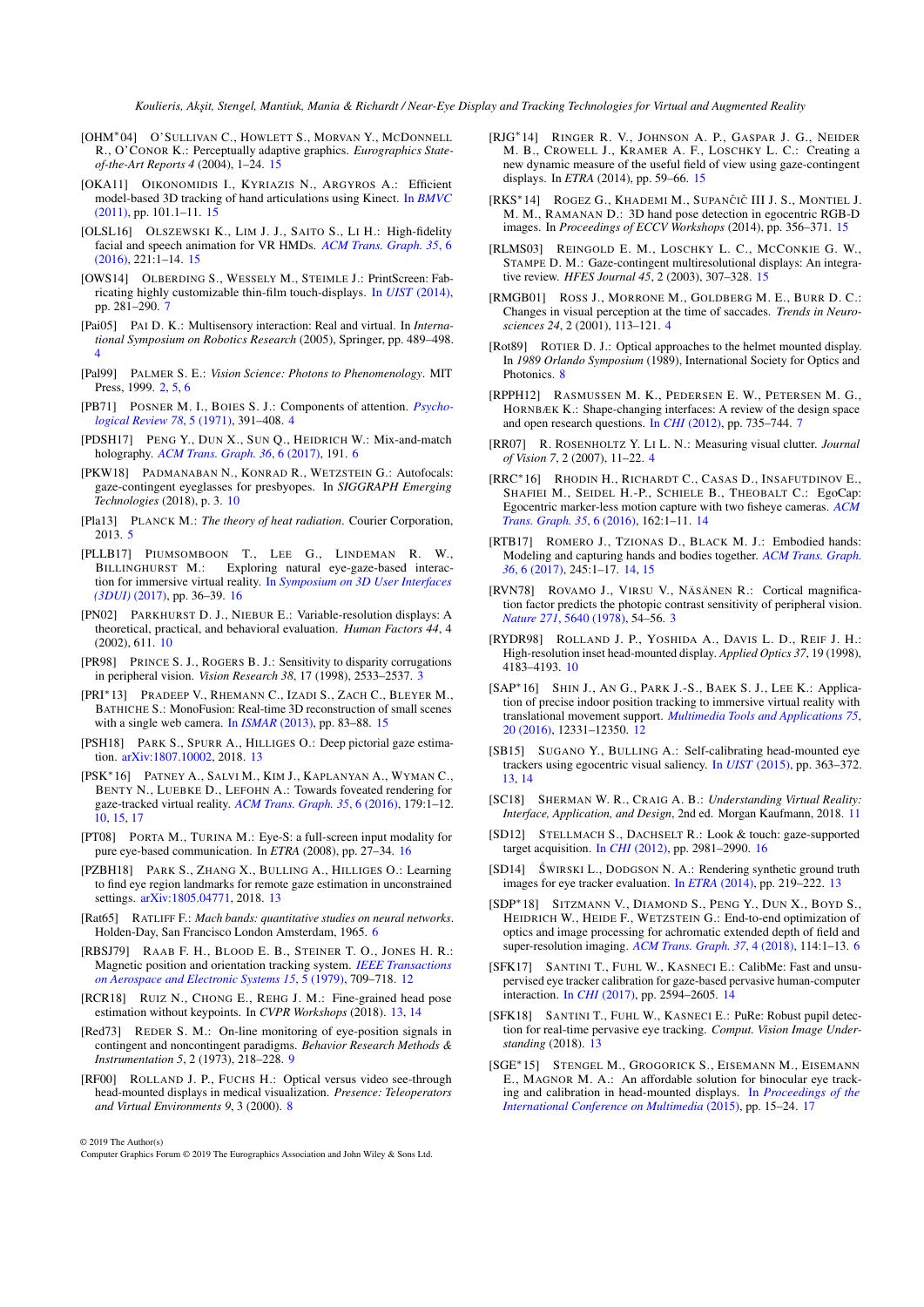- <span id="page-22-37"></span>[OHM∗04] O'SULLIVAN C., HOWLETT S., MORVAN Y., MCDONNELL R., O'CONOR K.: Perceptually adaptive graphics. *Eurographics Stateof-the-Art Reports 4* (2004), 1–24. [15](#page-14-1)
- <span id="page-22-32"></span>[OKA11] OIKONOMIDIS I., KYRIAZIS N., ARGYROS A.: Efficient model-based 3D tracking of hand articulations using Kinect. In *[BMVC](https://doi.org/10.5244/C.25.101)* [\(2011\),](https://doi.org/10.5244/C.25.101) pp. 101.1–11. [15](#page-14-1)
- <span id="page-22-34"></span>[OLSL16] OLSZEWSKI K., LIM J. J., SAITO S., LI H.: High-fidelity facial and speech animation for VR HMDs. *[ACM Trans. Graph. 35](https://doi.org/10.1145/2980179.2980252)*, 6 [\(2016\),](https://doi.org/10.1145/2980179.2980252) 221:1–14. [15](#page-14-1)
- <span id="page-22-11"></span>[OWS14] OLBERDING S., WESSELY M., STEIMLE J.: PrintScreen: Fabricating highly customizable thin-film touch-displays. In *UIST* [\(2014\),](https://doi.org/10.1145/2642918.2647413) pp. 281–290. [7](#page-6-1)
- <span id="page-22-5"></span>[Pai05] PAI D. K.: Multisensory interaction: Real and virtual. In *International Symposium on Robotics Research* (2005), Springer, pp. 489–498. [4](#page-3-0)
- <span id="page-22-0"></span>[Pal99] PALMER S. E.: *Vision Science: Photons to Phenomenology*. MIT Press, 1999. [2,](#page-1-1) [5,](#page-4-0) [6](#page-5-1)
- <span id="page-22-6"></span>[PB71] POSNER M. I., BOIES S. J.: Components of attention. *[Psycho](https://doi.org/10.1037/h0031333)[logical Review 78](https://doi.org/10.1037/h0031333)*, 5 (1971), 391–408. [4](#page-3-0)
- <span id="page-22-8"></span>[PDSH17] PENG Y., DUN X., SUN Q., HEIDRICH W.: Mix-and-match holography. *[ACM Trans. Graph. 36](https://doi.org/10.1145/3130800.3130839)*, 6 (2017), 191. [6](#page-5-1)
- <span id="page-22-19"></span>[PKW18] PADMANABAN N., KONRAD R., WETZSTEIN G.: Autofocals: gaze-contingent eyeglasses for presbyopes. In *SIGGRAPH Emerging Technologies* (2018), p. 3. [10](#page-9-1)
- <span id="page-22-7"></span>[Pla13] PLANCK M.: *The theory of heat radiation*. Courier Corporation, 2013. [5](#page-4-0)
- <span id="page-22-41"></span>[PLLB17] PIUMSOMBOON T., LEE G., LINDEMAN R. W., Exploring natural eye-gaze-based interaction for immersive virtual reality. In *[Symposium on 3D User Interfaces](https://doi.org/10.1109/3DUI.2017.7893315) [\(3DUI\)](https://doi.org/10.1109/3DUI.2017.7893315)* (2017), pp. 36–39. [16](#page-15-0)
- <span id="page-22-17"></span>[PN02] PARKHURST D. J., NIEBUR E.: Variable-resolution displays: A theoretical, practical, and behavioral evaluation. *Human Factors 44*, 4 (2002), 611. [10](#page-9-1)
- <span id="page-22-2"></span>[PR98] PRINCE S. J., ROGERS B. J.: Sensitivity to disparity corrugations in peripheral vision. *Vision Research 38*, 17 (1998), 2533–2537. [3](#page-2-2)
- <span id="page-22-35"></span>[PRI∗13] PRADEEP V., RHEMANN C., IZADI S., ZACH C., BLEYER M., BATHICHE S.: MonoFusion: Real-time 3D reconstruction of small scenes with a single web camera. In *[ISMAR](https://doi.org/10.1109/ISMAR.2013.6671767)* (2013), pp. 83–88. [15](#page-14-1)
- <span id="page-22-28"></span>[PSH18] PARK S., SPURR A., HILLIGES O.: Deep pictorial gaze estimation. [arXiv:1807.10002,](https://arxiv.org/abs/1807.10002) 2018. [13](#page-12-1)
- <span id="page-22-18"></span>[PSK∗16] PATNEY A., SALVI M., KIM J., KAPLANYAN A., WYMAN C., BENTY N., LUEBKE D., LEFOHN A.: Towards foveated rendering for gaze-tracked virtual reality. *[ACM Trans. Graph. 35](https://doi.org/10.1145/2980179.2980246)*, 6 (2016), 179:1–12. [10,](#page-9-1) [15,](#page-14-1) [17](#page-16-0)
- <span id="page-22-39"></span>[PT08] PORTA M., TURINA M.: Eye-S: a full-screen input modality for pure eye-based communication. In *ETRA* (2008), pp. 27–34. [16](#page-15-0)
- <span id="page-22-27"></span>[PZBH18] PARK S., ZHANG X., BULLING A., HILLIGES O.: Learning to find eye region landmarks for remote gaze estimation in unconstrained settings. [arXiv:1805.04771,](https://arxiv.org/abs/1805.04771) 2018. [13](#page-12-1)
- <span id="page-22-10"></span>[Rat65] RATLIFF F.: *Mach bands: quantitative studies on neural networks*. Holden-Day, San Francisco London Amsterdam, 1965. [6](#page-5-1)
- <span id="page-22-22"></span>[RBSJ79] RAAB F. H., BLOOD E. B., STEINER T. O., JONES H. R.: Magnetic position and orientation tracking system. *[IEEE Transactions](https://doi.org/10.1109/TAES.1979.308860) [on Aerospace and Electronic Systems 15](https://doi.org/10.1109/TAES.1979.308860)*, 5 (1979), 709–718. [12](#page-11-1)
- <span id="page-22-23"></span>[RCR18] RUIZ N., CHONG E., REHG J. M.: Fine-grained head pose estimation without keypoints. In *CVPR Workshops* (2018). [13,](#page-12-1) [14](#page-13-1)
- <span id="page-22-15"></span>[Red73] REDER S. M.: On-line monitoring of eye-position signals in contingent and noncontingent paradigms. *Behavior Research Methods & Instrumentation 5*, 2 (1973), 218–228. [9](#page-8-2)
- <span id="page-22-13"></span>ROLLAND J. P., FUCHS H.: Optical versus video see-through head-mounted displays in medical visualization. *Presence: Teleoperators and Virtual Environments 9*, 3 (2000). [8](#page-7-3)

© 2019 The Author(s)

Computer Graphics Forum © 2019 The Eurographics Association and John Wiley & Sons Ltd.

- <span id="page-22-38"></span>[RJG∗14] RINGER R. V., JOHNSON A. P., GASPAR J. G., NEIDER M. B., CROWELL J., KRAMER A. F., LOSCHKY L. C.: Creating a new dynamic measure of the useful field of view using gaze-contingent displays. In *ETRA* (2014), pp. 59–66. [15](#page-14-1)
- <span id="page-22-33"></span>[RKS\*14] ROGEZ G., KHADEMI M., SUPANČIČ III J. S., MONTIEL J. M. M., RAMANAN D.: 3D hand pose detection in egocentric RGB-D images. In *Proceedings of ECCV Workshops* (2014), pp. 356–371. [15](#page-14-1)
- <span id="page-22-36"></span>[RLMS03] REINGOLD E. M., LOSCHKY L. C., MCCONKIE G. W., STAMPE D. M.: Gaze-contingent multiresolutional displays: An integrative review. *HFES Journal 45*, 2 (2003), 307–328. [15](#page-14-1)
- <span id="page-22-3"></span>[RMGB01] ROSS J., MORRONE M., GOLDBERG M. E., BURR D. C.: Changes in visual perception at the time of saccades. *Trends in Neurosciences 24*, 2 (2001), 113–121. [4](#page-3-0)
- <span id="page-22-14"></span>[Rot89] ROTIER D. J.: Optical approaches to the helmet mounted display. In *1989 Orlando Symposium* (1989), International Society for Optics and Photonics. [8](#page-7-3)
- <span id="page-22-12"></span>[RPPH12] RASMUSSEN M. K., PEDERSEN E. W., PETERSEN M. G., HORNBÆK K.: Shape-changing interfaces: A review of the design space and open research questions. In *CHI* [\(2012\),](https://doi.org/10.1145/2207676.2207781) pp. 735–744. [7](#page-6-1)
- <span id="page-22-4"></span>[RR07] R. ROSENHOLTZ Y. LI L. N.: Measuring visual clutter. *Journal of Vision 7*, 2 (2007), 11–22. [4](#page-3-0)
- <span id="page-22-29"></span>[RRC∗16] RHODIN H., RICHARDT C., CASAS D., INSAFUTDINOV E., SHAFIEI M., SEIDEL H.-P., SCHIELE B., THEOBALT C.: EgoCap: Egocentric marker-less motion capture with two fisheye cameras. *[ACM](https://doi.org/10.1145/2980179.2980235) [Trans. Graph. 35](https://doi.org/10.1145/2980179.2980235)*, 6 (2016), 162:1–11. [14](#page-13-1)
- <span id="page-22-30"></span>[RTB17] ROMERO J., TZIONAS D., BLACK M. J.: Embodied hands: Modeling and capturing hands and bodies together. *[ACM Trans. Graph.](https://doi.org/10.1145/3130800.3130883) 36*[, 6 \(2017\),](https://doi.org/10.1145/3130800.3130883) 245:1–17. [14,](#page-13-1) [15](#page-14-1)
- <span id="page-22-1"></span>[RVN78] ROVAMO J., VIRSU V., NÄSÄNEN R.: Cortical magnification factor predicts the photopic contrast sensitivity of peripheral vision. *Nature 271*[, 5640 \(1978\),](https://doi.org/10.1038/271054a0) 54–56. [3](#page-2-2)
- <span id="page-22-16"></span>[RYDR98] ROLLAND J. P., YOSHIDA A., DAVIS L. D., REIF J. H.: High-resolution inset head-mounted display. *Applied Optics 37*, 19 (1998), 4183–4193. [10](#page-9-1)
- <span id="page-22-21"></span>[SAP∗16] SHIN J., A<sup>N</sup> G., PARK J.-S., BAEK S. J., LEE K.: Application of precise indoor position tracking to immersive virtual reality with translational movement support. *[Multimedia Tools and Applications 75](https://doi.org/10.1007/s11042-016-3520-1)*, [20 \(2016\),](https://doi.org/10.1007/s11042-016-3520-1) 12331–12350. [12](#page-11-1)
- <span id="page-22-24"></span>[SB15] SUGANO Y., BULLING A.: Self-calibrating head-mounted eye trackers using egocentric visual saliency. In *UIST* [\(2015\),](https://doi.org/10.1145/2807442.2807445) pp. 363–372. [13,](#page-12-1) [14](#page-13-1)
- <span id="page-22-20"></span>[SC18] SHERMAN W. R., CRAIG A. B.: *Understanding Virtual Reality: Interface, Application, and Design*, 2nd ed. Morgan Kaufmann, 2018. [11](#page-10-3)
- <span id="page-22-40"></span>[SD12] STELLMACH S., DACHSELT R.: Look & touch: gaze-supported target acquisition. In *CHI* [\(2012\),](https://doi.org/10.1145/2207676.2208709) pp. 2981–2990. [16](#page-15-0)
- <span id="page-22-25"></span>[SD14] ŚWIRSKI L., DODGSON N. A.: Rendering synthetic ground truth images for eye tracker evaluation. In *ETRA* [\(2014\),](http://www.cl.cam.ac.uk/research/rainbow/projects/eyerender/) pp. 219–222. [13](#page-12-1)
- <span id="page-22-9"></span>[SDP∗18] SITZMANN V., DIAMOND S., PENG Y., DUN X., BOYD S., HEIDRICH W., HEIDE F., WETZSTEIN G.: End-to-end optimization of optics and image processing for achromatic extended depth of field and super-resolution imaging. *[ACM Trans. Graph. 37](https://doi.org/10.1145/3197517.3201333)*, 4 (2018), 114:1–13. [6](#page-5-1)
- <span id="page-22-31"></span>[SFK17] SANTINI T., FUHL W., KASNECI E.: CalibMe: Fast and unsupervised eye tracker calibration for gaze-based pervasive human-computer interaction. In *CHI* [\(2017\),](https://doi.org/10.1145/3025453.3025950) pp. 2594–2605. [14](#page-13-1)
- <span id="page-22-26"></span>[SFK18] SANTINI T., FUHL W., KASNECI E.: PuRe: Robust pupil detection for real-time pervasive eye tracking. *Comput. Vision Image Understanding* (2018). [13](#page-12-1)
- <span id="page-22-42"></span>[SGE∗15] STENGEL M., GROGORICK S., EISEMANN M., EISEMANN E., MAGNOR M. A.: An affordable solution for binocular eye tracking and calibration in head-mounted displays. In *[Proceedings of the](https://doi.org/10.1145/2733373.2806265) [International Conference on Multimedia](https://doi.org/10.1145/2733373.2806265)* (2015), pp. 15–24. [17](#page-16-0)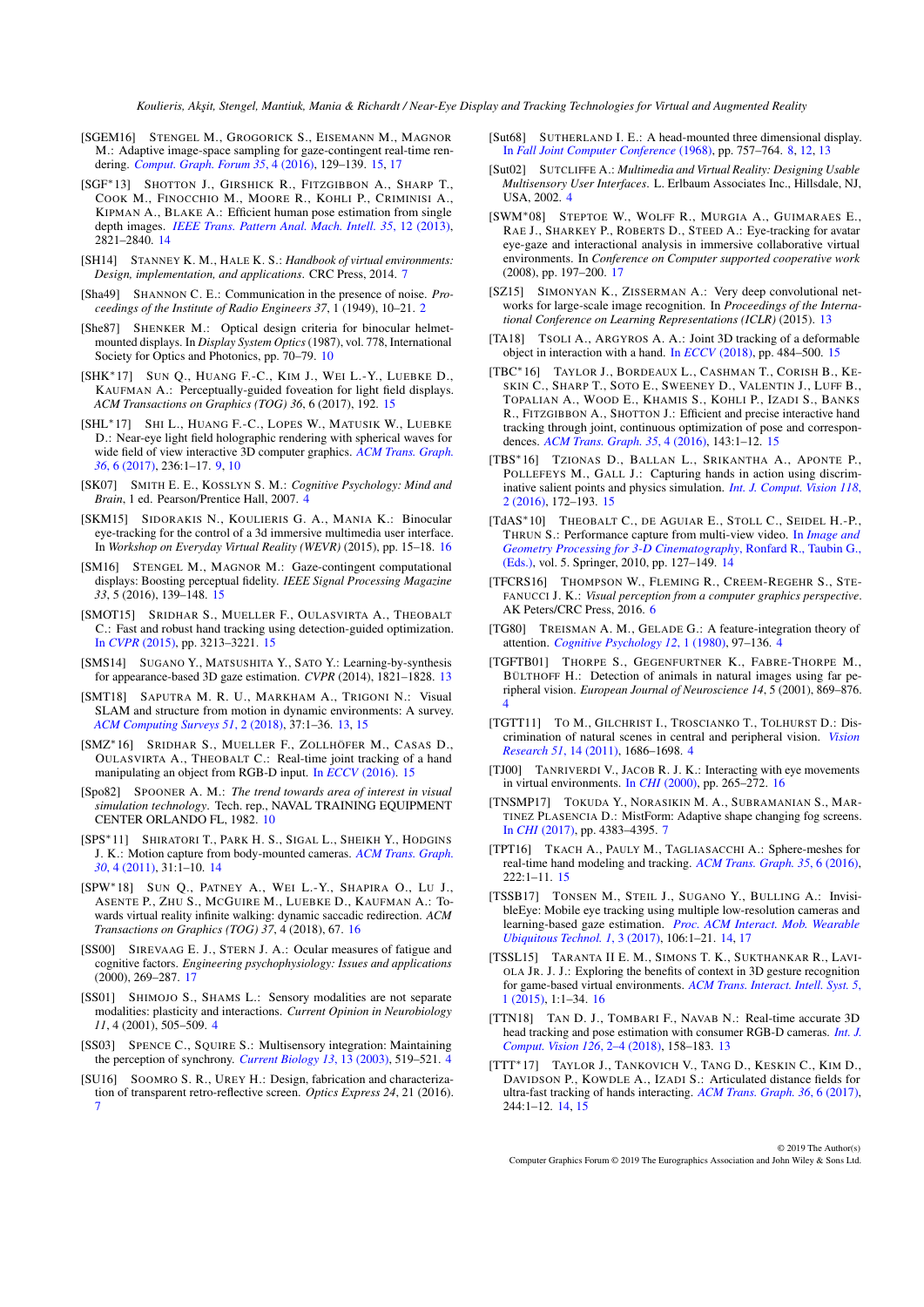- <span id="page-23-32"></span>[SGEM16] STENGEL M., GROGORICK S., EISEMANN M., MAGNOR M.: Adaptive image-space sampling for gaze-contingent real-time rendering. *[Comput. Graph. Forum 35](https://doi.org/10.1111/cgf.12956)*, 4 (2016), 129–139. [15,](#page-14-1) [17](#page-16-0)
- <span id="page-23-22"></span>[SGF∗13] SHOTTON J., GIRSHICK R., FITZGIBBON A., SHARP T., COOK M., FINOCCHIO M., MOORE R., KOHLI P., CRIMINISI A., KIPMAN A., BLAKE A.: Efficient human pose estimation from single depth images. *[IEEE Trans. Pattern Anal. Mach. Intell. 35](https://doi.org/10.1109/TPAMI.2012.241)*, 12 (2013), 2821–2840. [14](#page-13-1)
- <span id="page-23-11"></span>[SH14] STANNEY K. M., HALE K. S.: *Handbook of virtual environments: Design, implementation, and applications*. CRC Press, 2014. [7](#page-6-1)
- <span id="page-23-0"></span>[Sha49] SHANNON C. E.: Communication in the presence of noise. *Proceedings of the Institute of Radio Engineers 37*, 1 (1949), 10–21. [2](#page-1-1)
- <span id="page-23-15"></span>[She87] SHENKER M.: Optical design criteria for binocular helmetmounted displays. In *Display System Optics*(1987), vol. 778, International Society for Optics and Photonics, pp. 70–79. [10](#page-9-1)
- <span id="page-23-33"></span>[SHK∗17] SUN Q., HUANG F.-C., KIM J., WEI L.-Y., LUEBKE D., KAUFMAN A.: Perceptually-guided foveation for light field displays. *ACM Transactions on Graphics (TOG) 36*, 6 (2017), 192. [15](#page-14-1)
- <span id="page-23-13"></span>[SHL∗17] SHI L., HUANG F.-C., LOPES W., MATUSIK W., LUEBKE D.: Near-eye light field holographic rendering with spherical waves for wide field of view interactive 3D computer graphics. *[ACM Trans. Graph.](https://doi.org/10.1145/3130800.3130832) 36*[, 6 \(2017\),](https://doi.org/10.1145/3130800.3130832) 236:1–17. [9,](#page-8-2) [10](#page-9-1)
- <span id="page-23-6"></span>[SK07] SMITH E. E., KOSSLYN S. M.: *Cognitive Psychology: Mind and Brain*, 1 ed. Pearson/Prentice Hall, 2007. [4](#page-3-0)
- <span id="page-23-37"></span>[SKM15] SIDORAKIS N., KOULIERIS G. A., MANIA K.: Binocular eye-tracking for the control of a 3d immersive multimedia user interface. In *Workshop on Everyday Virtual Reality (WEVR)* (2015), pp. 15–18. [16](#page-15-0)
- <span id="page-23-31"></span>[SM16] STENGEL M., MAGNOR M.: Gaze-contingent computational displays: Boosting perceptual fidelity. *IEEE Signal Processing Magazine 33*, 5 (2016), 139–148. [15](#page-14-1)
- <span id="page-23-25"></span>[SMOT15] SRIDHAR S., MUELLER F., OULASVIRTA A., THEOBALT C.: Fast and robust hand tracking using detection-guided optimization. In *CVPR* [\(2015\),](https://doi.org/10.1109/CVPR.2015.7298941) pp. 3213–3221. [15](#page-14-1)
- <span id="page-23-18"></span>[SMS14] SUGANO Y., MATSUSHITA Y., SATO Y.: Learning-by-synthesis for appearance-based 3D gaze estimation. *CVPR* (2014), 1821–1828. [13](#page-12-1)
- <span id="page-23-16"></span>[SMT18] SAPUTRA M. R. U., MARKHAM A., TRIGONI N.: Visual SLAM and structure from motion in dynamic environments: A survey. *[ACM Computing Surveys 51](https://doi.org/10.1145/3177853)*, 2 (2018), 37:1–36. [13,](#page-12-1) [15](#page-14-1)
- <span id="page-23-29"></span>[SMZ∗16] SRIDHAR S., MUELLER F., ZOLLHÖFER M., CASAS D., OULASVIRTA A., THEOBALT C.: Real-time joint tracking of a hand manipulating an object from RGB-D input. In *ECCV* [\(2016\).](http://handtracker.mpi-inf.mpg.de/projects/RealtimeHO/) [15](#page-14-1)
- <span id="page-23-14"></span>[Spo82] SPOONER A. M.: *The trend towards area of interest in visual simulation technology*. Tech. rep., NAVAL TRAINING EQUIPMENT CENTER ORLANDO FL, 1982. [10](#page-9-1)
- <span id="page-23-23"></span>[SPS∗11] SHIRATORI T., PARK H. S., SIGAL L., SHEIKH Y., HODGINS J. K.: Motion capture from body-mounted cameras. *[ACM Trans. Graph.](https://doi.org/10.1145/2010324.1964926) 30*[, 4 \(2011\),](https://doi.org/10.1145/2010324.1964926) 31:1–10. [14](#page-13-1)
- <span id="page-23-34"></span>[SPW∗18] SUN Q., PATNEY A., WEI L.-Y., SHAPIRA O., L<sup>U</sup> J., ASENTE P., ZHU S., MCGUIRE M., LUEBKE D., KAUFMAN A.: Towards virtual reality infinite walking: dynamic saccadic redirection. *ACM Transactions on Graphics (TOG) 37*, 4 (2018), 67. [16](#page-15-0)
- <span id="page-23-39"></span>SIREVAAG E. J., STERN J. A.: Ocular measures of fatigue and cognitive factors. *Engineering psychophysiology: Issues and applications* (2000), 269–287. [17](#page-16-0)
- <span id="page-23-3"></span>[SS01] SHIMOJO S., SHAMS L.: Sensory modalities are not separate modalities: plasticity and interactions. *Current Opinion in Neurobiology 11*, 4 (2001), 505–509. [4](#page-3-0)
- <span id="page-23-4"></span>[SS03] SPENCE C., SQUIRE S.: Multisensory integration: Maintaining the perception of synchrony. *[Current Biology 13](https://doi.org/10.1016/S0960-9822(03)00445-7)*, 13 (2003), 519–521. [4](#page-3-0)
- <span id="page-23-9"></span>[SU16] SOOMRO S. R., UREY H.: Design, fabrication and characterization of transparent retro-reflective screen. *Optics Express 24*, 21 (2016). [7](#page-6-1)
- <span id="page-23-12"></span>[Sut68] SUTHERLAND I. E.: A head-mounted three dimensional display. In *[Fall Joint Computer Conference](https://doi.org/10.1145/1476589.1476686)* (1968), pp. 757–764. [8,](#page-7-3) [12,](#page-11-1) [13](#page-12-1)
- <span id="page-23-5"></span>[Sut02] SUTCLIFFE A.: *Multimedia and Virtual Reality: Designing Usable Multisensory User Interfaces*. L. Erlbaum Associates Inc., Hillsdale, NJ, USA, 2002. [4](#page-3-0)
- <span id="page-23-38"></span>[SWM∗08] STEPTOE W., WOLFF R., MURGIA A., GUIMARAES E., RAE J., SHARKEY P., ROBERTS D., STEED A.: Eye-tracking for avatar eye-gaze and interactional analysis in immersive collaborative virtual environments. In *Conference on Computer supported cooperative work* (2008), pp. 197–200. [17](#page-16-0)
- <span id="page-23-19"></span>[SZ15] SIMONYAN K., ZISSERMAN A.: Very deep convolutional networks for large-scale image recognition. In *Proceedings of the International Conference on Learning Representations (ICLR)* (2015). [13](#page-12-1)
- <span id="page-23-30"></span>[TA18] TSOLI A., ARGYROS A. A.: Joint 3D tracking of a deformable object in interaction with a hand. In *ECCV* [\(2018\),](http://openaccess.thecvf.com/content_ECCV_2018/html/Aggeliki_Tsoli_Joint_3D_tracking_ECCV_2018_paper.html) pp. 484–500. [15](#page-14-1)
- <span id="page-23-26"></span>[TBC∗16] TAYLOR J., BORDEAUX L., CASHMAN T., CORISH B., KE-SKIN C., SHARP T., SOTO E., SWEENEY D., VALENTIN J., LUFF B., TOPALIAN A., WOOD E., KHAMIS S., KOHLI P., IZADI S., BANKS R., FITZGIBBON A., SHOTTON J.: Efficient and precise interactive hand tracking through joint, continuous optimization of pose and correspondences. *[ACM Trans. Graph. 35](https://doi.org/10.1145/2897824.2925965)*, 4 (2016), 143:1–12. [15](#page-14-1)
- <span id="page-23-28"></span>[TBS∗16] TZIONAS D., BALLAN L., SRIKANTHA A., APONTE P., POLLEFEYS M., GALL J.: Capturing hands in action using discriminative salient points and physics simulation. *[Int. J. Comput. Vision 118](https://doi.org/10.1007/s11263-016-0895-4)*, [2 \(2016\),](https://doi.org/10.1007/s11263-016-0895-4) 172–193. [15](#page-14-1)
- <span id="page-23-24"></span>[TdAS<sup>\*</sup>10] THEOBALT C., DE AGUIAR E., STOLL C., SEIDEL H.-P., THRUN S.: Performance capture from multi-view video. In *[Image and](https://doi.org/10.1007/978-3-642-12392-4_6) [Geometry Processing for 3-D Cinematography](https://doi.org/10.1007/978-3-642-12392-4_6)*, Ronfard R., Taubin G., [\(Eds.\),](https://doi.org/10.1007/978-3-642-12392-4_6) vol. 5. Springer, 2010, pp. 127–149. [14](#page-13-1)
- <span id="page-23-8"></span>[TFCRS16] THOMPSON W., FLEMING R., CREEM-REGEHR S., STE-FANUCCI J. K.: *Visual perception from a computer graphics perspective*. AK Peters/CRC Press, 2016. [6](#page-5-1)
- <span id="page-23-7"></span>[TG80] TREISMAN A. M., GELADE G.: A feature-integration theory of attention. *[Cognitive Psychology 12](https://doi.org/10.1016/0010-0285(80)90005-5)*, 1 (1980), 97–136. [4](#page-3-0)
- <span id="page-23-1"></span>[TGFTB01] THORPE S., GEGENFURTNER K., FABRE-THORPE M., BÜLTHOFF H.: Detection of animals in natural images using far peripheral vision. *European Journal of Neuroscience 14*, 5 (2001), 869–876. [4](#page-3-0)
- <span id="page-23-2"></span>[TGTT11] TO M., GILCHRIST I., TROSCIANKO T., TOLHURST D.: Discrimination of natural scenes in central and peripheral vision. *[Vision](https://doi.org/10.1016/j.visres.2011.05.010) [Research 51](https://doi.org/10.1016/j.visres.2011.05.010)*, 14 (2011), 1686–1698. [4](#page-3-0)
- <span id="page-23-36"></span>[TJ00] TANRIVERDI V., JACOB R. J. K.: Interacting with eye movements in virtual environments. In *CHI* [\(2000\),](https://doi.org/10.1145/332040.332443) pp. 265–272. [16](#page-15-0)
- <span id="page-23-10"></span>[TNSMP17] TOKUDA Y., NORASIKIN M. A., SUBRAMANIAN S., MAR-TINEZ PLASENCIA D.: MistForm: Adaptive shape changing fog screens. In *CHI* [\(2017\),](https://doi.org/10.1145/3025453.3025608) pp. 4383–4395. [7](#page-6-1)
- <span id="page-23-27"></span>[TPT16] TKACH A., PAULY M., TAGLIASACCHI A.: Sphere-meshes for real-time hand modeling and tracking. *[ACM Trans. Graph. 35](https://doi.org/10.1145/2980179.2980226)*, 6 (2016),  $222:1-11.15$  $222:1-11.15$
- <span id="page-23-21"></span>[TSSB17] TONSEN M., STEIL J., SUGANO Y., BULLING A.: InvisibleEye: Mobile eye tracking using multiple low-resolution cameras and learning-based gaze estimation. *[Proc. ACM Interact. Mob. Wearable](https://doi.org/10.1145/3130971) [Ubiquitous Technol. 1](https://doi.org/10.1145/3130971)*, 3 (2017), 106:1–21. [14,](#page-13-1) [17](#page-16-0)
- <span id="page-23-35"></span>[TSSL15] TARANTA II E. M., SIMONS T. K., SUKTHANKAR R., LAVI-OLA JR. J. J.: Exploring the benefits of context in 3D gesture recognition for game-based virtual environments. *[ACM Trans. Interact. Intell. Syst. 5](https://doi.org/10.1145/2656345)*, [1 \(2015\),](https://doi.org/10.1145/2656345) 1:1–34. [16](#page-15-0)
- <span id="page-23-17"></span>[TTN18] TAN D. J., TOMBARI F., NAVAB N.: Real-time accurate 3D head tracking and pose estimation with consumer RGB-D cameras. *[Int. J.](https://doi.org/10.1007/s11263-017-0988-8) [Comput. Vision 126](https://doi.org/10.1007/s11263-017-0988-8)*, 2–4 (2018), 158–183. [13](#page-12-1)
- <span id="page-23-20"></span>[TTT∗17] TAYLOR J., TANKOVICH V., TANG D., KESKIN C., KIM D., DAVIDSON P., KOWDLE A., IZADI S.: Articulated distance fields for ultra-fast tracking of hands interacting. *[ACM Trans. Graph. 36](https://doi.org/10.1145/3130800.3130853)*, 6 (2017), 244:1–12. [14,](#page-13-1) [15](#page-14-1)

© 2019 The Author(s) Computer Graphics Forum © 2019 The Eurographics Association and John Wiley & Sons Ltd.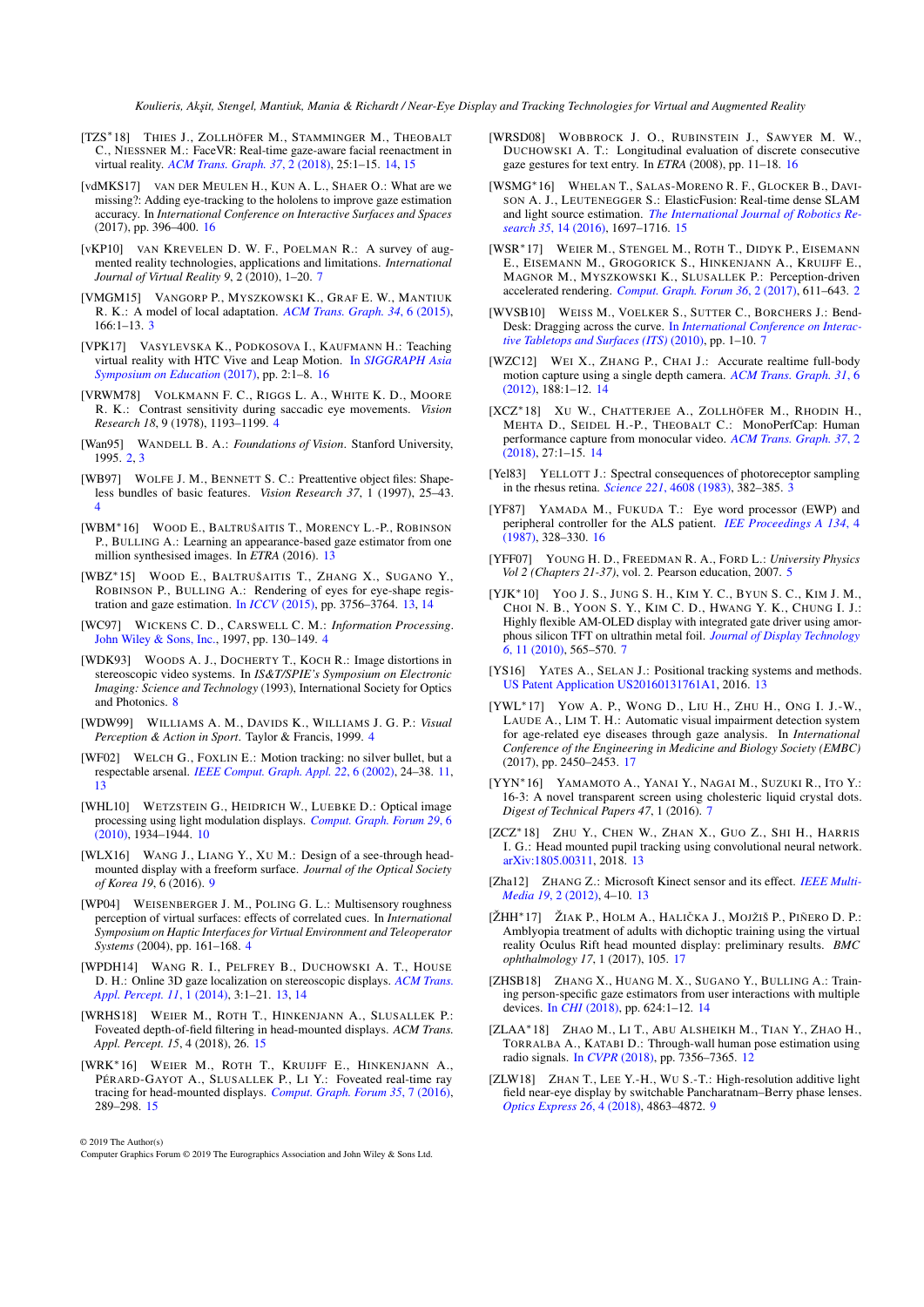- <span id="page-24-27"></span>[TZS<sup>\*</sup>18] THIES J., ZOLLHÖFER M., STAMMINGER M., THEOBALT C., NIESSNER M.: FaceVR: Real-time gaze-aware facial reenactment in virtual reality. *[ACM Trans. Graph. 37](https://doi.org/10.1145/3182644)*, 2 (2018), 25:1–15. [14,](#page-13-1) [15](#page-14-1)
- <span id="page-24-36"></span>[vdMKS17] VAN DER MEULEN H., KUN A. L., SHAER O.: What are we missing?: Adding eye-tracking to the hololens to improve gaze estimation accuracy. In *International Conference on Interactive Surfaces and Spaces* (2017), pp. 396–400. [16](#page-15-0)
- <span id="page-24-13"></span>[vKP10] VAN KREVELEN D. W. F., POELMAN R.: A survey of augmented reality technologies, applications and limitations. *International Journal of Virtual Reality 9*, 2 (2010), 1–20. [7](#page-6-1)
- <span id="page-24-3"></span>[VMGM15] VANGORP P., MYSZKOWSKI K., GRAF E. W., MANTIUK R. K.: A model of local adaptation. *[ACM Trans. Graph. 34](https://doi.org/10.1145/2816795.2818086)*, 6 (2015), 166:1–13. [3](#page-2-2)
- <span id="page-24-33"></span>[VPK17] VASYLEVSKA K., PODKOSOVA I., KAUFMANN H.: Teaching virtual reality with HTC Vive and Leap Motion. In *[SIGGRAPH Asia](https://doi.org/10.1145/3134368.3139221) [Symposium on Education](https://doi.org/10.1145/3134368.3139221)* (2017), pp. 2:1–8. [16](#page-15-0)
- <span id="page-24-4"></span>[VRWM78] VOLKMANN F. C., RIGGS L. A., WHITE K. D., MOORE R. K.: Contrast sensitivity during saccadic eye movements. *Vision Research 18*, 9 (1978), 1193–1199. [4](#page-3-0)
- <span id="page-24-1"></span>[Wan95] WANDELL B. A.: *Foundations of Vision*. Stanford University, 1995. [2,](#page-1-1) [3](#page-2-2)
- <span id="page-24-6"></span>[WB97] WOLFE J. M., BENNETT S. C.: Preattentive object files: Shapeless bundles of basic features. *Vision Research 37*, 1 (1997), 25–43. [4](#page-3-0)
- <span id="page-24-24"></span>[WBM∗16] WOOD E., BALTRUŠAITIS T., MORENCY L.-P., ROBINSON P., BULLING A.: Learning an appearance-based gaze estimator from one million synthesised images. In *ETRA* (2016). [13](#page-12-1)
- <span id="page-24-23"></span>[WBZ∗15] WOOD E., BALTRUŠAITIS T., ZHANG X., SUGANO Y., ROBINSON P., BULLING A.: Rendering of eyes for eye-shape registration and gaze estimation. In *ICCV* [\(2015\),](https://doi.org/10.1109/ICCV.2015.428) pp. 3756–3764. [13,](#page-12-1) [14](#page-13-1)
- <span id="page-24-8"></span>[WC97] WICKENS C. D., CARSWELL C. M.: *Information Processing*. [John Wiley & Sons, Inc.,](https://doi.org/10.1002/9781118131350.ch5) 1997, pp. 130–149. [4](#page-3-0)
- <span id="page-24-14"></span>[WDK93] WOODS A. J., DOCHERTY T., KOCH R.: Image distortions in stereoscopic video systems. In *IS&T/SPIE's Symposium on Electronic Imaging: Science and Technology* (1993), International Society for Optics and Photonics. [8](#page-7-3)
- <span id="page-24-5"></span>[WDW99] WILLIAMS A. M., DAVIDS K., WILLIAMS J. G. P.: *Visual Perception & Action in Sport*. Taylor & Francis, 1999. [4](#page-3-0)
- <span id="page-24-18"></span>[WF02] WELCH G., FOXLIN E.: Motion tracking: no silver bullet, but a respectable arsenal. *[IEEE Comput. Graph. Appl. 22](https://doi.org/10.1109/MCG.2002.1046626)*, 6 (2002), 24–38. [11,](#page-10-3) [13](#page-12-1)
- <span id="page-24-17"></span>[WHL10] WETZSTEIN G., HEIDRICH W., LUEBKE D.: Optical image processing using light modulation displays. *[Comput. Graph. Forum 29](https://doi.org/10.1111/j.1467-8659.2010.01660.x)*, 6 [\(2010\),](https://doi.org/10.1111/j.1467-8659.2010.01660.x) 1934–1944. [10](#page-9-1)
- <span id="page-24-15"></span>[WLX16] WANG J., LIANG Y., XU M.: Design of a see-through headmounted display with a freeform surface. *Journal of the Optical Society of Korea 19*, 6 (2016). [9](#page-8-2)
- <span id="page-24-7"></span>[WP04] WEISENBERGER J. M., POLING G. L.: Multisensory roughness perception of virtual surfaces: effects of correlated cues. In *International Symposium on Haptic Interfaces for Virtual Environment and Teleoperator Systems* (2004), pp. 161–168. [4](#page-3-0)
- <span id="page-24-22"></span>[WPDH14] WANG R. I., PELFREY B., DUCHOWSKI A. T., HOUSE D. H.: Online 3D gaze localization on stereoscopic displays. *[ACM Trans.](https://doi.org/10.1145/2593689) [Appl. Percept. 11](https://doi.org/10.1145/2593689)*, 1 (2014), 3:1–21. [13,](#page-12-1) [14](#page-13-1)
- <span id="page-24-32"></span>[WRHS18] WEIER M., ROTH T., HINKENJANN A., SLUSALLEK P.: Foveated depth-of-field filtering in head-mounted displays. *ACM Trans. Appl. Percept. 15*, 4 (2018), 26. [15](#page-14-1)
- <span id="page-24-31"></span>[WRK∗16] WEIER M., ROTH T., KRUIJFF E., HINKENJANN A., PÉRARD-GAYOT A., SLUSALLEK P., LI Y.: Foveated real-time ray tracing for head-mounted displays. *[Comput. Graph. Forum 35](https://doi.org/10.1111/cgf.13026)*, 7 (2016), 289–298. [15](#page-14-1)

© 2019 The Author(s)

Computer Graphics Forum © 2019 The Eurographics Association and John Wiley & Sons Ltd.

- <span id="page-24-35"></span>[WRSD08] WOBBROCK J. O., RUBINSTEIN J., SAWYER M. W., DUCHOWSKI A. T.: Longitudinal evaluation of discrete consecutive gaze gestures for text entry. In *ETRA* (2008), pp. 11–18. [16](#page-15-0)
- <span id="page-24-30"></span>[WSMG∗16] WHELAN T., SALAS-MORENO R. F., GLOCKER B., DAVI-SON A. J., LEUTENEGGER S.: ElasticFusion: Real-time dense SLAM and light source estimation. *[The International Journal of Robotics Re](https://doi.org/10.1177/0278364916669237)search 35*[, 14 \(2016\),](https://doi.org/10.1177/0278364916669237) 1697–1716. [15](#page-14-1)
- <span id="page-24-0"></span>[WSR∗17] WEIER M., STENGEL M., ROTH T., DIDYK P., EISEMANN E., EISEMANN M., GROGORICK S., HINKENJANN A., KRUIJFF E., MAGNOR M., MYSZKOWSKI K., SLUSALLEK P.: Perception-driven accelerated rendering. *[Comput. Graph. Forum 36](https://doi.org/10.1111/cgf.13150)*, 2 (2017), 611–643. [2](#page-1-1)
- <span id="page-24-11"></span>[WVSB10] WEISS M., VOELKER S., SUTTER C., BORCHERS J.: Bend-Desk: Dragging across the curve. In *[International Conference on Interac](https://doi.org/10.1145/1936652.1936654)[tive Tabletops and Surfaces \(ITS\)](https://doi.org/10.1145/1936652.1936654)* (2010), pp. 1–10. [7](#page-6-1)
- <span id="page-24-29"></span>[WZC12] WEI X., ZHANG P., CHAI J.: Accurate realtime full-body motion capture using a single depth camera. *[ACM Trans. Graph. 31](https://doi.org/10.1145/2366145.2366207)*, 6 [\(2012\),](https://doi.org/10.1145/2366145.2366207) 188:1–12. [14](#page-13-1)
- <span id="page-24-26"></span>[XCZ∗18] X<sup>U</sup> W., CHATTERJEE A., ZOLLHÖFER M., RHODIN H., MEHTA D., SEIDEL H.-P., THEOBALT C.: MonoPerfCap: Human performance capture from monocular video. *[ACM Trans. Graph. 37](https://doi.org/10.1145/3181973)*, 2 [\(2018\),](https://doi.org/10.1145/3181973) 27:1–15. [14](#page-13-1)
- <span id="page-24-2"></span>[Yel83] YELLOTT J.: Spectral consequences of photoreceptor sampling in the rhesus retina. *Science 221*[, 4608 \(1983\),](https://doi.org/10.1126/science.6867716) 382–385. [3](#page-2-2)
- <span id="page-24-34"></span>[YF87] YAMADA M., FUKUDA T.: Eye word processor (EWP) and peripheral controller for the ALS patient. *[IEE Proceedings A 134](https://doi.org/10.1049/ip-a-1.1987.0046)*, 4 [\(1987\),](https://doi.org/10.1049/ip-a-1.1987.0046) 328–330. [16](#page-15-0)
- <span id="page-24-9"></span>[YFF07] YOUNG H. D., FREEDMAN R. A., FORD L.: *University Physics Vol 2 (Chapters 21-37)*, vol. 2. Pearson education, 2007. [5](#page-4-0)
- <span id="page-24-12"></span>[YJK∗10] YOO J. S., JUNG S. H., KIM Y. C., BYUN S. C., KIM J. M., CHOI N. B., YOON S. Y., KIM C. D., HWANG Y. K., CHUNG I. J.: Highly flexible AM-OLED display with integrated gate driver using amorphous silicon TFT on ultrathin metal foil. *[Journal of Display Technology](https://doi.org/10.1109/JDT.2010.2048998) 6*[, 11 \(2010\),](https://doi.org/10.1109/JDT.2010.2048998) 565–570. [7](#page-6-1)
- <span id="page-24-21"></span>[YS16] YATES A., SELAN J.: Positional tracking systems and methods. [US Patent Application US20160131761A1,](https://patents.google.com/patent/US20160131761A1/en) 2016. [13](#page-12-1)
- <span id="page-24-37"></span>[YWL∗17] YOW A. P., WONG D., LIU H., ZHU H., ONG I. J.-W., LAUDE A., LIM T. H.: Automatic visual impairment detection system for age-related eye diseases through gaze analysis. In *International Conference of the Engineering in Medicine and Biology Society (EMBC)* (2017), pp. 2450–2453. [17](#page-16-0)
- <span id="page-24-10"></span>[YYN∗16] YAMAMOTO A., YANAI Y., NAGAI M., SUZUKI R., ITO Y.: 16-3: A novel transparent screen using cholesteric liquid crystal dots. *Digest of Technical Papers 47*, 1 (2016). [7](#page-6-1)
- <span id="page-24-25"></span>[ZCZ∗18] ZHU Y., CHEN W., ZHAN X., GUO Z., SHI H., HARRIS I. G.: Head mounted pupil tracking using convolutional neural network. [arXiv:1805.00311,](https://arxiv.org/abs/1805.00311) 2018. [13](#page-12-1)
- <span id="page-24-20"></span>[Zha12] ZHANG Z.: Microsoft Kinect sensor and its effect. *[IEEE Multi-](https://doi.org/10.1109/MMUL.2012.24)Media 19*[, 2 \(2012\),](https://doi.org/10.1109/MMUL.2012.24) 4–10. [13](#page-12-1)
- <span id="page-24-38"></span>[ŽHH<sup>∗</sup>17] ŽIAK P., HOLM A., HALIČKA J., MOJŽIŠ P., PIÑERO D. P.: Amblyopia treatment of adults with dichoptic training using the virtual reality Oculus Rift head mounted display: preliminary results. *BMC ophthalmology 17*, 1 (2017), 105. [17](#page-16-0)
- <span id="page-24-28"></span>[ZHSB18] ZHANG X., HUANG M. X., SUGANO Y., BULLING A.: Training person-specific gaze estimators from user interactions with multiple devices. In *CHI* [\(2018\),](https://doi.org/10.1145/3173574.3174198) pp. 624:1–12. [14](#page-13-1)
- <span id="page-24-19"></span>[ZLAA∗18] ZHAO M., L<sup>I</sup> T., ABU ALSHEIKH M., TIAN Y., ZHAO H., TORRALBA A., KATABI D.: Through-wall human pose estimation using radio signals. In *CVPR* [\(2018\),](http://rfpose.csail.mit.edu/) pp. 7356–7365. [12](#page-11-1)
- <span id="page-24-16"></span>[ZLW18] ZHAN T., LEE Y.-H., WU S.-T.: High-resolution additive light field near-eye display by switchable Pancharatnam–Berry phase lenses. *[Optics Express 26](https://doi.org/10.1364/OE.26.004863)*, 4 (2018), 4863–4872. [9](#page-8-2)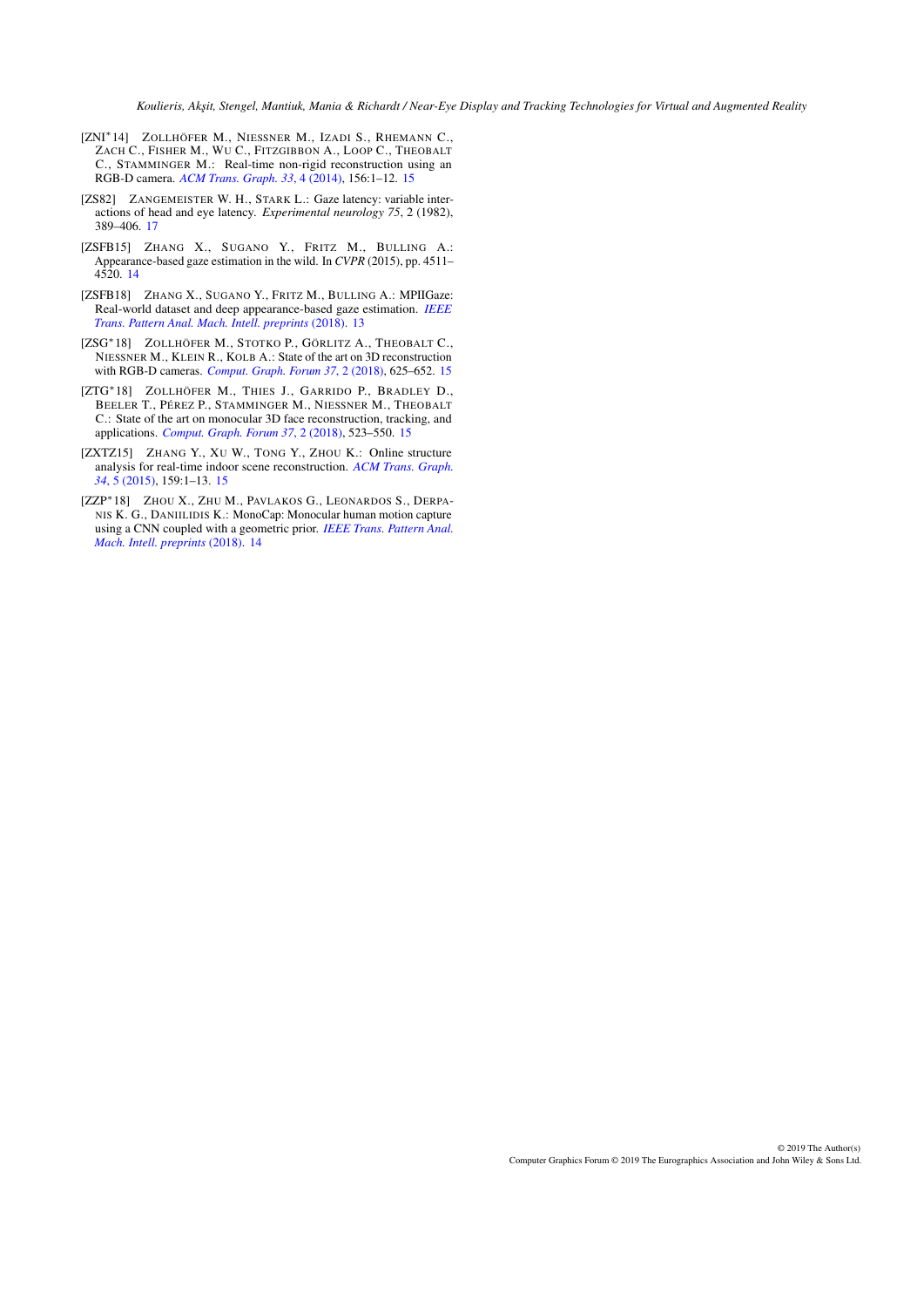- <span id="page-25-6"></span>[ZNI∗14] ZOLLHÖFER M., NIESSNER M., IZADI S., RHEMANN C., ZACH C., FISHER M., WU C., FITZGIBBON A., LOOP C., THEOBALT C., STAMMINGER M.: Real-time non-rigid reconstruction using an RGB-D camera. *[ACM Trans. Graph. 33](https://doi.org/10.1145/2601097.2601165)*, 4 (2014), 156:1–12. [15](#page-14-1)
- <span id="page-25-7"></span>[ZS82] ZANGEMEISTER W. H., STARK L.: Gaze latency: variable interactions of head and eye latency. *Experimental neurology 75*, 2 (1982), 389–406. [17](#page-16-0)
- <span id="page-25-1"></span>[ZSFB15] ZHANG X., SUGANO Y., FRITZ M., BULLING A.: Appearance-based gaze estimation in the wild. In *CVPR* (2015), pp. 4511– 4520. [14](#page-13-1)
- <span id="page-25-0"></span>[ZSFB18] ZHANG X., SUGANO Y., FRITZ M., BULLING A.: MPIIGaze: Real-world dataset and deep appearance-based gaze estimation. *[IEEE](https://doi.org/10.1109/TPAMI.2017.2778103) [Trans. Pattern Anal. Mach. Intell. preprints](https://doi.org/10.1109/TPAMI.2017.2778103)* (2018). [13](#page-12-1)
- <span id="page-25-4"></span>[ZSG∗18] ZOLLHÖFER M., STOTKO P., GÖRLITZ A., THEOBALT C., NIESSNER M., KLEIN R., KOLB A.: State of the art on 3D reconstruction with RGB-D cameras. *[Comput. Graph. Forum 37](https://doi.org/10.1111/cgf.13386)*, 2 (2018), 625–652. [15](#page-14-1)
- <span id="page-25-3"></span>[ZTG∗18] ZOLLHÖFER M., THIES J., GARRIDO P., BRADLEY D., BEELER T., PÉREZ P., STAMMINGER M., NIESSNER M., THEOBALT C.: State of the art on monocular 3D face reconstruction, tracking, and applications. *[Comput. Graph. Forum 37](https://doi.org/10.1111/cgf.13382)*, 2 (2018), 523–550. [15](#page-14-1)
- <span id="page-25-5"></span>[ZXTZ15] ZHANG Y., XU W., TONG Y., ZHOU K.: Online structure analysis for real-time indoor scene reconstruction. *[ACM Trans. Graph.](https://doi.org/10.1145/2768821) 34*[, 5 \(2015\),](https://doi.org/10.1145/2768821) 159:1–13. [15](#page-14-1)
- <span id="page-25-2"></span>[ZZP∗18] ZHOU X., ZHU M., PAVLAKOS G., LEONARDOS S., DERPA-NIS K. G., DANIILIDIS K.: MonoCap: Monocular human motion capture using a CNN coupled with a geometric prior. *[IEEE Trans. Pattern Anal.](https://doi.org/10.1109/TPAMI.2018.2816031) [Mach. Intell. preprints](https://doi.org/10.1109/TPAMI.2018.2816031)* (2018). [14](#page-13-1)